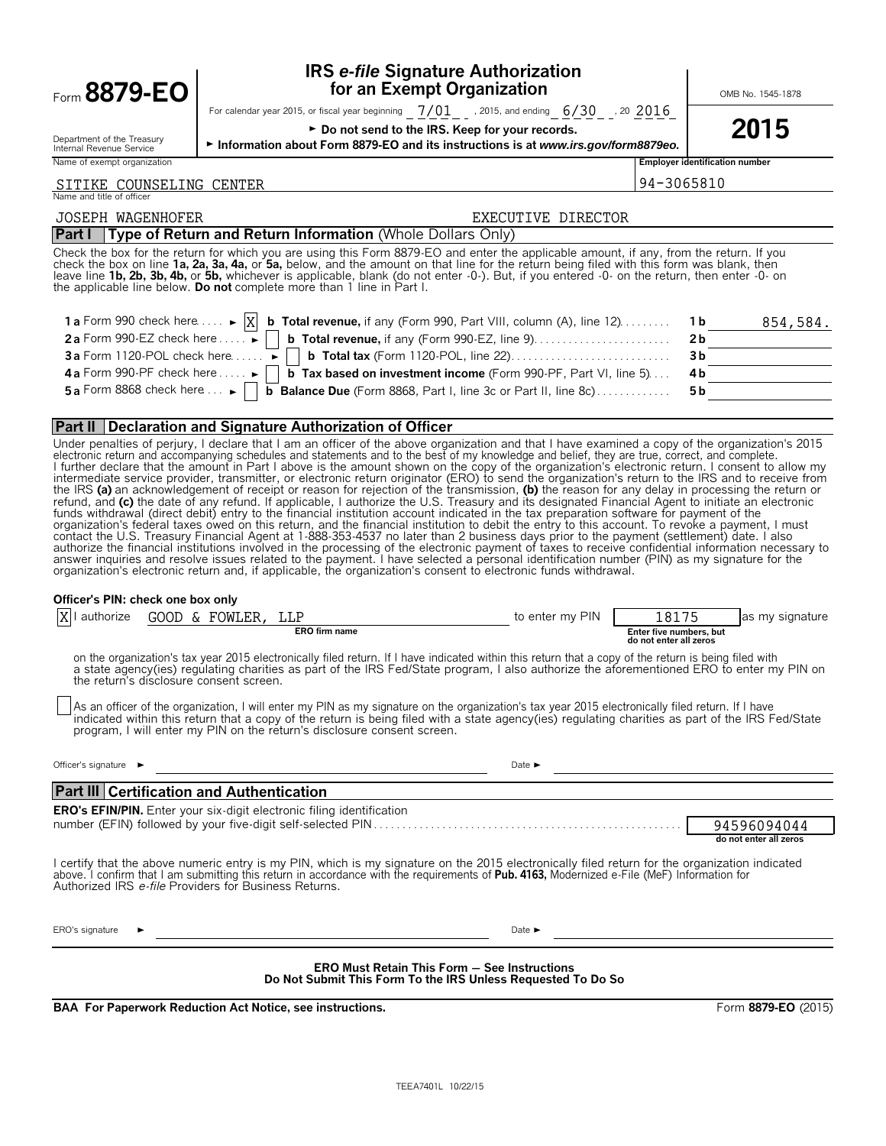| Form 8879-EO                                                     | <b>IRS e-file Signature Authorization</b><br>for an Exempt Organization                                                                                                                                                                                                                                                                                                                                                                                                                                                                                                                                                                                                                                                                                                                                                                                                                                                                                                                                                                                                                                                                                                                                                                                                                                                                                                                                  |                                  | OMB No. 1545-1878                                                      |
|------------------------------------------------------------------|----------------------------------------------------------------------------------------------------------------------------------------------------------------------------------------------------------------------------------------------------------------------------------------------------------------------------------------------------------------------------------------------------------------------------------------------------------------------------------------------------------------------------------------------------------------------------------------------------------------------------------------------------------------------------------------------------------------------------------------------------------------------------------------------------------------------------------------------------------------------------------------------------------------------------------------------------------------------------------------------------------------------------------------------------------------------------------------------------------------------------------------------------------------------------------------------------------------------------------------------------------------------------------------------------------------------------------------------------------------------------------------------------------|----------------------------------|------------------------------------------------------------------------|
| Department of the Treasury<br>Internal Revenue Service           | For calendar year 2015, or fiscal year beginning $7/01$ , 2015, and ending $6/30$ , 20 $2016$<br>► Do not send to the IRS. Keep for your records.<br>Information about Form 8879-EO and its instructions is at www.irs.gov/form8879eo.                                                                                                                                                                                                                                                                                                                                                                                                                                                                                                                                                                                                                                                                                                                                                                                                                                                                                                                                                                                                                                                                                                                                                                   |                                  | 2015                                                                   |
| Name of exempt organization                                      |                                                                                                                                                                                                                                                                                                                                                                                                                                                                                                                                                                                                                                                                                                                                                                                                                                                                                                                                                                                                                                                                                                                                                                                                                                                                                                                                                                                                          |                                  | <b>Employer identification number</b>                                  |
| TIKE COUNSELING CENTER<br>Name and title of officer              |                                                                                                                                                                                                                                                                                                                                                                                                                                                                                                                                                                                                                                                                                                                                                                                                                                                                                                                                                                                                                                                                                                                                                                                                                                                                                                                                                                                                          | 94-3065810                       |                                                                        |
| <b>JOSEPH WAGENHOFER</b>                                         | EXECUTIVE DIRECTOR                                                                                                                                                                                                                                                                                                                                                                                                                                                                                                                                                                                                                                                                                                                                                                                                                                                                                                                                                                                                                                                                                                                                                                                                                                                                                                                                                                                       |                                  |                                                                        |
| <b>Part I</b>                                                    | Type of Return and Return Information (Whole Dollars Only)                                                                                                                                                                                                                                                                                                                                                                                                                                                                                                                                                                                                                                                                                                                                                                                                                                                                                                                                                                                                                                                                                                                                                                                                                                                                                                                                               |                                  |                                                                        |
|                                                                  | Check the box for the return for which you are using this Form 8879-EO and enter the applicable amount, if any, from the return. If you<br>check the box on line 1a, 2a, 3a, 4a, or 5a, below, and the amount on that line for the return being filed with this form was blank, then<br>leave line 1b, 2b, 3b, 4b, or 5b, whichever is applicable, blank (do not enter -0-). But, if you entered -0- on the return, then enter -0- on<br>the applicable line below. Do not complete more than 1 line in Part I.                                                                                                                                                                                                                                                                                                                                                                                                                                                                                                                                                                                                                                                                                                                                                                                                                                                                                          |                                  |                                                                        |
| 1 a Form 990 check here $\dots$ $\triangleright$ $\vert X \vert$ | <b>b Total revenue,</b> if any (Form 990, Part VIII, column (A), line 12)                                                                                                                                                                                                                                                                                                                                                                                                                                                                                                                                                                                                                                                                                                                                                                                                                                                                                                                                                                                                                                                                                                                                                                                                                                                                                                                                |                                  | 1 b<br>854,584.                                                        |
|                                                                  | 2a Form 990-EZ check here $\dots \rightarrow$   b Total revenue, if any (Form 990-EZ, line 9). $\dots \dots \dots \dots \dots$                                                                                                                                                                                                                                                                                                                                                                                                                                                                                                                                                                                                                                                                                                                                                                                                                                                                                                                                                                                                                                                                                                                                                                                                                                                                           |                                  | 2 <sub>b</sub>                                                         |
| $3a$ Form 1120-POL check here $\dots \rightarrow$                |                                                                                                                                                                                                                                                                                                                                                                                                                                                                                                                                                                                                                                                                                                                                                                                                                                                                                                                                                                                                                                                                                                                                                                                                                                                                                                                                                                                                          |                                  | 3 <sub>b</sub>                                                         |
| <b>4a</b> Form 990-PF check here $\dots \rightarrow$             | <b>b</b> Tax based on investment income (Form 990-PF, Part VI, line 5)                                                                                                                                                                                                                                                                                                                                                                                                                                                                                                                                                                                                                                                                                                                                                                                                                                                                                                                                                                                                                                                                                                                                                                                                                                                                                                                                   |                                  | 4 b                                                                    |
| 5a Form 8868 check here $\dots \rightarrow$                      | <b>b Balance Due</b> (Form 8868, Part I, line 3c or Part II, line 8c)                                                                                                                                                                                                                                                                                                                                                                                                                                                                                                                                                                                                                                                                                                                                                                                                                                                                                                                                                                                                                                                                                                                                                                                                                                                                                                                                    |                                  | 5 b                                                                    |
|                                                                  |                                                                                                                                                                                                                                                                                                                                                                                                                                                                                                                                                                                                                                                                                                                                                                                                                                                                                                                                                                                                                                                                                                                                                                                                                                                                                                                                                                                                          |                                  |                                                                        |
|                                                                  | <b>Part II Declaration and Signature Authorization of Officer</b><br>Under penalties of perjury, I declare that I am an officer of the above organization and that I have examined a copy of the organization's 2015                                                                                                                                                                                                                                                                                                                                                                                                                                                                                                                                                                                                                                                                                                                                                                                                                                                                                                                                                                                                                                                                                                                                                                                     |                                  |                                                                        |
|                                                                  | I further declare that the amount in Part I above is the amount shown on the copy of the organization's electronic return. I consent to allow my intermediate service provider, transmitter, or electronic return originator (<br>the IRS (a) an acknowledgement of receipt or reason for rejection of the transmission, (b) the reason for any delay in processing the return or<br>refund, and (c) the date of any refund. If applicable, I authorize the U.S. Treasury and its designated Financial Agent to initiate an electronic<br>funds withdrawal (direct debit) entry to the financial institution account indicated in the tax preparation software for payment of the<br>organization's federal taxes owed on this return, and the financial institution to debit the entry to this account. To revoke a payment, I must<br>contact the U.S. Treasury Financial Agent at 1-888-353-4537 no later than 2 business days prior to the payment (settlement) date. I also<br>authorize the financial institutions involved in the processing of the electronic payment of taxes to receive confidential information necessary to<br>answer inquiries and resolve issues related to the payment. I have selected a personal identification number (PIN) as my signature for the<br>organization's electronic return and, if applicable, the organization's consent to electronic funds withdrawal. |                                  |                                                                        |
| Officer's PIN: check one box only                                |                                                                                                                                                                                                                                                                                                                                                                                                                                                                                                                                                                                                                                                                                                                                                                                                                                                                                                                                                                                                                                                                                                                                                                                                                                                                                                                                                                                                          |                                  |                                                                        |
| $\overline{\mathbf{X}}$<br>authorize                             | GOOD & FOWLER, LLP<br>to enter my PIN<br><b>ERO</b> firm name                                                                                                                                                                                                                                                                                                                                                                                                                                                                                                                                                                                                                                                                                                                                                                                                                                                                                                                                                                                                                                                                                                                                                                                                                                                                                                                                            | 18175<br>Enter five numbers, but | as my signature                                                        |
|                                                                  |                                                                                                                                                                                                                                                                                                                                                                                                                                                                                                                                                                                                                                                                                                                                                                                                                                                                                                                                                                                                                                                                                                                                                                                                                                                                                                                                                                                                          | do not enter all zeros           |                                                                        |
| the return's disclosure consent screen.                          | on the organization's tax year 2015 electronically filed return. If I have indicated within this return that a copy of the return is being filed with<br>a state agency(ies) regulating charities as part of the IRS Fed/State program, I also authorize the aforementioned ERO to enter my PIN on                                                                                                                                                                                                                                                                                                                                                                                                                                                                                                                                                                                                                                                                                                                                                                                                                                                                                                                                                                                                                                                                                                       |                                  |                                                                        |
|                                                                  | As an officer of the organization, I will enter my PIN as my signature on the organization's tax year 2015 electronically filed return. If I have<br>indicated within this return that a copy of the return is being filed with a state agency(ies) regulating charities as part of the IRS Fed/State<br>program. I will enter my PIN on the return's disclosure consent screen.                                                                                                                                                                                                                                                                                                                                                                                                                                                                                                                                                                                                                                                                                                                                                                                                                                                                                                                                                                                                                         |                                  |                                                                        |
| Officer's signature $\blacktriangleright$                        | Date $\blacktriangleright$                                                                                                                                                                                                                                                                                                                                                                                                                                                                                                                                                                                                                                                                                                                                                                                                                                                                                                                                                                                                                                                                                                                                                                                                                                                                                                                                                                               |                                  | <u> 1980 - Johann Barn, mars eta bainar eta politikaria (h. 1980).</u> |
| <b>Part III Certification and Authentication</b>                 |                                                                                                                                                                                                                                                                                                                                                                                                                                                                                                                                                                                                                                                                                                                                                                                                                                                                                                                                                                                                                                                                                                                                                                                                                                                                                                                                                                                                          |                                  |                                                                        |
|                                                                  | <b>ERO's EFIN/PIN.</b> Enter your six-digit electronic filing identification                                                                                                                                                                                                                                                                                                                                                                                                                                                                                                                                                                                                                                                                                                                                                                                                                                                                                                                                                                                                                                                                                                                                                                                                                                                                                                                             |                                  |                                                                        |
|                                                                  |                                                                                                                                                                                                                                                                                                                                                                                                                                                                                                                                                                                                                                                                                                                                                                                                                                                                                                                                                                                                                                                                                                                                                                                                                                                                                                                                                                                                          |                                  | 94596094044<br>do not enter all zeros                                  |
| Authorized IRS e-file Providers for Business Returns.            | I certify that the above numeric entry is my PIN, which is my signature on the 2015 electronically filed return for the organization indicated<br>above. I confirm that I am submitting this return in accordance with the requirements of Pub. 4163, Modernized e-File (MeF) Information for                                                                                                                                                                                                                                                                                                                                                                                                                                                                                                                                                                                                                                                                                                                                                                                                                                                                                                                                                                                                                                                                                                            |                                  |                                                                        |
| ERO's signature                                                  | Date $\blacktriangleright$                                                                                                                                                                                                                                                                                                                                                                                                                                                                                                                                                                                                                                                                                                                                                                                                                                                                                                                                                                                                                                                                                                                                                                                                                                                                                                                                                                               |                                  |                                                                        |
|                                                                  | <b>ERO Must Retain This Form - See Instructions</b><br>Do Not Submit This Form To the IRS Unless Requested To Do So                                                                                                                                                                                                                                                                                                                                                                                                                                                                                                                                                                                                                                                                                                                                                                                                                                                                                                                                                                                                                                                                                                                                                                                                                                                                                      |                                  |                                                                        |
|                                                                  | <b>BAA For Paperwork Reduction Act Notice, see instructions.</b>                                                                                                                                                                                                                                                                                                                                                                                                                                                                                                                                                                                                                                                                                                                                                                                                                                                                                                                                                                                                                                                                                                                                                                                                                                                                                                                                         |                                  | Form 8879-EO (2015)                                                    |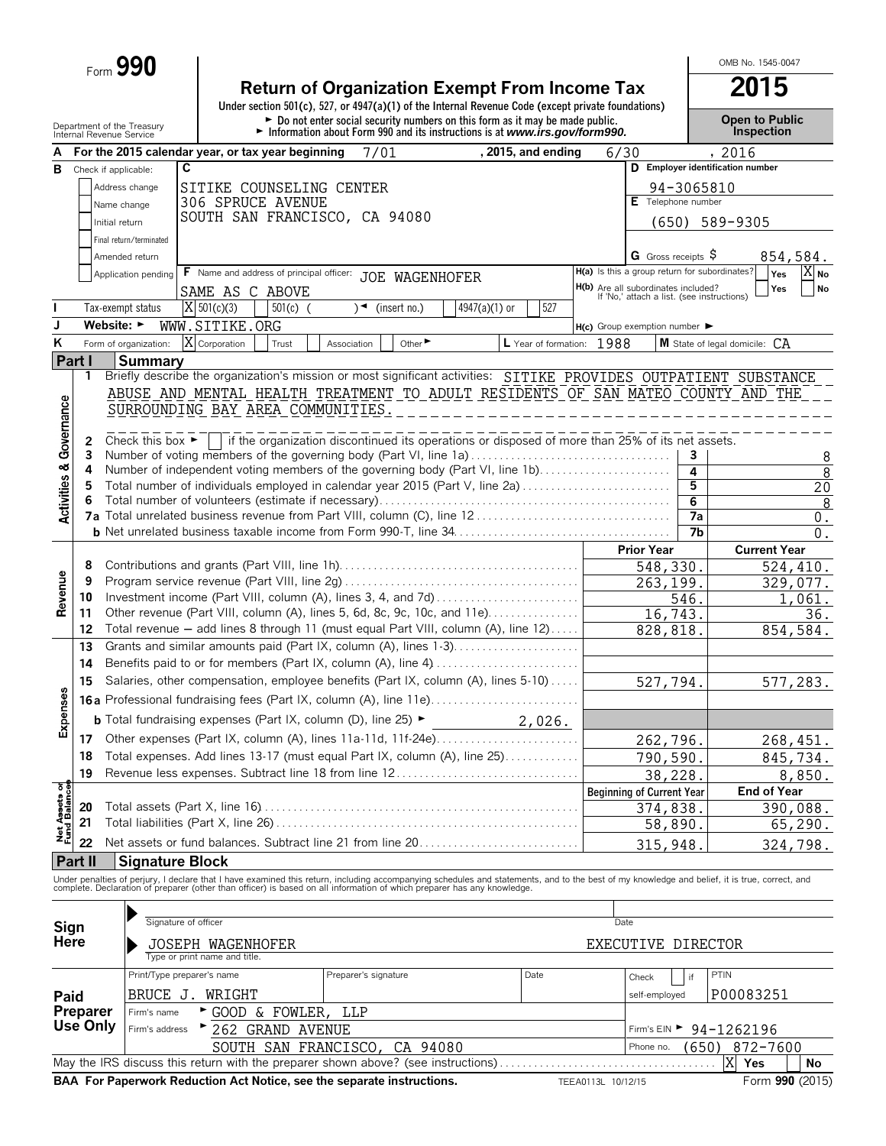Form **990**

# **Return of Organization Exempt From Income Tax**<br>
Under section 501(c), 527, or 4947(a)(1) of the Internal Revenue Code (except private foundations)

OMB No. 1545-0047

|                                        |                      | Department of the Treasury<br>Internal Revenue Service |                                                                                                                                                                                                                                   |                      | $\triangleright$ Do not enter social security numbers on this form as it may be made public.<br>Information about Form 990 and its instructions is at www.irs.gov/form990. |                      |                                                                                   |                                    |                       | <b>Open to Public</b><br>Inspection |                      |
|----------------------------------------|----------------------|--------------------------------------------------------|-----------------------------------------------------------------------------------------------------------------------------------------------------------------------------------------------------------------------------------|----------------------|----------------------------------------------------------------------------------------------------------------------------------------------------------------------------|----------------------|-----------------------------------------------------------------------------------|------------------------------------|-----------------------|-------------------------------------|----------------------|
|                                        |                      |                                                        | For the 2015 calendar year, or tax year beginning                                                                                                                                                                                 | 7/01                 |                                                                                                                                                                            | , 2015, and ending   | 6/30                                                                              |                                    |                       | , 2016                              |                      |
| В                                      | Check if applicable: | C                                                      |                                                                                                                                                                                                                                   |                      |                                                                                                                                                                            |                      |                                                                                   |                                    |                       | D Employer identification number    |                      |
|                                        |                      | Address change                                         | SITIKE COUNSELING CENTER                                                                                                                                                                                                          |                      |                                                                                                                                                                            |                      |                                                                                   |                                    | 94-3065810            |                                     |                      |
|                                        |                      | Name change                                            | 306 SPRUCE AVENUE                                                                                                                                                                                                                 |                      |                                                                                                                                                                            |                      |                                                                                   | E Telephone number                 |                       |                                     |                      |
|                                        |                      | Initial return                                         | SOUTH SAN FRANCISCO, CA 94080                                                                                                                                                                                                     |                      |                                                                                                                                                                            |                      |                                                                                   |                                    |                       | (650) 589-9305                      |                      |
|                                        |                      | Final return/terminated                                |                                                                                                                                                                                                                                   |                      |                                                                                                                                                                            |                      |                                                                                   |                                    |                       |                                     |                      |
|                                        |                      | Amended return                                         |                                                                                                                                                                                                                                   |                      |                                                                                                                                                                            |                      |                                                                                   | G Gross receipts S                 |                       |                                     | 854,584.             |
|                                        |                      | Application pending                                    | <b>F</b> Name and address of principal officer:                                                                                                                                                                                   |                      | JOE WAGENHOFER                                                                                                                                                             |                      | H(a) Is this a group return for subordinates?                                     |                                    |                       |                                     | X No<br>Yes          |
|                                        |                      |                                                        | SAME AS C ABOVE                                                                                                                                                                                                                   |                      |                                                                                                                                                                            |                      | H(b) Are all subordinates included?<br>If 'No,' attach a list. (see instructions) |                                    |                       |                                     | Yes<br><b>No</b>     |
|                                        |                      | Tax-exempt status                                      | $X$ 501(c)(3)<br>$501(c)$ (                                                                                                                                                                                                       | ∖◄                   | (insert no.)<br>$4947(a)(1)$ or                                                                                                                                            | 527                  |                                                                                   |                                    |                       |                                     |                      |
| J                                      | Website: ►           |                                                        | WWW.SITIKE.ORG                                                                                                                                                                                                                    |                      |                                                                                                                                                                            |                      | $H(c)$ Group exemption number $\blacktriangleright$                               |                                    |                       |                                     |                      |
| Κ                                      |                      | Form of organization:                                  | X Corporation<br>Trust                                                                                                                                                                                                            | Association          | Other                                                                                                                                                                      | L Year of formation: | 1988                                                                              |                                    |                       | M State of legal domicile:          | CA                   |
|                                        | Part I               | <b>Summary</b>                                         |                                                                                                                                                                                                                                   |                      |                                                                                                                                                                            |                      |                                                                                   |                                    |                       |                                     |                      |
|                                        | 1                    |                                                        | Briefly describe the organization's mission or most significant activities: SITIKE PROVIDES OUTPATIENT SUBSTANCE                                                                                                                  |                      |                                                                                                                                                                            |                      |                                                                                   |                                    |                       |                                     |                      |
|                                        |                      |                                                        | ABUSE AND MENTAL HEALTH TREATMENT TO ADULT RESIDENTS OF SAN MATEO COUNTY AND THE                                                                                                                                                  |                      |                                                                                                                                                                            |                      |                                                                                   |                                    |                       |                                     |                      |
|                                        |                      |                                                        | SURROUNDING BAY AREA COMMUNITIES.                                                                                                                                                                                                 |                      |                                                                                                                                                                            |                      |                                                                                   |                                    |                       |                                     |                      |
|                                        |                      |                                                        |                                                                                                                                                                                                                                   |                      |                                                                                                                                                                            |                      |                                                                                   |                                    |                       |                                     |                      |
| Governance                             | 2                    |                                                        | Check this box $\blacktriangleright$ if the organization discontinued its operations or disposed of more than 25% of its net assets.                                                                                              |                      |                                                                                                                                                                            |                      |                                                                                   |                                    |                       |                                     |                      |
|                                        | 3                    |                                                        | Number of voting members of the governing body (Part VI, line 1a)                                                                                                                                                                 |                      |                                                                                                                                                                            |                      |                                                                                   |                                    | 3                     |                                     | 8                    |
|                                        | 4                    |                                                        | Number of independent voting members of the governing body (Part VI, line 1b)                                                                                                                                                     |                      |                                                                                                                                                                            |                      |                                                                                   |                                    | 4                     |                                     | $\overline{8}$       |
| <b>Activities &amp;</b>                | 5                    |                                                        | Total number of individuals employed in calendar year 2015 (Part V, line 2a)                                                                                                                                                      |                      |                                                                                                                                                                            |                      |                                                                                   |                                    | 5                     |                                     | 20                   |
|                                        | 6                    |                                                        |                                                                                                                                                                                                                                   |                      |                                                                                                                                                                            |                      |                                                                                   |                                    | 6                     |                                     | 8                    |
|                                        |                      |                                                        |                                                                                                                                                                                                                                   |                      |                                                                                                                                                                            |                      |                                                                                   |                                    | 7a<br>$\overline{7}b$ |                                     | $0$ .                |
|                                        |                      |                                                        |                                                                                                                                                                                                                                   |                      |                                                                                                                                                                            |                      |                                                                                   |                                    |                       |                                     | 0.                   |
|                                        | 8                    |                                                        |                                                                                                                                                                                                                                   |                      |                                                                                                                                                                            |                      |                                                                                   | <b>Prior Year</b>                  |                       | <b>Current Year</b>                 |                      |
|                                        | 9                    |                                                        |                                                                                                                                                                                                                                   |                      |                                                                                                                                                                            |                      |                                                                                   | 548,330<br>$\overline{263, 199}$ . |                       |                                     | 524,410.<br>329,077. |
| Revenue                                | 10                   |                                                        | Investment income (Part VIII, column (A), lines 3, 4, and 7d)                                                                                                                                                                     |                      |                                                                                                                                                                            |                      |                                                                                   |                                    | 546.                  |                                     | 1,061.               |
|                                        | 11                   |                                                        | Other revenue (Part VIII, column (A), lines 5, 6d, 8c, 9c, 10c, and 11e)                                                                                                                                                          |                      |                                                                                                                                                                            |                      |                                                                                   | 16,743.                            |                       |                                     | 36.                  |
|                                        | 12                   |                                                        | Total revenue - add lines 8 through 11 (must equal Part VIII, column (A), line 12)                                                                                                                                                |                      |                                                                                                                                                                            |                      |                                                                                   | 828,818.                           |                       |                                     | 854,584.             |
|                                        | 13                   |                                                        | Grants and similar amounts paid (Part IX, column (A), lines 1-3)                                                                                                                                                                  |                      |                                                                                                                                                                            |                      |                                                                                   |                                    |                       |                                     |                      |
|                                        | 14                   |                                                        | Benefits paid to or for members (Part IX, column (A), line 4)                                                                                                                                                                     |                      |                                                                                                                                                                            |                      |                                                                                   |                                    |                       |                                     |                      |
|                                        | 15                   |                                                        | Salaries, other compensation, employee benefits (Part IX, column (A), lines 5-10)                                                                                                                                                 |                      |                                                                                                                                                                            |                      |                                                                                   | 527,794.                           |                       |                                     | 577,283.             |
| <b>Expenses</b>                        |                      |                                                        | <b>16a</b> Professional fundraising fees (Part IX, column (A), line 11e)                                                                                                                                                          |                      |                                                                                                                                                                            |                      |                                                                                   |                                    |                       |                                     |                      |
|                                        |                      |                                                        | <b>b</b> Total fundraising expenses (Part IX, column (D), line 25) $\blacktriangleright$                                                                                                                                          |                      |                                                                                                                                                                            |                      |                                                                                   |                                    |                       |                                     |                      |
|                                        |                      |                                                        |                                                                                                                                                                                                                                   |                      |                                                                                                                                                                            | 2,026.               |                                                                                   |                                    |                       |                                     |                      |
|                                        |                      |                                                        | 17 Other expenses (Part IX, column (A), lines 11a-11d, 11f-24e)                                                                                                                                                                   |                      |                                                                                                                                                                            |                      |                                                                                   | 262,796.                           |                       |                                     | 268,451.             |
|                                        | 18                   |                                                        | Total expenses. Add lines 13-17 (must equal Part IX, column (A), line 25)                                                                                                                                                         |                      |                                                                                                                                                                            |                      |                                                                                   | 790,590.                           |                       |                                     | 845,734.             |
|                                        | 19                   |                                                        | Revenue less expenses. Subtract line 18 from line 12                                                                                                                                                                              |                      |                                                                                                                                                                            |                      |                                                                                   | 38,228.                            |                       |                                     | 8,850.               |
| <b>Net Assets of<br/>Fund Balances</b> |                      |                                                        |                                                                                                                                                                                                                                   |                      |                                                                                                                                                                            |                      |                                                                                   | <b>Beginning of Current Year</b>   |                       | <b>End of Year</b>                  |                      |
|                                        | 20                   |                                                        |                                                                                                                                                                                                                                   |                      |                                                                                                                                                                            |                      |                                                                                   | 374,838                            |                       |                                     | 390,088.             |
|                                        | 21                   |                                                        |                                                                                                                                                                                                                                   |                      |                                                                                                                                                                            |                      |                                                                                   | 58,890.                            |                       |                                     | 65,290.              |
|                                        | 22                   |                                                        | Net assets or fund balances. Subtract line 21 from line 20                                                                                                                                                                        |                      |                                                                                                                                                                            |                      |                                                                                   | 315,948                            |                       |                                     | 324,798.             |
|                                        | Part II              | <b>Signature Block</b>                                 |                                                                                                                                                                                                                                   |                      |                                                                                                                                                                            |                      |                                                                                   |                                    |                       |                                     |                      |
|                                        |                      |                                                        | Under penalties of perjury, I declare that I have examined this return, including accompanying schedules and statements, and to the best of my knowledge and belief, it is true, correct, and<br>complete. Declaration of prepare |                      |                                                                                                                                                                            |                      |                                                                                   |                                    |                       |                                     |                      |
|                                        |                      |                                                        |                                                                                                                                                                                                                                   |                      |                                                                                                                                                                            |                      |                                                                                   |                                    |                       |                                     |                      |
|                                        |                      | Signature of officer                                   |                                                                                                                                                                                                                                   |                      |                                                                                                                                                                            |                      | Date                                                                              |                                    |                       |                                     |                      |
| Sign<br>Here                           |                      |                                                        |                                                                                                                                                                                                                                   |                      |                                                                                                                                                                            |                      |                                                                                   |                                    |                       |                                     |                      |
|                                        |                      |                                                        | <b>JOSEPH WAGENHOFER</b><br>Type or print name and title.                                                                                                                                                                         |                      |                                                                                                                                                                            |                      |                                                                                   | EXECUTIVE DIRECTOR                 |                       |                                     |                      |
|                                        |                      | Print/Type preparer's name                             |                                                                                                                                                                                                                                   | Preparer's signature |                                                                                                                                                                            | Date                 |                                                                                   |                                    | if                    | PTIN                                |                      |
|                                        |                      |                                                        |                                                                                                                                                                                                                                   |                      |                                                                                                                                                                            |                      |                                                                                   | Check                              |                       |                                     |                      |
| Paid                                   |                      | BRUCE J. WRIGHT                                        |                                                                                                                                                                                                                                   |                      |                                                                                                                                                                            |                      |                                                                                   | self-employed                      |                       | P00083251                           |                      |
|                                        | Preparer<br>Use Only | Firm's name                                            | GOOD & FOWLER,                                                                                                                                                                                                                    | LLP                  |                                                                                                                                                                            |                      |                                                                                   |                                    |                       |                                     |                      |
|                                        |                      | Firm's address                                         | 262 GRAND AVENUE                                                                                                                                                                                                                  |                      |                                                                                                                                                                            |                      |                                                                                   | Firm's EIN ▶                       |                       | 94-1262196                          |                      |
|                                        |                      |                                                        | SOUTH SAN FRANCISCO,                                                                                                                                                                                                              |                      | CA 94080                                                                                                                                                                   |                      |                                                                                   | Phone no.                          | (650)                 | 872-7600                            |                      |
|                                        |                      |                                                        | May the IRS discuss this return with the preparer shown above? (see instructions)                                                                                                                                                 |                      |                                                                                                                                                                            |                      |                                                                                   |                                    |                       | Χ<br>Yes                            | No                   |
|                                        |                      |                                                        | BAA For Paperwork Reduction Act Notice, see the separate instructions.                                                                                                                                                            |                      |                                                                                                                                                                            |                      | TEEA0113L 10/12/15                                                                |                                    |                       |                                     | Form 990 (2015)      |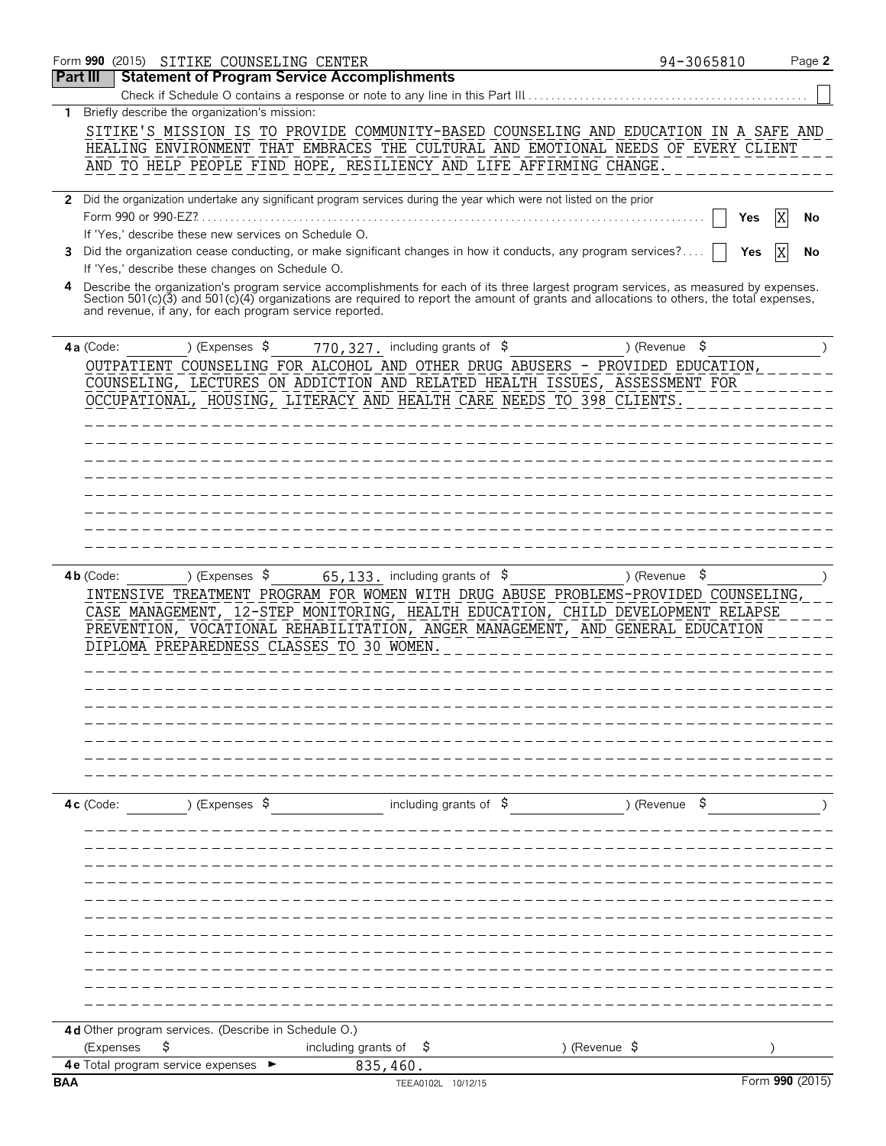|                 | Form 990 (2015) SITIKE COUNSELING CENTER                                                                                                                                                                                                                                                                                                                                                                                                                                                                                                                                                                                                                                                       | 94-3065810       | Page 2                      |
|-----------------|------------------------------------------------------------------------------------------------------------------------------------------------------------------------------------------------------------------------------------------------------------------------------------------------------------------------------------------------------------------------------------------------------------------------------------------------------------------------------------------------------------------------------------------------------------------------------------------------------------------------------------------------------------------------------------------------|------------------|-----------------------------|
| <b>Part III</b> | <b>Statement of Program Service Accomplishments</b>                                                                                                                                                                                                                                                                                                                                                                                                                                                                                                                                                                                                                                            |                  |                             |
|                 | Check if Schedule O contains a response or note to any line in this Part III                                                                                                                                                                                                                                                                                                                                                                                                                                                                                                                                                                                                                   |                  |                             |
|                 | 1 Briefly describe the organization's mission:<br>SITIKE'S MISSION IS TO PROVIDE COMMUNITY-BASED COUNSELING AND EDUCATION IN A SAFE AND<br>HEALING ENVIRONMENT THAT EMBRACES THE CULTURAL AND EMOTIONAL NEEDS OF EVERY CLIENT<br>AND TO HELP PEOPLE FIND HOPE, RESILIENCY AND LIFE AFFIRMING CHANGE                                                                                                                                                                                                                                                                                                                                                                                            |                  |                             |
| 3               | 2 Did the organization undertake any significant program services during the year which were not listed on the prior<br>If 'Yes,' describe these new services on Schedule O.<br>Did the organization cease conducting, or make significant changes in how it conducts, any program services?<br>If 'Yes,' describe these changes on Schedule O.<br>Describe the organization's program service accomplishments for each of its three largest program services, as measured by expenses.<br>Section 501(c)(3) and 501(c)(4) organizations are required to report the amount of grants and allocations to others, the total expenses,<br>and revenue, if any, for each program service reported. | Yes              | ΙX<br>No<br>Yes<br>ΙX<br>No |
|                 |                                                                                                                                                                                                                                                                                                                                                                                                                                                                                                                                                                                                                                                                                                |                  |                             |
| $4a$ (Code:     | 770, 327. including grants of \$<br>) (Expenses $\frac{1}{2}$<br>OUTPATIENT COUNSELING FOR ALCOHOL AND OTHER DRUG ABUSERS - PROVIDED EDUCATION,<br>COUNSELING, LECTURES ON ADDICTION AND RELATED HEALTH ISSUES, ASSESSMENT FOR<br>OCCUPATIONAL, HOUSING, LITERACY AND HEALTH CARE NEEDS TO 398 CLIENTS.                                                                                                                                                                                                                                                                                                                                                                                        | \$<br>) (Revenue |                             |
| $4b$ (Code:     | $65, 133$ . including grants of $\frac{1}{5}$<br>) (Expenses $\sqrt{5}$<br>INTENSIVE TREATMENT PROGRAM FOR WOMEN WITH DRUG ABUSE PROBLEMS-PROVIDED COUNSELING,<br>CASE MANAGEMENT, 12-STEP MONITORING, HEALTH EDUCATION, CHILD DEVELOPMENT RELAPSE<br>PREVENTION, VOCATIONAL REHABILITATION, ANGER MANAGEMENT, AND GENERAL EDUCATION<br>DIPLOMA PREPAREDNESS CLASSES TO 30 WOMEN.                                                                                                                                                                                                                                                                                                              | Ş.<br>) (Revenue |                             |
| 4c (Code:       | including grants of $\frac{1}{2}$<br>) (Expenses \$                                                                                                                                                                                                                                                                                                                                                                                                                                                                                                                                                                                                                                            | ) (Revenue \$    |                             |
|                 | 4d Other program services. (Describe in Schedule O.)<br>\$<br>including grants of<br>) (Revenue \$<br>(Expenses<br>Ş.<br>4e Total program service expenses<br>835,460.                                                                                                                                                                                                                                                                                                                                                                                                                                                                                                                         |                  |                             |
| <b>BAA</b>      | TEEA0102L 10/12/15                                                                                                                                                                                                                                                                                                                                                                                                                                                                                                                                                                                                                                                                             |                  | Form 990 (2015)             |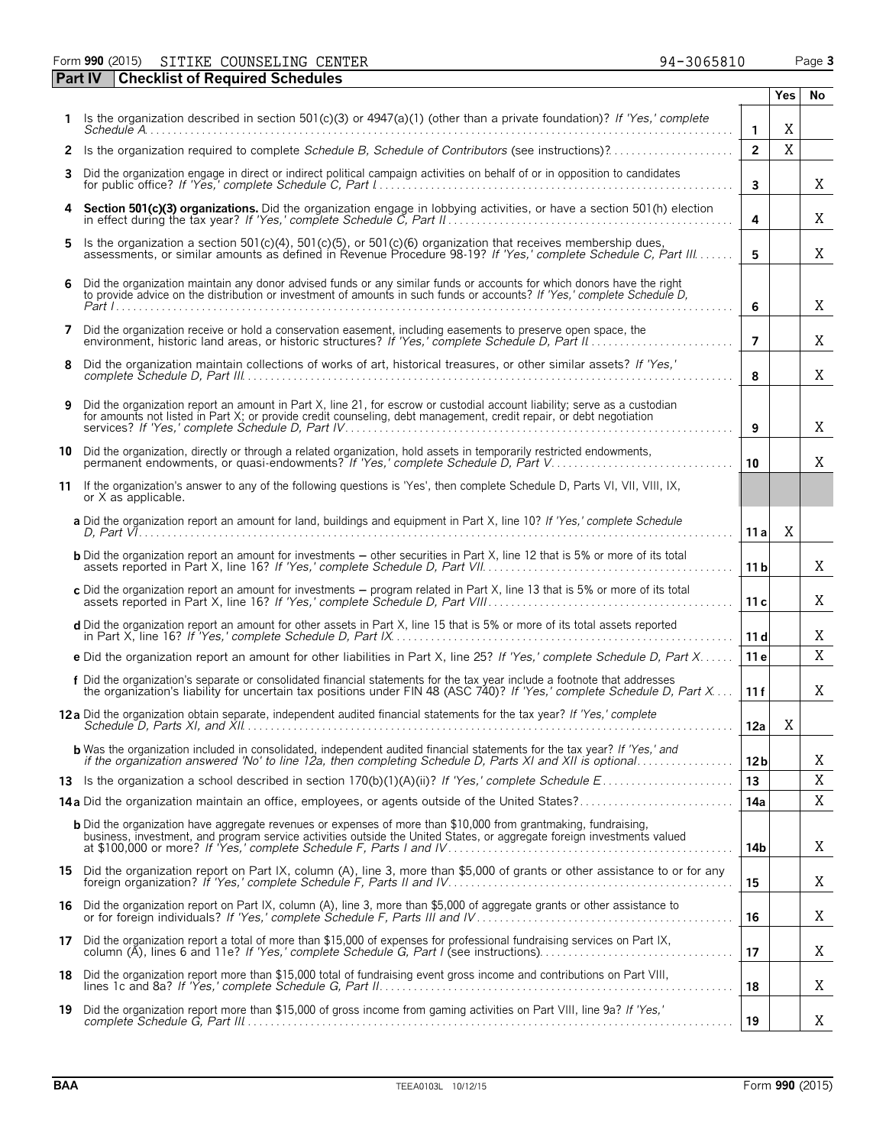Form **990** (2015) Page **3** SITIKE COUNSELING CENTER 94-3065810

|    | Part IV | <b>Checklist of Required Schedules</b>                                                                                                                                                                                                              |                 |     |    |
|----|---------|-----------------------------------------------------------------------------------------------------------------------------------------------------------------------------------------------------------------------------------------------------|-----------------|-----|----|
|    |         |                                                                                                                                                                                                                                                     |                 | Yes | No |
|    |         | 1 Is the organization described in section $501(c)(3)$ or $4947(a)(1)$ (other than a private foundation)? If 'Yes,' complete                                                                                                                        | $\mathbf{1}$    | Χ   |    |
|    |         |                                                                                                                                                                                                                                                     | $\overline{2}$  | X   |    |
| 3. |         | Did the organization engage in direct or indirect political campaign activities on behalf of or in opposition to candidates                                                                                                                         | 3               |     | Χ  |
| 4  |         | Section 501(c)(3) organizations. Did the organization engage in lobbying activities, or have a section 501(h) election                                                                                                                              | 4               |     | Χ  |
| 5. |         | Is the organization a section 501(c)(4), 501(c)(5), or 501(c)(6) organization that receives membership dues,<br>assessments, or similar amounts as defined in Revenue Procedure 98-19? If 'Yes,' complete Schedule C, Part III                      | 5               |     | Χ  |
| 6  |         | Did the organization maintain any donor advised funds or any similar funds or accounts for which donors have the right<br>to provide advice on the distribution or investment of amounts in such funds or accounts? If 'Yes,' complete Schedule D,  | 6               |     | X  |
|    |         | 7 Did the organization receive or hold a conservation easement, including easements to preserve open space, the                                                                                                                                     | $\overline{7}$  |     | Χ  |
| 8  |         | Did the organization maintain collections of works of art, historical treasures, or other similar assets? If 'Yes,'                                                                                                                                 | 8               |     | Χ  |
| 9  |         | Did the organization report an amount in Part X, line 21, for escrow or custodial account liability; serve as a custodian<br>for amounts not listed in Part X; or provide credit counseling, debt management, credit repair, or debt negotiation    | 9               |     | X  |
|    |         | 10 Did the organization, directly or through a related organization, hold assets in temporarily restricted endowments,<br>permanent endowments, or quasi-endowments? If 'Yes,' complete Schedule D, Part V                                          | 10 <sup>1</sup> |     | Χ  |
| 11 |         | If the organization's answer to any of the following questions is 'Yes', then complete Schedule D, Parts VI, VII, VIII, IX,<br>or X as applicable.                                                                                                  |                 |     |    |
|    |         | a Did the organization report an amount for land, buildings and equipment in Part X, line 10? If 'Yes,' complete Schedule                                                                                                                           | 11 a            | X   |    |
|    |         | <b>b</b> Did the organization report an amount for investments – other securities in Part X, line 12 that is 5% or more of its total                                                                                                                | 11 <sub>b</sub> |     | Χ  |
|    |         | c Did the organization report an amount for investments - program related in Part X, line 13 that is 5% or more of its total                                                                                                                        | 11c             |     | Χ  |
|    |         | d Did the organization report an amount for other assets in Part X, line 15 that is 5% or more of its total assets reported                                                                                                                         | 11d             |     | Χ  |
|    |         | e Did the organization report an amount for other liabilities in Part X, line 25? If 'Yes,' complete Schedule D, Part X                                                                                                                             | 11e             |     | X  |
|    |         | f Did the organization's separate or consolidated financial statements for the tax year include a footnote that addresses<br>the organization's liability for uncertain tax positions under FIN 48 (ASC 740)? If 'Yes,' complete Schedule D, Part X | 11f             |     | Χ  |
|    |         | 12a Did the organization obtain separate, independent audited financial statements for the tax year? If 'Yes,' complete                                                                                                                             | 12a             | X   |    |
|    |         | <b>b</b> Was the organization included in consolidated, independent audited financial statements for the tax year? If 'Yes,' and<br>if the organization answered 'No' to line 12a, then completing Schedule D, Parts XI and XII is optional         | 12 <sub>b</sub> |     | Χ  |
|    |         |                                                                                                                                                                                                                                                     | 13              |     | X  |
|    |         | 14a Did the organization maintain an office, employees, or agents outside of the United States?                                                                                                                                                     | 14a             |     | Χ  |
|    |         | <b>b</b> Did the organization have aggregate revenues or expenses of more than \$10,000 from grantmaking, fundraising,<br>business, investment, and program service activities outside the United States, or aggregate foreign investments valued   | 14b             |     | X  |
|    |         | 15 Did the organization report on Part IX, column (A), line 3, more than \$5,000 of grants or other assistance to or for any                                                                                                                        | 15              |     | Χ  |
|    |         | 16 Did the organization report on Part IX, column (A), line 3, more than \$5,000 of aggregate grants or other assistance to<br>or for foreign individuals? If 'Yes,' complete Schedule F, Parts III and IV                                          | 16              |     | Χ  |
|    |         | 17 Did the organization report a total of more than \$15,000 of expenses for professional fundraising services on Part IX,                                                                                                                          | 17              |     | Χ  |
|    |         | 18 Did the organization report more than \$15,000 total of fundraising event gross income and contributions on Part VIII,                                                                                                                           | 18              |     | Χ  |
|    |         | 19 Did the organization report more than \$15,000 of gross income from gaming activities on Part VIII, line 9a? If 'Yes,'                                                                                                                           | 19              |     | Χ  |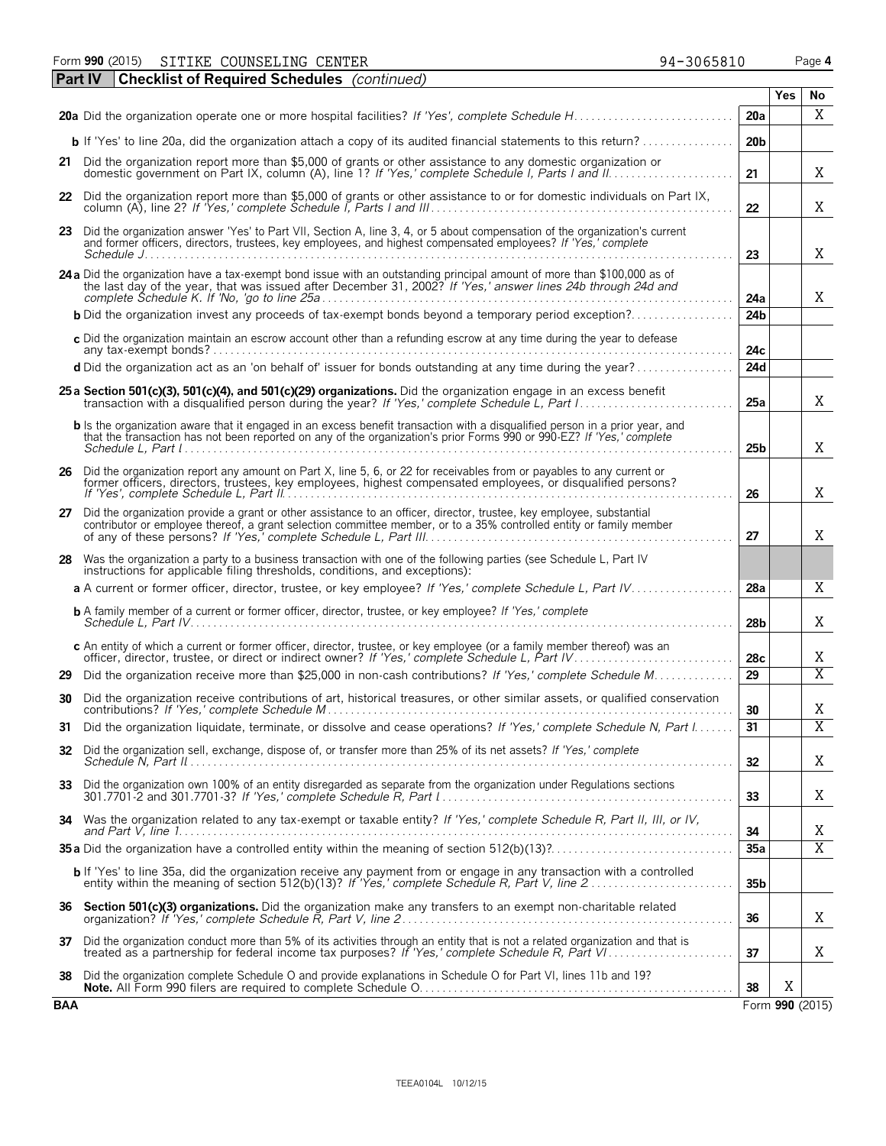Form **990** (2015) Page **4** SITIKE COUNSELING CENTER 94-3065810

|            | <b>Checklist of Required Schedules</b> (continued)<br><b>Part IV</b>                                                                                                                                                                                                                                                                                                                                                                                                              |                 |     |                         |
|------------|-----------------------------------------------------------------------------------------------------------------------------------------------------------------------------------------------------------------------------------------------------------------------------------------------------------------------------------------------------------------------------------------------------------------------------------------------------------------------------------|-----------------|-----|-------------------------|
|            |                                                                                                                                                                                                                                                                                                                                                                                                                                                                                   |                 | Yes | No                      |
|            |                                                                                                                                                                                                                                                                                                                                                                                                                                                                                   | 20a             |     | X                       |
|            | <b>b</b> If 'Yes' to line 20a, did the organization attach a copy of its audited financial statements to this return?                                                                                                                                                                                                                                                                                                                                                             | 20 <sub>b</sub> |     |                         |
|            | 21 Did the organization report more than \$5,000 of grants or other assistance to any domestic organization or                                                                                                                                                                                                                                                                                                                                                                    | 21              |     | Χ                       |
|            | 22 Did the organization report more than \$5,000 of grants or other assistance to or for domestic individuals on Part IX,                                                                                                                                                                                                                                                                                                                                                         | 22              |     | Χ                       |
|            | 23 Did the organization answer 'Yes' to Part VII, Section A, line 3, 4, or 5 about compensation of the organization's current<br>and former officers, directors, trustees, key employees, and highest compensated employees? If 'Yes,' complete<br>Schedule July 2006 - Schedule July 2006 - Schedule July 2007 - Schedule July 2007 - Schedule July 2007 - Schedule July 2007 - Schedule July 2007 - Schedule July 2007 - Schedule July 2007 - Schedule July 2007 - Schedule Jul | 23              |     | Χ                       |
|            | 24 a Did the organization have a tax-exempt bond issue with an outstanding principal amount of more than \$100,000 as of the last day of the year, that was issued after December 31, 2002? If 'Yes,' answer lines 24b through                                                                                                                                                                                                                                                    | 24a             |     | X                       |
|            | <b>b</b> Did the organization invest any proceeds of tax-exempt bonds beyond a temporary period exception?                                                                                                                                                                                                                                                                                                                                                                        | 24 <sub>b</sub> |     |                         |
|            | c Did the organization maintain an escrow account other than a refunding escrow at any time during the year to defease                                                                                                                                                                                                                                                                                                                                                            | 24c             |     |                         |
|            | d Did the organization act as an 'on behalf of' issuer for bonds outstanding at any time during the year?                                                                                                                                                                                                                                                                                                                                                                         | 24d             |     |                         |
|            | 25 a Section 501(c)(3), 501(c)(4), and 501(c)(29) organizations. Did the organization engage in an excess benefit                                                                                                                                                                                                                                                                                                                                                                 | 25a             |     | X                       |
|            | <b>b</b> Is the organization aware that it engaged in an excess benefit transaction with a disqualified person in a prior year, and<br>that the transaction has not been reported on any of the organization's prior Forms 990 or 990-EZ? If 'Yes,' complete                                                                                                                                                                                                                      | 25 <sub>b</sub> |     | X                       |
| 26         | Did the organization report any amount on Part X, line 5, 6, or 22 for receivables from or payables to any current or                                                                                                                                                                                                                                                                                                                                                             | 26              |     | Χ                       |
| 27         | Did the organization provide a grant or other assistance to an officer, director, trustee, key employee, substantial<br>contributor or employee thereof, a grant selection committee member, or to a 35% controlled entity or family member                                                                                                                                                                                                                                       | 27              |     | Χ                       |
|            | 28 Was the organization a party to a business transaction with one of the following parties (see Schedule L, Part IV<br>instructions for applicable filing thresholds, conditions, and exceptions):                                                                                                                                                                                                                                                                               |                 |     |                         |
|            | a A current or former officer, director, trustee, or key employee? If 'Yes,' complete Schedule L, Part IV                                                                                                                                                                                                                                                                                                                                                                         | 28a             |     | Χ                       |
|            | <b>b</b> A family member of a current or former officer, director, trustee, or key employee? If 'Yes,' complete                                                                                                                                                                                                                                                                                                                                                                   | 28 <sub>b</sub> |     | Χ                       |
|            | c An entity of which a current or former officer, director, trustee, or key employee (or a family member thereof) was an                                                                                                                                                                                                                                                                                                                                                          | 28c             |     | Χ                       |
| 29         | Did the organization receive more than \$25,000 in non-cash contributions? If 'Yes,' complete Schedule M                                                                                                                                                                                                                                                                                                                                                                          | $\overline{29}$ |     | $\overline{X}$          |
| 30         | Did the organization receive contributions of art, historical treasures, or other similar assets, or qualified conservation                                                                                                                                                                                                                                                                                                                                                       | 30              |     | Χ                       |
|            | Did the organization liquidate, terminate, or dissolve and cease operations? If 'Yes,' complete Schedule N, Part I.                                                                                                                                                                                                                                                                                                                                                               | 31              |     | $\overline{\mathrm{X}}$ |
| 32         | Did the organization sell, exchange, dispose of, or transfer more than 25% of its net assets? If 'Yes,' complete                                                                                                                                                                                                                                                                                                                                                                  | 32              |     | Χ                       |
|            | 33 Did the organization own 100% of an entity disregarded as separate from the organization under Regulations sections                                                                                                                                                                                                                                                                                                                                                            | 33              |     | Χ                       |
|            | 34 Was the organization related to any tax-exempt or taxable entity? If 'Yes,' complete Schedule R, Part II, III, or IV,                                                                                                                                                                                                                                                                                                                                                          | 34              |     | Χ                       |
|            |                                                                                                                                                                                                                                                                                                                                                                                                                                                                                   | 35a             |     | $\overline{X}$          |
|            | b If 'Yes' to line 35a, did the organization receive any payment from or engage in any transaction with a controlled                                                                                                                                                                                                                                                                                                                                                              | 35b             |     |                         |
|            | 36 Section 501(c)(3) organizations. Did the organization make any transfers to an exempt non-charitable related                                                                                                                                                                                                                                                                                                                                                                   | 36              |     | Χ                       |
|            | 37 Did the organization conduct more than 5% of its activities through an entity that is not a related organization and that is<br>treated as a partnership for federal income tax purposes? If 'Yes,' complete Schedule R, Part VI                                                                                                                                                                                                                                               | 37              |     | Χ                       |
| 38         | Did the organization complete Schedule O and provide explanations in Schedule O for Part VI, lines 11b and 19?                                                                                                                                                                                                                                                                                                                                                                    | 38              | X   |                         |
| <b>BAA</b> |                                                                                                                                                                                                                                                                                                                                                                                                                                                                                   |                 |     | Form 990 (2015)         |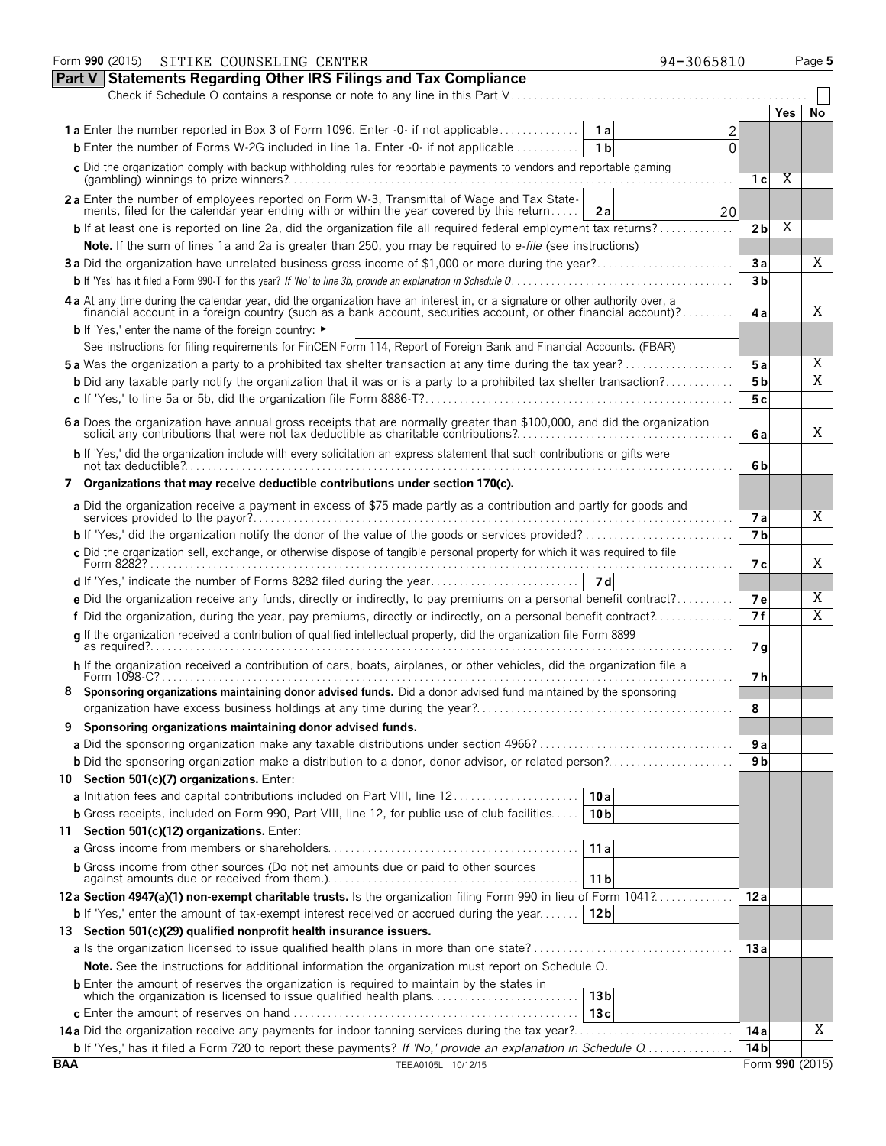|            | Form 990 (2015)<br>SITIKE COUNSELING CENTER<br>94-3065810                                                                                                                                                                      |                 |     | Page 5          |
|------------|--------------------------------------------------------------------------------------------------------------------------------------------------------------------------------------------------------------------------------|-----------------|-----|-----------------|
| Part V     | <b>Statements Regarding Other IRS Filings and Tax Compliance</b>                                                                                                                                                               |                 |     |                 |
|            | Check if Schedule O contains a response or note to any line in this Part V                                                                                                                                                     |                 |     |                 |
|            |                                                                                                                                                                                                                                |                 | Yes | No              |
|            | <b>1a</b> Enter the number reported in Box 3 of Form 1096. Enter -0- if not applicable<br>1a                                                                                                                                   |                 |     |                 |
|            | <b>b</b> Enter the number of Forms W-2G included in line 1a. Enter -0- if not applicable<br>1 <sub>b</sub><br>0                                                                                                                |                 |     |                 |
|            | c Did the organization comply with backup withholding rules for reportable payments to vendors and reportable gaming                                                                                                           | 1 с             | Χ   |                 |
|            | 2a Enter the number of employees reported on Form W-3, Transmittal of Wage and Tax State-<br>ments, filed for the calendar year ending with or within the year covered by this return<br>20<br>2a                              |                 |     |                 |
|            | <b>b</b> If at least one is reported on line 2a, did the organization file all required federal employment tax returns?                                                                                                        | 2b              | Χ   |                 |
|            | Note. If the sum of lines 1a and 2a is greater than 250, you may be required to e-file (see instructions)                                                                                                                      |                 |     | Χ               |
|            | 3a Did the organization have unrelated business gross income of \$1,000 or more during the year?                                                                                                                               | 3a              |     |                 |
|            |                                                                                                                                                                                                                                | 3 <sub>b</sub>  |     |                 |
|            | 4 a At any time during the calendar year, did the organization have an interest in, or a signature or other authority over, a financial account in a foreign country (such as a bank account, securities account, or other fin | 4a              |     | Χ               |
|            | <b>b</b> If 'Yes,' enter the name of the foreign country: ►                                                                                                                                                                    |                 |     |                 |
|            | See instructions for filing requirements for FinCEN Form 114, Report of Foreign Bank and Financial Accounts. (FBAR)                                                                                                            |                 |     | Χ               |
|            | <b>5a</b> Was the organization a party to a prohibited tax shelter transaction at any time during the tax year?                                                                                                                | 5a              |     | Χ               |
|            | <b>b</b> Did any taxable party notify the organization that it was or is a party to a prohibited tax shelter transaction?                                                                                                      | 5 <sub>b</sub>  |     |                 |
|            |                                                                                                                                                                                                                                | 5c              |     |                 |
|            | 6 a Does the organization have annual gross receipts that are normally greater than \$100,000, and did the organization solicit any contributions that were not tax deductible as charitable contributions?                    | 6a              |     | Χ               |
|            | b If 'Yes,' did the organization include with every solicitation an express statement that such contributions or gifts were                                                                                                    | 6b              |     |                 |
|            | 7 Organizations that may receive deductible contributions under section 170(c).                                                                                                                                                |                 |     |                 |
|            | a Did the organization receive a payment in excess of \$75 made partly as a contribution and partly for goods and                                                                                                              | <b>7a</b>       |     | Χ               |
|            |                                                                                                                                                                                                                                | 7 <sub>b</sub>  |     |                 |
|            | c Did the organization sell, exchange, or otherwise dispose of tangible personal property for which it was required to file                                                                                                    | 7 с             |     | X               |
|            |                                                                                                                                                                                                                                |                 |     |                 |
|            | e Did the organization receive any funds, directly or indirectly, to pay premiums on a personal benefit contract?                                                                                                              | 7е              |     | Χ               |
|            | f Did the organization, during the year, pay premiums, directly or indirectly, on a personal benefit contract?                                                                                                                 | 7f              |     | Χ               |
|            | q If the organization received a contribution of qualified intellectual property, did the organization file Form 8899                                                                                                          | 7g              |     |                 |
|            | h If the organization received a contribution of cars, boats, airplanes, or other vehicles, did the organization file a                                                                                                        | 7h              |     |                 |
|            | 8 Sponsoring organizations maintaining donor advised funds. Did a donor advised fund maintained by the sponsoring                                                                                                              |                 |     |                 |
|            |                                                                                                                                                                                                                                | 8               |     |                 |
| 9          | Sponsoring organizations maintaining donor advised funds.                                                                                                                                                                      |                 |     |                 |
|            | a Did the sponsoring organization make any taxable distributions under section 4966?                                                                                                                                           | 9а              |     |                 |
|            | <b>b</b> Did the sponsoring organization make a distribution to a donor, donor advisor, or related person?                                                                                                                     | 9 b             |     |                 |
|            | 10 Section 501(c)(7) organizations. Enter:                                                                                                                                                                                     |                 |     |                 |
|            | 10a<br>a Initiation fees and capital contributions included on Part VIII, line 12                                                                                                                                              |                 |     |                 |
|            | 10 <sub>b</sub><br><b>b</b> Gross receipts, included on Form 990, Part VIII, line 12, for public use of club facilities                                                                                                        |                 |     |                 |
|            | 11 Section 501(c)(12) organizations. Enter:                                                                                                                                                                                    |                 |     |                 |
|            | 11a                                                                                                                                                                                                                            |                 |     |                 |
|            | <b>b</b> Gross income from other sources (Do not net amounts due or paid to other sources<br>11 <sub>b</sub>                                                                                                                   |                 |     |                 |
|            | 12a Section 4947(a)(1) non-exempt charitable trusts. Is the organization filing Form 990 in lieu of Form 1041?                                                                                                                 | 12a             |     |                 |
|            | <b>b</b> If 'Yes,' enter the amount of tax-exempt interest received or accrued during the year<br>12 <sub>b</sub>                                                                                                              |                 |     |                 |
|            | 13 Section 501(c)(29) qualified nonprofit health insurance issuers.                                                                                                                                                            |                 |     |                 |
|            |                                                                                                                                                                                                                                | 13a             |     |                 |
|            | <b>Note.</b> See the instructions for additional information the organization must report on Schedule O.                                                                                                                       |                 |     |                 |
|            | 13 <sub>b</sub>                                                                                                                                                                                                                |                 |     |                 |
|            | 13c                                                                                                                                                                                                                            |                 |     |                 |
|            |                                                                                                                                                                                                                                | 14 a            |     | X               |
|            | <b>b</b> If 'Yes,' has it filed a Form 720 to report these payments? If 'No,' provide an explanation in Schedule O                                                                                                             | 14 <sub>b</sub> |     |                 |
| <b>BAA</b> | TEEA0105L 10/12/15                                                                                                                                                                                                             |                 |     | Form 990 (2015) |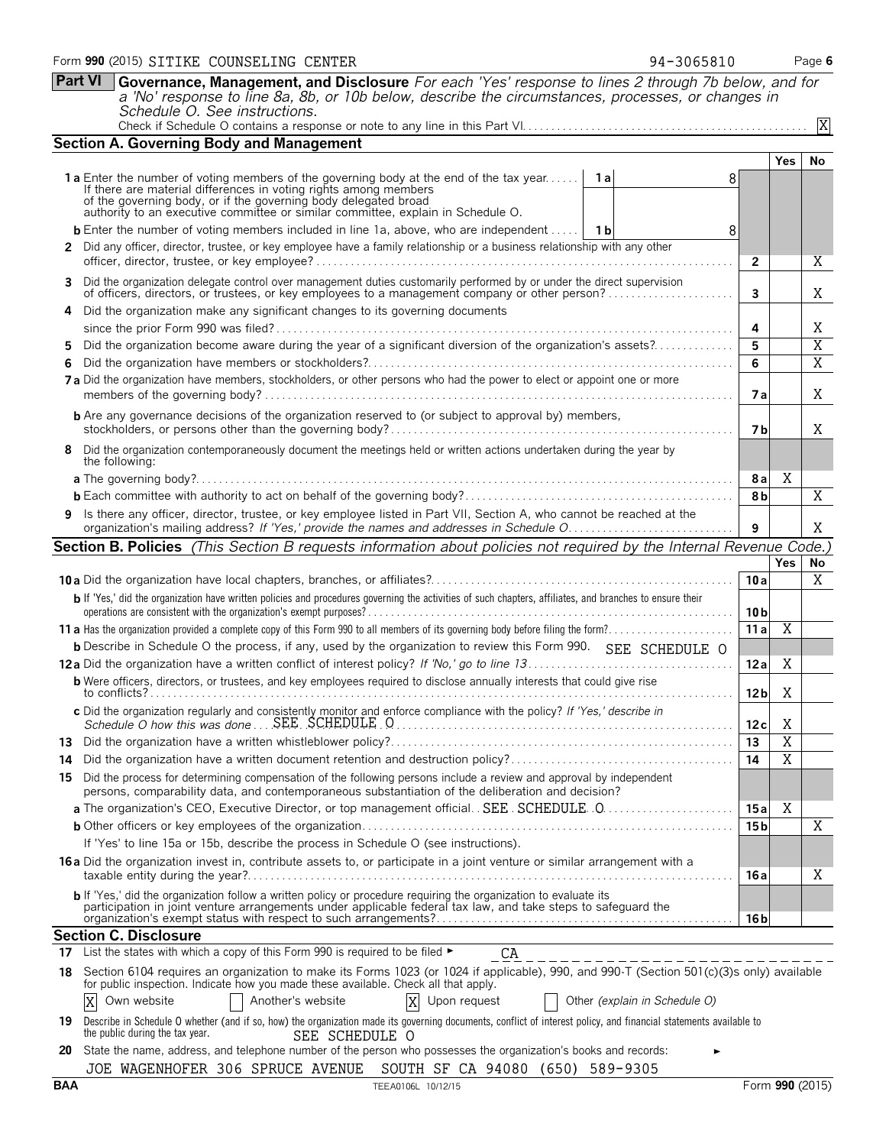|     | <b>Section A. Governing Body and Management</b>                                                                                                                                                                                                                                                           |                 |                         |                 |
|-----|-----------------------------------------------------------------------------------------------------------------------------------------------------------------------------------------------------------------------------------------------------------------------------------------------------------|-----------------|-------------------------|-----------------|
|     |                                                                                                                                                                                                                                                                                                           |                 | Yes                     | No.             |
|     | <b>1a</b> Enter the number of voting members of the governing body at the end of the tax year<br>1 a<br>If there are material differences in voting rights among members                                                                                                                                  | 8               |                         |                 |
|     | of the governing body, or if the governing body delegated broad<br>authority to an executive committee or similar committee, explain in Schedule O.                                                                                                                                                       |                 |                         |                 |
|     | <b>b</b> Enter the number of voting members included in line 1a, above, who are independent    1b                                                                                                                                                                                                         | 8               |                         |                 |
|     | 2 Did any officer, director, trustee, or key employee have a family relationship or a business relationship with any other                                                                                                                                                                                | $\overline{2}$  |                         | X               |
|     | 3 Did the organization delegate control over management duties customarily performed by or under the direct supervision<br>of officers, directors, or trustees, or key employees to a management company or other person?                                                                                 | 3               |                         | Χ               |
|     | Did the organization make any significant changes to its governing documents                                                                                                                                                                                                                              |                 |                         |                 |
|     |                                                                                                                                                                                                                                                                                                           | 4               |                         | Χ               |
| 5   | Did the organization become aware during the year of a significant diversion of the organization's assets?                                                                                                                                                                                                | 5               |                         | $\overline{X}$  |
| 6   |                                                                                                                                                                                                                                                                                                           | 6               |                         | $\overline{X}$  |
|     | 7a Did the organization have members, stockholders, or other persons who had the power to elect or appoint one or more                                                                                                                                                                                    | 7а              |                         | X               |
|     | <b>b</b> Are any governance decisions of the organization reserved to (or subject to approval by) members,                                                                                                                                                                                                | 7 b             |                         | X               |
| 8   | Did the organization contemporaneously document the meetings held or written actions undertaken during the year by<br>the following:                                                                                                                                                                      |                 |                         |                 |
|     |                                                                                                                                                                                                                                                                                                           | 8 a             | Χ                       |                 |
|     |                                                                                                                                                                                                                                                                                                           | 8b              |                         | X               |
|     | 9 Is there any officer, director, trustee, or key employee listed in Part VII, Section A, who cannot be reached at the                                                                                                                                                                                    | 9               |                         | Χ               |
|     | <b>Section B. Policies</b> (This Section B requests information about policies not required by the Internal Revenue Code.)                                                                                                                                                                                |                 |                         |                 |
|     |                                                                                                                                                                                                                                                                                                           |                 | <b>Yes</b>              | No              |
|     |                                                                                                                                                                                                                                                                                                           | 10a             |                         | X               |
|     | b If 'Yes,' did the organization have written policies and procedures governing the activities of such chapters, affiliates, and branches to ensure their                                                                                                                                                 | 10 <sub>b</sub> |                         |                 |
|     |                                                                                                                                                                                                                                                                                                           | 11a             | $\overline{\mathbf{X}}$ |                 |
|     | <b>b</b> Describe in Schedule O the process, if any, used by the organization to review this Form 990. SEE SCHEDULE O                                                                                                                                                                                     |                 |                         |                 |
|     |                                                                                                                                                                                                                                                                                                           | 12a             | Χ                       |                 |
|     | <b>b</b> Were officers, directors, or trustees, and key employees required to disclose annually interests that could give rise                                                                                                                                                                            | 12 <sub>b</sub> | Χ                       |                 |
|     | c Did the organization regularly and consistently monitor and enforce compliance with the policy? If 'Yes,' describe in<br>Schedule O how this was done $\ldots$ SEE, SCHEDULE, Q, $\ldots$ , $\ldots$ , $\ldots$ , $\ldots$ , $\ldots$ , $\ldots$ , $\ldots$ , $\ldots$ , $\ldots$ , $\ldots$ , $\ldots$ | 12c             | Χ                       |                 |
|     |                                                                                                                                                                                                                                                                                                           | 13              | $\overline{\mathbf{X}}$ |                 |
| 14  |                                                                                                                                                                                                                                                                                                           | 14              | $\overline{\mathrm{X}}$ |                 |
| 15. | Did the process for determining compensation of the following persons include a review and approval by independent<br>persons, comparability data, and contemporaneous substantiation of the deliberation and decision?                                                                                   |                 |                         |                 |
|     |                                                                                                                                                                                                                                                                                                           | 15 a            | Χ                       |                 |
|     |                                                                                                                                                                                                                                                                                                           | 15 <sub>b</sub> |                         | X               |
|     | If 'Yes' to line 15a or 15b, describe the process in Schedule O (see instructions).                                                                                                                                                                                                                       |                 |                         |                 |
|     | 16 a Did the organization invest in, contribute assets to, or participate in a joint venture or similar arrangement with a                                                                                                                                                                                | 16 a            |                         | Χ               |
|     | b If 'Yes,' did the organization follow a written policy or procedure requiring the organization to evaluate its<br>participation in joint venture arrangements under applicable federal tax law, and take steps to safeguard the                                                                         | 16 b            |                         |                 |
|     | <b>Section C. Disclosure</b>                                                                                                                                                                                                                                                                              |                 |                         |                 |
|     | 17 List the states with which a copy of this Form 990 is required to be filed $\blacktriangleright$<br>CA                                                                                                                                                                                                 |                 |                         |                 |
|     | 18 Section 6104 requires an organization to make its Forms 1023 (or 1024 if applicable), 990, and 990-T (Section 501(c)(3)s only) available<br>for public inspection. Indicate how you made these available. Check all that apply.                                                                        |                 |                         |                 |
|     | X<br>Own website<br>Another's website<br>Other (explain in Schedule O)<br>Upon request                                                                                                                                                                                                                    |                 |                         |                 |
|     | 19 Describe in Schedule O whether (and if so, how) the organization made its governing documents, conflict of interest policy, and financial statements available to<br>the public during the tax year.<br>SEE SCHEDULE O                                                                                 |                 |                         |                 |
| 20  | State the name, address, and telephone number of the person who possesses the organization's books and records:                                                                                                                                                                                           |                 |                         |                 |
|     | SOUTH SF CA 94080 (650) 589-9305<br>JOE WAGENHOFER 306 SPRUCE AVENUE                                                                                                                                                                                                                                      |                 |                         |                 |
| BAA | TEEA0106L 10/12/15                                                                                                                                                                                                                                                                                        |                 |                         | Form 990 (2015) |

**Part VI Governance, Management, and Disclosure** *For each 'Yes' response to lines 2 through 7b below, and for a 'No' response to line 8a, 8b, or 10b below, describe the circumstances, processes, or changes in*

Check if Schedule O contains a response or note to any line in this Part VI. . . . . . . . . . . . . . . . . . . . . . . . . . . . . . . . . . . . . . . . . . . . . . . . . .

*Schedule O. See instructions.*

X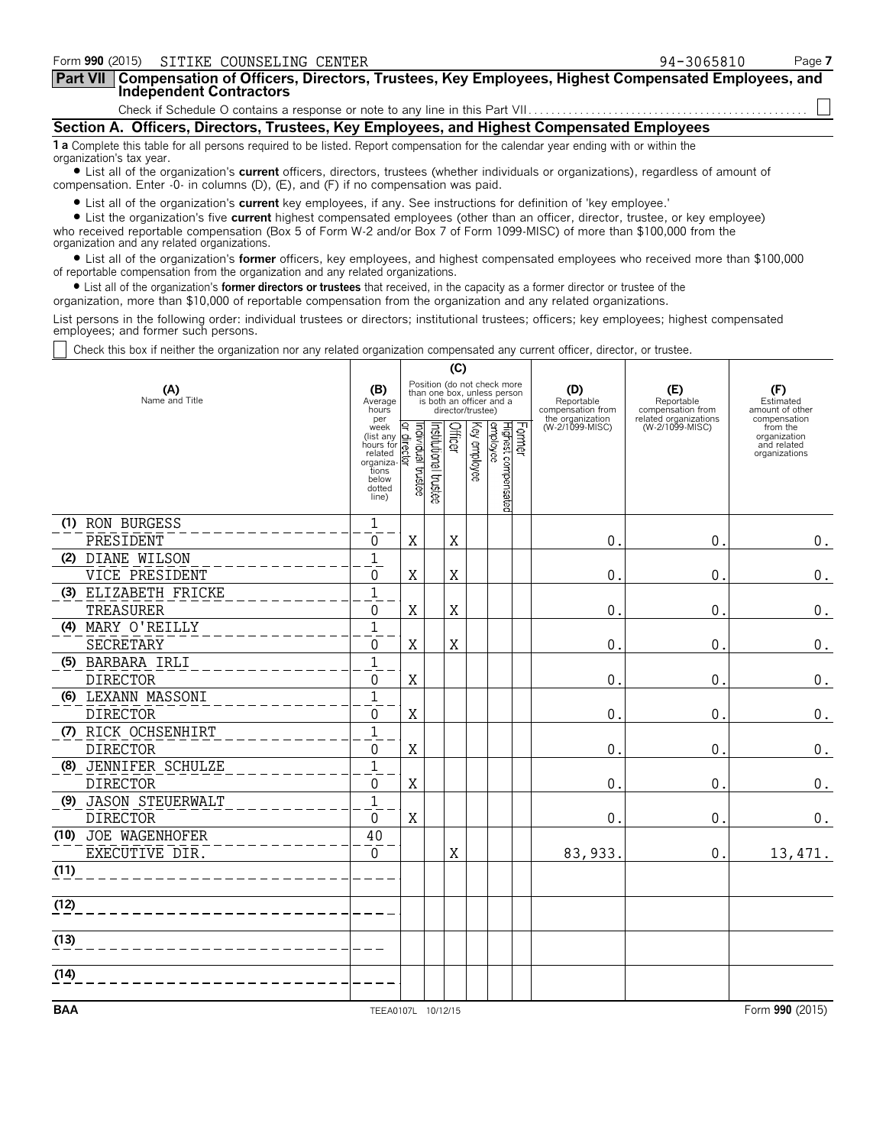| Form 990 (2015) SITIKE COUNSELING CENTER                                                                                                                                                                                    | 94-3065810 | Page 7 |
|-----------------------------------------------------------------------------------------------------------------------------------------------------------------------------------------------------------------------------|------------|--------|
| Part VII   Compensation of Officers, Directors, Trustees, Key Employees, Highest Compensated Employees, and<br><b>Independent Contractors</b>                                                                               |            |        |
|                                                                                                                                                                                                                             |            |        |
| Section A. Officers, Directors, Trustees, Key Employees, and Highest Compensated Employees                                                                                                                                  |            |        |
| 1 a Complete this table for all persons required to be listed. Report compensation for the calendar year ending with or within the<br>organization's tax year.                                                              |            |        |
| • List all of the organization's current officers, directors, trustees (whether individuals or organizations), regardless of amount of<br>compensation. Enter -0- in columns (D), (E), and (F) if no compensation was paid. |            |        |
| • List all of the organization's current key employees, if any. See instructions for definition of 'key employee.'                                                                                                          |            |        |

? List the organization's five **current** highest compensated employees (other than an officer, director, trustee, or key employee) who received reportable compensation (Box 5 of Form W-2 and/or Box 7 of Form 1099-MISC) of more than \$100,000 from the organization and any related organizations.

? List all of the organization's **former** officers, key employees, and highest compensated employees who received more than \$100,000 of reportable compensation from the organization and any related organizations.

? List all of the organization's **former directors or trustees** that received, in the capacity as a former director or trustee of the

organization, more than \$10,000 of reportable compensation from the organization and any related organizations.

List persons in the following order: individual trustees or directors; institutional trustees; officers; key employees; highest compensated employees; and former such persons.

Check this box if neither the organization nor any related organization compensated any current officer, director, or trustee.

|                       |                                                                                            |                                    |                       | (C)     |                   |                                                                                        |                                                            |                                          |                                                          |
|-----------------------|--------------------------------------------------------------------------------------------|------------------------------------|-----------------------|---------|-------------------|----------------------------------------------------------------------------------------|------------------------------------------------------------|------------------------------------------|----------------------------------------------------------|
| (A)<br>Name and Title | (B)<br>Average<br>hours<br>per                                                             |                                    |                       |         | director/trustee) | Position (do not check more<br>than one box, unless person<br>is both an officer and a | (D)<br>Reportable<br>compensation from<br>the organization | (E)<br>Reportable<br>compensation from   | (F)<br>Estimated<br>amount of other<br>compensation      |
|                       | week<br>(list any<br>hours for<br>related<br>organiza<br>tions<br>below<br>dotted<br>line) | Individual trustee<br>direct<br>ត្ | Institutional trustee | Officer | Key employee      | Former<br>Highest compensated<br> employee                                             | (W-2/1099-MISC)                                            | related organizations<br>(W-2/1099-MISC) | from the<br>organization<br>and related<br>organizations |
| (1) RON BURGESS       | $\mathbf{1}$                                                                               |                                    |                       |         |                   |                                                                                        |                                                            |                                          |                                                          |
| PRESIDENT             | $\Omega$                                                                                   | X                                  |                       | X       |                   |                                                                                        | $\pmb{0}$                                                  | $\mathbf 0$                              | 0.                                                       |
| (2) DIANE WILSON      | $\mathbf{1}$                                                                               |                                    |                       |         |                   |                                                                                        |                                                            |                                          |                                                          |
| VICE PRESIDENT        | $\Omega$                                                                                   | $\rm X$                            |                       | X       |                   |                                                                                        | 0                                                          | $\mathbf 0$                              | 0.                                                       |
| (3) ELIZABETH FRICKE  | $\mathbf{1}$                                                                               |                                    |                       |         |                   |                                                                                        |                                                            |                                          |                                                          |
| TREASURER             | $\Omega$                                                                                   | $\rm X$                            |                       | $\rm X$ |                   |                                                                                        | $\mathbf 0$                                                | 0                                        | $0$ .                                                    |
| (4) MARY O'REILLY     | $\overline{1}$                                                                             |                                    |                       |         |                   |                                                                                        |                                                            |                                          |                                                          |
| SECRETARY             | $\Omega$                                                                                   | X                                  |                       | X       |                   |                                                                                        | 0                                                          | $\pmb{0}$                                | 0.                                                       |
| (5) BARBARA IRLI      | $1\,$                                                                                      |                                    |                       |         |                   |                                                                                        |                                                            |                                          |                                                          |
| <b>DIRECTOR</b>       | $\Omega$                                                                                   | X                                  |                       |         |                   |                                                                                        | 0                                                          | 0                                        | $\boldsymbol{0}$ .                                       |
| (6) LEXANN MASSONI    | $\mathbf{1}$                                                                               |                                    |                       |         |                   |                                                                                        |                                                            |                                          |                                                          |
| <b>DIRECTOR</b>       | $\Omega$                                                                                   | $\rm X$                            |                       |         |                   |                                                                                        | 0                                                          | $\mathbf 0$                              | $0_{.}$                                                  |
| (7) RICK OCHSENHIRT   | $\mathbf{1}$                                                                               |                                    |                       |         |                   |                                                                                        |                                                            |                                          |                                                          |
| <b>DIRECTOR</b>       | $\Omega$                                                                                   | $\mathbf X$                        |                       |         |                   |                                                                                        | $\Omega$                                                   | $\mathbf 0$                              | $\boldsymbol{0}$ .                                       |
| (8) JENNIFER SCHULZE  | $\mathbf{1}$                                                                               |                                    |                       |         |                   |                                                                                        |                                                            |                                          |                                                          |
| <b>DIRECTOR</b>       | $\Omega$                                                                                   | X                                  |                       |         |                   |                                                                                        | $\mathbf 0$                                                | 0                                        | 0.                                                       |
| (9) JASON STEUERWALT  | $\mathbf{1}$                                                                               |                                    |                       |         |                   |                                                                                        |                                                            |                                          |                                                          |
| <b>DIRECTOR</b>       | $\Omega$                                                                                   | X                                  |                       |         |                   |                                                                                        | $\mathbf 0$                                                | 0                                        | 0.                                                       |
| (10) JOE WAGENHOFER   | 40                                                                                         |                                    |                       |         |                   |                                                                                        |                                                            |                                          |                                                          |
| EXECUTIVE DIR.        | $\mathbf 0$                                                                                |                                    |                       | $\rm X$ |                   |                                                                                        | 83,933.                                                    | $\Omega$ .                               | 13, 471.                                                 |
| (11)                  |                                                                                            |                                    |                       |         |                   |                                                                                        |                                                            |                                          |                                                          |
| (12)                  |                                                                                            |                                    |                       |         |                   |                                                                                        |                                                            |                                          |                                                          |
| (13)                  |                                                                                            |                                    |                       |         |                   |                                                                                        |                                                            |                                          |                                                          |
| (14)                  |                                                                                            |                                    |                       |         |                   |                                                                                        |                                                            |                                          |                                                          |
|                       |                                                                                            |                                    |                       |         |                   |                                                                                        |                                                            |                                          |                                                          |
| <b>BAA</b>            | TEEA0107L 10/12/15                                                                         |                                    |                       |         |                   |                                                                                        |                                                            |                                          | Form 990 (2015)                                          |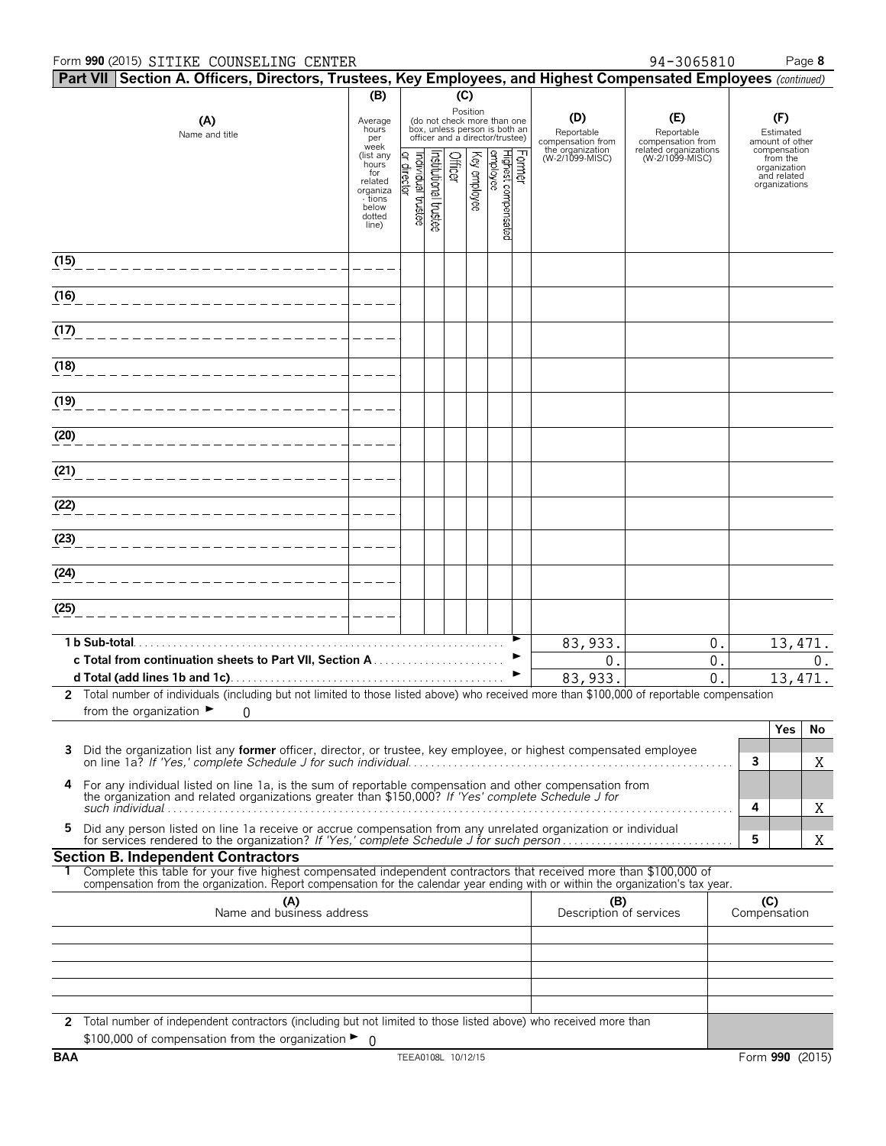#### Form **990** (2015) Page **8** SITIKE COUNSELING CENTER 94-3065810

|      | Part VII Section A. Officers, Directors, Trustees, Key Employees, and Highest Compensated Employees (continued)                                                                                                                                        |                                      |                                  |                      |         |              |                                                                                                             |        |                                        |                                          |                     |                                                         |       |
|------|--------------------------------------------------------------------------------------------------------------------------------------------------------------------------------------------------------------------------------------------------------|--------------------------------------|----------------------------------|----------------------|---------|--------------|-------------------------------------------------------------------------------------------------------------|--------|----------------------------------------|------------------------------------------|---------------------|---------------------------------------------------------|-------|
|      |                                                                                                                                                                                                                                                        | (B)                                  |                                  |                      | (C)     |              |                                                                                                             |        |                                        |                                          |                     |                                                         |       |
|      | (A)<br>Name and title                                                                                                                                                                                                                                  | Average<br>hours<br>per<br>week      |                                  |                      |         |              | Position<br>(do not check more than one<br>box, unless person is both an<br>officer and a director/trustee) |        | (D)<br>Reportable<br>compensation from | (E)<br>Reportable<br>compensation from   |                     | (F)<br>Estimated<br>amount of other                     |       |
|      |                                                                                                                                                                                                                                                        | (list any<br>hours<br>for<br>related | or director<br>ndividual trustee | nstitutional trustee | Officer | Key employee | Highest compensated<br>employee                                                                             | Former | the organization<br>(W-2/1099-MISC)    | related organizations<br>(W-2/1099-MISC) |                     | compensation<br>from the<br>organization<br>and related |       |
|      |                                                                                                                                                                                                                                                        | organiza<br>- tions<br>below         |                                  |                      |         |              |                                                                                                             |        |                                        |                                          |                     | organizations                                           |       |
|      |                                                                                                                                                                                                                                                        | dotted<br>line)                      |                                  |                      |         |              |                                                                                                             |        |                                        |                                          |                     |                                                         |       |
| (15) |                                                                                                                                                                                                                                                        |                                      |                                  |                      |         |              |                                                                                                             |        |                                        |                                          |                     |                                                         |       |
| (16) |                                                                                                                                                                                                                                                        |                                      |                                  |                      |         |              |                                                                                                             |        |                                        |                                          |                     |                                                         |       |
| (17) |                                                                                                                                                                                                                                                        |                                      |                                  |                      |         |              |                                                                                                             |        |                                        |                                          |                     |                                                         |       |
| (18) |                                                                                                                                                                                                                                                        |                                      |                                  |                      |         |              |                                                                                                             |        |                                        |                                          |                     |                                                         |       |
| (19) |                                                                                                                                                                                                                                                        |                                      |                                  |                      |         |              |                                                                                                             |        |                                        |                                          |                     |                                                         |       |
| (20) |                                                                                                                                                                                                                                                        |                                      |                                  |                      |         |              |                                                                                                             |        |                                        |                                          |                     |                                                         |       |
| (21) |                                                                                                                                                                                                                                                        |                                      |                                  |                      |         |              |                                                                                                             |        |                                        |                                          |                     |                                                         |       |
| (22) |                                                                                                                                                                                                                                                        |                                      |                                  |                      |         |              |                                                                                                             |        |                                        |                                          |                     |                                                         |       |
| (23) |                                                                                                                                                                                                                                                        |                                      |                                  |                      |         |              |                                                                                                             |        |                                        |                                          |                     |                                                         |       |
| (24) |                                                                                                                                                                                                                                                        |                                      |                                  |                      |         |              |                                                                                                             |        |                                        |                                          |                     |                                                         |       |
| (25) |                                                                                                                                                                                                                                                        |                                      |                                  |                      |         |              |                                                                                                             |        |                                        |                                          |                     |                                                         |       |
|      | 1 b Sub-total.                                                                                                                                                                                                                                         |                                      |                                  |                      |         |              |                                                                                                             |        | 83, 933.                               | 0.                                       |                     | 13, 471.                                                |       |
|      |                                                                                                                                                                                                                                                        |                                      |                                  |                      |         |              |                                                                                                             | ►<br>▶ | 0.                                     | $0$ .                                    |                     |                                                         | $0$ . |
|      | 2 Total number of individuals (including but not limited to those listed above) who received more than \$100,000 of reportable compensation                                                                                                            |                                      |                                  |                      |         |              |                                                                                                             |        | 83,933.                                | $\overline{0}$                           |                     | 13, 471.                                                |       |
|      | from the organization $\blacktriangleright$<br>0                                                                                                                                                                                                       |                                      |                                  |                      |         |              |                                                                                                             |        |                                        |                                          |                     |                                                         |       |
|      |                                                                                                                                                                                                                                                        |                                      |                                  |                      |         |              |                                                                                                             |        |                                        |                                          |                     | Yes                                                     | No    |
| 3    | Did the organization list any <b>former</b> officer, director, or trustee, key employee, or highest compensated employee                                                                                                                               |                                      |                                  |                      |         |              |                                                                                                             |        |                                        |                                          | 3                   |                                                         | Χ     |
| 4    | For any individual listed on line 1a, is the sum of reportable compensation and other compensation from<br>the organization and related organizations greater than \$150,000? If 'Yes' complete Schedule J for                                         |                                      |                                  |                      |         |              |                                                                                                             |        |                                        |                                          | 4                   |                                                         | Χ     |
| 5    | Did any person listed on line 1a receive or accrue compensation from any unrelated organization or individual                                                                                                                                          |                                      |                                  |                      |         |              |                                                                                                             |        |                                        |                                          | 5                   |                                                         | Χ     |
|      | <b>Section B. Independent Contractors</b>                                                                                                                                                                                                              |                                      |                                  |                      |         |              |                                                                                                             |        |                                        |                                          |                     |                                                         |       |
|      | Complete this table for your five highest compensated independent contractors that received more than \$100,000 of<br>compensation from the organization. Report compensation for the calendar year ending with or within the organization's tax year. |                                      |                                  |                      |         |              |                                                                                                             |        |                                        |                                          |                     |                                                         |       |
|      | (A)<br>Name and business address                                                                                                                                                                                                                       |                                      |                                  |                      |         |              |                                                                                                             |        | (B)<br>Description of services         |                                          | (C)<br>Compensation |                                                         |       |
|      |                                                                                                                                                                                                                                                        |                                      |                                  |                      |         |              |                                                                                                             |        |                                        |                                          |                     |                                                         |       |
|      |                                                                                                                                                                                                                                                        |                                      |                                  |                      |         |              |                                                                                                             |        |                                        |                                          |                     |                                                         |       |
|      |                                                                                                                                                                                                                                                        |                                      |                                  |                      |         |              |                                                                                                             |        |                                        |                                          |                     |                                                         |       |
|      |                                                                                                                                                                                                                                                        |                                      |                                  |                      |         |              |                                                                                                             |        |                                        |                                          |                     |                                                         |       |
|      | 2 Total number of independent contractors (including but not limited to those listed above) who received more than<br>\$100,000 of compensation from the organization $\blacktriangleright$ 0                                                          |                                      |                                  |                      |         |              |                                                                                                             |        |                                        |                                          |                     |                                                         |       |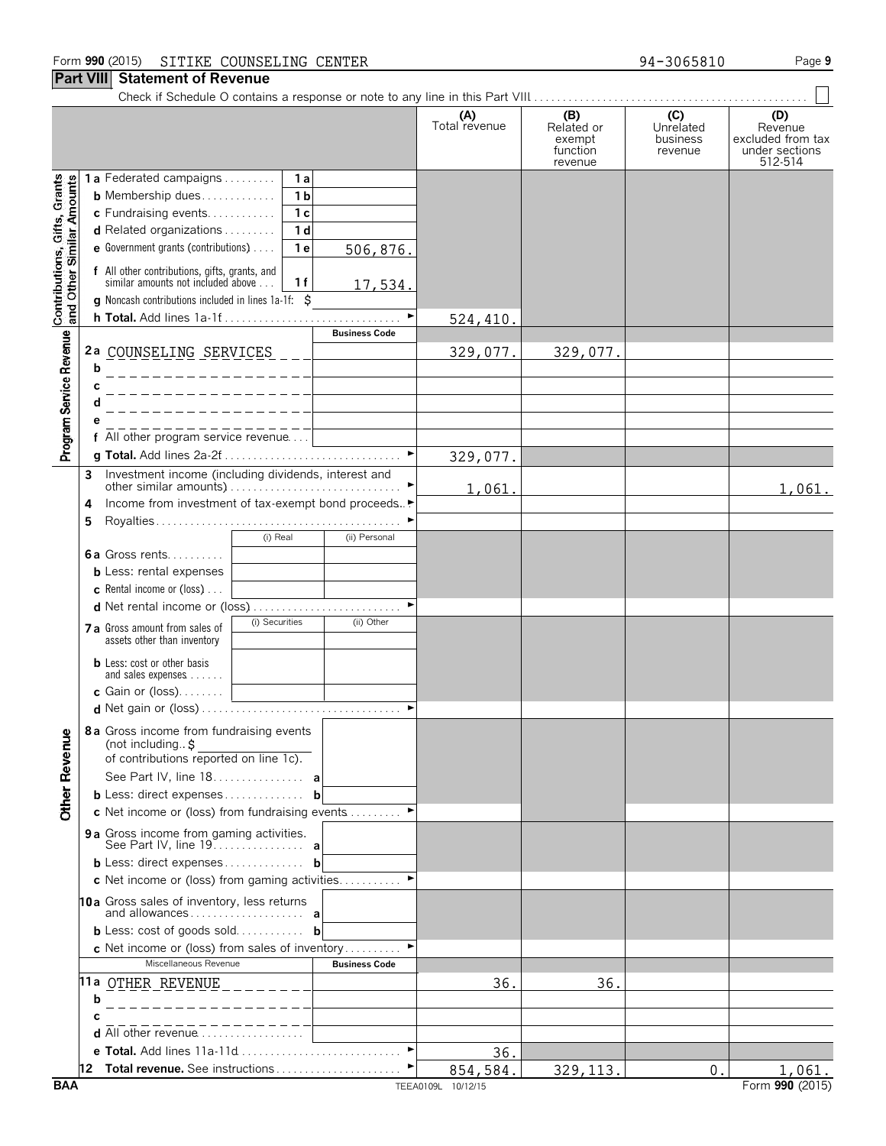## **Part VIII Statement of Revenue**

Check if Schedule O contains a response or note to any line in this Part VIII. . . . . . . . . . . . . . . . . . . . . . . . . . . . . . . . . . . . . . . . . . . . . . . . .

|                                                           |                                                                                                                                                                               | (A)<br>Total revenue | (B)<br>Related or  | (C)<br>Unrelated    | (D)<br>Revenue                      |
|-----------------------------------------------------------|-------------------------------------------------------------------------------------------------------------------------------------------------------------------------------|----------------------|--------------------|---------------------|-------------------------------------|
|                                                           |                                                                                                                                                                               |                      | exempt<br>function | business<br>revenue | excluded from tax<br>under sections |
|                                                           |                                                                                                                                                                               |                      | revenue            |                     | 512-514                             |
|                                                           | <b>1a</b> Federated campaigns<br>1a                                                                                                                                           |                      |                    |                     |                                     |
|                                                           | 1 <sub>b</sub><br><b>b</b> Membership dues                                                                                                                                    |                      |                    |                     |                                     |
|                                                           | c Fundraising events<br>1 <sub>c</sub><br>1 <sub>d</sub>                                                                                                                      |                      |                    |                     |                                     |
|                                                           | d Related organizations<br>e Government grants (contributions)<br>1 <sub>e</sub>                                                                                              |                      |                    |                     |                                     |
|                                                           | 506,876.                                                                                                                                                                      |                      |                    |                     |                                     |
| Contributions, Gifts, Grants<br>and Other Similar Amounts | f All other contributions, gifts, grants, and<br>similar amounts not included above<br>1 f<br>17,534.<br><b>q</b> Noncash contributions included in lines $1a-1f$ : $\hat{S}$ |                      |                    |                     |                                     |
|                                                           | h Total. Add lines 1a-1f                                                                                                                                                      | 524,410.             |                    |                     |                                     |
|                                                           | <b>Business Code</b>                                                                                                                                                          |                      |                    |                     |                                     |
| Program Service Revenue                                   | 2a COUNSELING SERVICES ___                                                                                                                                                    | 329,077.             | 329,077.           |                     |                                     |
|                                                           | b                                                                                                                                                                             |                      |                    |                     |                                     |
|                                                           | C<br>________________                                                                                                                                                         |                      |                    |                     |                                     |
|                                                           | d                                                                                                                                                                             |                      |                    |                     |                                     |
|                                                           | е                                                                                                                                                                             |                      |                    |                     |                                     |
|                                                           |                                                                                                                                                                               |                      |                    |                     |                                     |
|                                                           |                                                                                                                                                                               | 329,077.             |                    |                     |                                     |
|                                                           | Investment income (including dividends, interest and<br>3                                                                                                                     | 1,061.               |                    |                     | 1,061.                              |
|                                                           | Income from investment of tax-exempt bond proceeds.<br>4                                                                                                                      |                      |                    |                     |                                     |
|                                                           | 5                                                                                                                                                                             |                      |                    |                     |                                     |
|                                                           | (i) Real<br>(ii) Personal                                                                                                                                                     |                      |                    |                     |                                     |
|                                                           | <b>6a</b> Gross rents                                                                                                                                                         |                      |                    |                     |                                     |
|                                                           | <b>b</b> Less: rental expenses                                                                                                                                                |                      |                    |                     |                                     |
|                                                           | <b>c</b> Rental income or (loss) $\ldots$                                                                                                                                     |                      |                    |                     |                                     |
|                                                           | d Net rental income or (loss)<br>(i) Securities<br>(ii) Other                                                                                                                 |                      |                    |                     |                                     |
|                                                           | 7 a Gross amount from sales of<br>assets other than inventory                                                                                                                 |                      |                    |                     |                                     |
|                                                           | <b>b</b> Less: cost or other basis                                                                                                                                            |                      |                    |                     |                                     |
|                                                           | and sales expenses                                                                                                                                                            |                      |                    |                     |                                     |
|                                                           | c Gain or $(\text{loss})$                                                                                                                                                     |                      |                    |                     |                                     |
|                                                           |                                                                                                                                                                               |                      |                    |                     |                                     |
| enue                                                      | 8a Gross income from fundraising events<br>(not including. $\frac{1}{2}$                                                                                                      |                      |                    |                     |                                     |
|                                                           | (not including \$<br>of contributions reported on line 1c).                                                                                                                   |                      |                    |                     |                                     |
| <b>Other Rev</b>                                          | See Part IV, line 18. <b>a</b>                                                                                                                                                |                      |                    |                     |                                     |
|                                                           | <b>b</b> Less: direct expenses <b>b</b>                                                                                                                                       |                      |                    |                     |                                     |
|                                                           | <b>c</b> Net income or (loss) from fundraising events $\dots\dots\dots$                                                                                                       |                      |                    |                     |                                     |
|                                                           |                                                                                                                                                                               |                      |                    |                     |                                     |
|                                                           | <b>b</b> Less: direct expenses <b>b</b>                                                                                                                                       |                      |                    |                     |                                     |
|                                                           | c Net income or (loss) from gaming activities                                                                                                                                 |                      |                    |                     |                                     |
|                                                           | 10a Gross sales of inventory, less returns                                                                                                                                    |                      |                    |                     |                                     |
|                                                           |                                                                                                                                                                               |                      |                    |                     |                                     |
|                                                           | <b>b</b> Less: cost of goods sold <b>b</b>                                                                                                                                    |                      |                    |                     |                                     |
|                                                           | c Net income or (loss) from sales of inventory ▶                                                                                                                              |                      |                    |                     |                                     |
|                                                           | Miscellaneous Revenue<br><b>Business Code</b>                                                                                                                                 |                      |                    |                     |                                     |
|                                                           | 11a OTHER REVENUE                                                                                                                                                             | 36.                  | 36.                |                     |                                     |
|                                                           | b                                                                                                                                                                             |                      |                    |                     |                                     |
|                                                           | d All other revenue                                                                                                                                                           |                      |                    |                     |                                     |
|                                                           | e Total. Add lines 11a-11d<br>$\blacktriangleright$                                                                                                                           | 36.                  |                    |                     |                                     |
|                                                           |                                                                                                                                                                               | 854,584.             | 329, 113.          | 0.                  | 1,061.                              |
| <b>BAA</b>                                                |                                                                                                                                                                               | TEEA0109L 10/12/15   |                    |                     | Form 990 (2015)                     |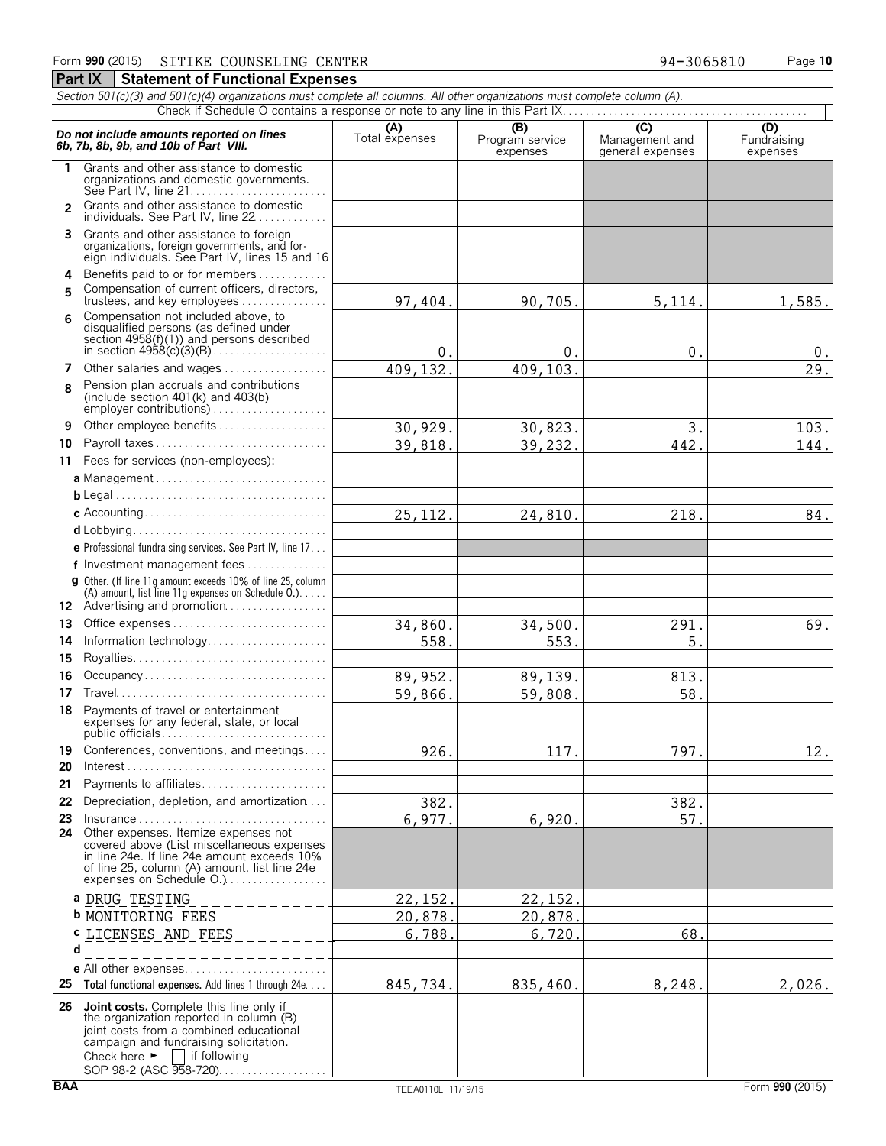#### *Section 501(c)(3) and 501(c)(4) organizations must complete all columns. All other organizations must complete column (A).* Check if Schedule O contains a response or note to any line in this Part IX.. **Do not include amounts reported on lines**<br> **C) C)**<br> **C)** C) C) C(D)<br> **C)** C(D) Frogram service Management and Fundraising<br> **C)** C(D)<br>
Fundraising<br>
Expenses<br>
expenses<br>
expenses **1** Grants and other assistance to domestic organizations and domestic governments. See Part IV, line 21. . . . . . . . . . . . . . . . . . . . . . . . Grants and other assistance to domestic **2** individuals. See Part IV, line 22 . . . . . . . . **3** Grants and other assistance to foreign organizations, foreign governments, and for-eign individuals. See Part IV, lines 15 and 16 **4** Benefits paid to or for members. . . . . . . . . . . . . Compensation of current officers, directors, **5** trustees, and key employees . . . . . . . . . . . . . Compensation not included above, to **6** disqualified persons (as defined under section 4958(f)(1)) and persons described in section 4958(c)(3)(B). . . . . . . . . . . . . . . . . . . . **7** Other salaries and wages................. Pension plan accruals and contributions **8** (include section 401(k) and 403(b) employer contributions) . . . . . . . . . . . **9** Other employee benefits . . . . . . . . . **10** Payroll taxes . . . . . . . . . . . . . . . . . . . . . . . . . . . . . . **11** Fees for services (non-employees): **a** Management . . . . . . . . . . . . . . . . . . . . . . . . . . . . . . **b** Legal. . . . . . . . . . . . . . . . . . . . . . . . . . . . . . . . . . . . . . **c** Accounting. . . . . . . . . . . . . . . . . . . . . . . . . . . . . . . . **d** Lobbying. . . . . . . . . . . . . . . . . . . . . . . . . . . . . . . . . . **e** Professional fundraising services. See Part IV, line 17. . . **f** Investment management fees. . . . . . . . . . . . . . . **g** Other. (If line 11g amount exceeds 10% of line 25, column (A) amount, list line 11g expenses on Schedule O.). . . . . 12 Advertising and promotion................. **13** Office expenses. . . . . . . . . . . . . . . . . . . . . . . . . . . . **14** Information technology................. **15** Royalties. . . . . . . . . . . . . . . . . . . . . . . . . . . . . . . . . . **16** Occupancy . . . . . . . . . . . . . . . . **17** Travel. . . . . . . . . . . . . . . . . . . . . . . . . . . . . . . . . . . . . **18** Payments of travel or entertainment expenses for any federal, state, or local public officials. . . . . . . . . . . . . . . . . . . . . . . . . . . . . **19** Conferences, conventions, and meetings.... **20** Interest. . . . . . . . . . . . . . . . . . . . . . . . . . . . . . . . . . . . **21** Payments to affiliates. . . . . . . . . . . . . . . . . . . . . . **22** Depreciation, depletion, and amortization. . . . **23** Insurance . . . . . . . . . . . . . . . . . . . . . . . . . . . . . . . . . **24** Other expenses. Itemize expenses not covered above (List miscellaneous expenses in line 24e. If line 24e amount exceeds 10% of line 25, column (A) amount, list line 24e expenses on Schedule O.).................. **a** DRUG TESTING **b** MONITORING FEES **c** LICENSES AND FEES**d e** All other expenses.................... **25 Total functional expenses.** Add lines 1 through 24e. . . . **26 Joint costs.** Complete this line only if the organization reported in column (B) joint costs from a combined educational campaign and fundraising solicitation. Check here  $\blacktriangleright$   $\Box$  if following SOP 98-2 (ASC 958-720). . . . . . . . . . . . . . . . . 97,404. 90,705. 5,114. 1,585.  $0.$  0. 0. 0. 0. 409,132. 409,103. 29.  $30,929.$   $30,823.$   $3.$   $103.$ 39,818. 39,232. 442. 144. 25,112. 24,810. 218. 218. 84.  $34,860.$  34,500. 291. 291.  $558.$   $553.$  5. 89,952. 89,139. 813. 59,866. 59,808. 58. 926. 117. 797. 12. 382. 382. 6,977. 6,920. 57. 22,152. 22,152. 20,878. 20,878. 6,788. 6,720. 68. 845,734. 835,460. 8,248. 2,026.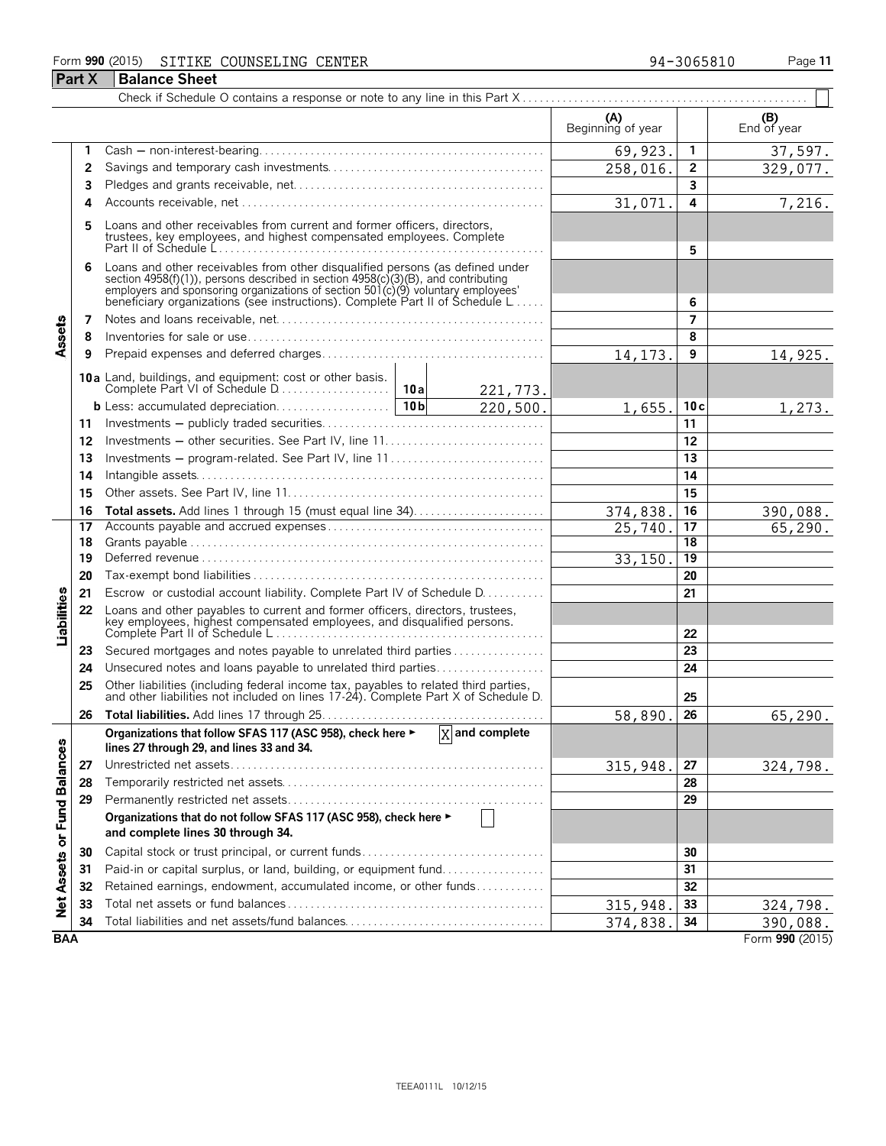# Form **990** (2015) Page **11** SITIKE COUNSELING CENTER 94-3065810 **Part X Balance Sheet**

| 94-3065810 |  |  |  |
|------------|--|--|--|
|            |  |  |  |
|            |  |  |  |

|                             |    |                                                                                                                                                                                                                                                                                                                      |                        | (A)<br>Beginning of year |                 | (B)<br>End of year |
|-----------------------------|----|----------------------------------------------------------------------------------------------------------------------------------------------------------------------------------------------------------------------------------------------------------------------------------------------------------------------|------------------------|--------------------------|-----------------|--------------------|
|                             | 1  |                                                                                                                                                                                                                                                                                                                      |                        | 69,923.                  | 1               | 37,597.            |
|                             | 2  |                                                                                                                                                                                                                                                                                                                      |                        | 258,016.                 | $\overline{2}$  | 329,077.           |
|                             | 3  |                                                                                                                                                                                                                                                                                                                      |                        |                          | 3               |                    |
|                             | Δ  |                                                                                                                                                                                                                                                                                                                      |                        | 31,071.                  | 4               | 7,216.             |
|                             | 5  | Loans and other receivables from current and former officers, directors,<br>trustees, key employees, and highest compensated employees. Complete                                                                                                                                                                     |                        | 5                        |                 |                    |
|                             |    | Loans and other receivables from other disqualified persons (as defined under<br>section 4958(f)(1)), persons described in section 4958(c)(3)(B), and contributing<br>employers and sponsoring organizations of section 501(c)(9) voluntary employees'<br>beneficiary organizations (see instructions). Complete Par |                        |                          | 6               |                    |
|                             | 7  |                                                                                                                                                                                                                                                                                                                      |                        |                          | 7               |                    |
| Assets                      | 8  |                                                                                                                                                                                                                                                                                                                      |                        |                          | 8               |                    |
|                             | 9  |                                                                                                                                                                                                                                                                                                                      |                        | 14, 173.                 | 9               | 14,925.            |
|                             |    |                                                                                                                                                                                                                                                                                                                      | 221,773.               |                          |                 |                    |
|                             |    |                                                                                                                                                                                                                                                                                                                      | $\overline{220,500}$ . | 1,655.                   | 10c             | 1,273.             |
|                             | 11 |                                                                                                                                                                                                                                                                                                                      |                        |                          | 11              |                    |
|                             | 12 |                                                                                                                                                                                                                                                                                                                      |                        |                          | 12              |                    |
|                             | 13 | Investments – program-related. See Part IV, line 11                                                                                                                                                                                                                                                                  |                        |                          | 13              |                    |
|                             | 14 |                                                                                                                                                                                                                                                                                                                      |                        |                          | 14              |                    |
|                             | 15 |                                                                                                                                                                                                                                                                                                                      |                        | 15                       |                 |                    |
|                             | 16 |                                                                                                                                                                                                                                                                                                                      | 374,838.               | 16                       | 390,088.        |                    |
|                             | 17 |                                                                                                                                                                                                                                                                                                                      |                        | 25,740.                  | 17              | 65, 290.           |
|                             | 18 |                                                                                                                                                                                                                                                                                                                      |                        |                          | 18              |                    |
|                             | 19 |                                                                                                                                                                                                                                                                                                                      |                        | 33, 150.                 | $\overline{19}$ |                    |
|                             | 20 |                                                                                                                                                                                                                                                                                                                      |                        |                          | 20              |                    |
|                             | 21 | Escrow or custodial account liability. Complete Part IV of Schedule D.                                                                                                                                                                                                                                               |                        |                          | 21              |                    |
| Liabilities                 | 22 | Loans and other payables to current and former officers, directors, trustees,<br>key employees, highest compensated employees, and disqualified persons.                                                                                                                                                             |                        |                          | 22              |                    |
|                             | 23 | Secured mortgages and notes payable to unrelated third parties                                                                                                                                                                                                                                                       |                        |                          | 23              |                    |
|                             | 24 | Unsecured notes and loans payable to unrelated third parties                                                                                                                                                                                                                                                         |                        |                          | 24              |                    |
|                             | 25 | Other liabilities (including federal income tax, payables to related third parties, and other liabilities not included on lines 17-24). Complete Part X of Schedule D.                                                                                                                                               |                        |                          | 25              |                    |
|                             | 26 |                                                                                                                                                                                                                                                                                                                      |                        | 58,890.                  | 26              | 65,290.            |
|                             |    | Organizations that follow SFAS 117 (ASC 958), check here $\blacktriangleright$ $\boxed{X}$ and complete<br>lines 27 through 29, and lines 33 and 34.                                                                                                                                                                 |                        |                          |                 |                    |
|                             | 27 |                                                                                                                                                                                                                                                                                                                      |                        | 315,948.                 | 27              | <u>324,798.</u>    |
|                             | 28 |                                                                                                                                                                                                                                                                                                                      |                        |                          | 28              |                    |
|                             | 29 |                                                                                                                                                                                                                                                                                                                      |                        |                          | 29              |                    |
| Net Assets or Fund Balances |    | Organizations that do not follow SFAS 117 (ASC 958), check here ►<br>and complete lines 30 through 34.                                                                                                                                                                                                               |                        |                          |                 |                    |
|                             | 30 | Capital stock or trust principal, or current funds                                                                                                                                                                                                                                                                   |                        |                          | 30              |                    |
|                             | 31 | Paid-in or capital surplus, or land, building, or equipment fund                                                                                                                                                                                                                                                     |                        |                          | 31              |                    |
|                             | 32 | Retained earnings, endowment, accumulated income, or other funds                                                                                                                                                                                                                                                     |                        |                          | 32              |                    |
|                             | 33 |                                                                                                                                                                                                                                                                                                                      |                        | 315,948.                 | 33              | 324,798.           |
|                             | 34 | Total liabilities and net assets/fund balances                                                                                                                                                                                                                                                                       |                        | 374,838.                 | 34              | 390,088.           |
| <b>BAA</b>                  |    |                                                                                                                                                                                                                                                                                                                      |                        |                          |                 | Form 990 (2015)    |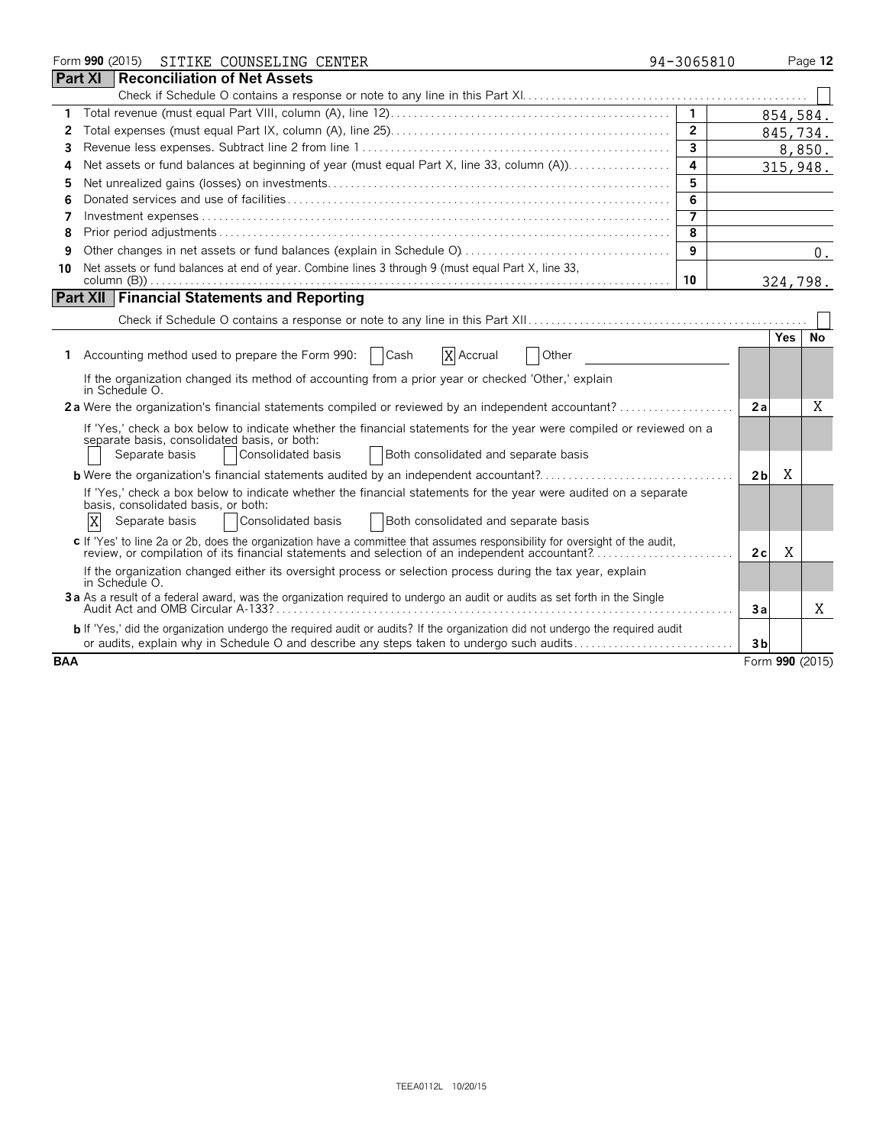|            |                | Form 990 (2015) |                                                       | SITIKE COUNSELING CENTER                                           |      |                                                                                                    |                                                                                                                               | 94-3065810        |                 |            | Page 12 |
|------------|----------------|-----------------|-------------------------------------------------------|--------------------------------------------------------------------|------|----------------------------------------------------------------------------------------------------|-------------------------------------------------------------------------------------------------------------------------------|-------------------|-----------------|------------|---------|
|            | <b>Part XI</b> |                 |                                                       | Reconciliation of Net Assets                                       |      |                                                                                                    |                                                                                                                               |                   |                 |            |         |
|            |                |                 |                                                       |                                                                    |      |                                                                                                    |                                                                                                                               |                   |                 |            |         |
| 1.         |                |                 |                                                       |                                                                    |      |                                                                                                    |                                                                                                                               |                   |                 | 854,584.   |         |
| 2          |                |                 |                                                       |                                                                    |      |                                                                                                    |                                                                                                                               | $\overline{2}$    |                 | 845,734.   |         |
| 3          |                |                 |                                                       |                                                                    |      |                                                                                                    |                                                                                                                               | $\mathbf{3}$      |                 | 8,850.     |         |
| 4          |                |                 |                                                       |                                                                    |      |                                                                                                    | Net assets or fund balances at beginning of year (must equal Part X, line 33, column (A)).                                    | 4                 |                 | 315,948.   |         |
| 5          |                |                 |                                                       |                                                                    |      |                                                                                                    |                                                                                                                               | 5                 |                 |            |         |
| 6          |                |                 |                                                       |                                                                    |      |                                                                                                    |                                                                                                                               | 6                 |                 |            |         |
| 7          |                |                 |                                                       |                                                                    |      |                                                                                                    |                                                                                                                               | $\overline{\tau}$ |                 |            |         |
| 8          |                |                 |                                                       |                                                                    |      |                                                                                                    |                                                                                                                               | 8                 |                 |            |         |
| 9          |                |                 |                                                       |                                                                    |      |                                                                                                    |                                                                                                                               | 9                 |                 |            | 0.      |
| 10         |                |                 |                                                       |                                                                    |      | Net assets or fund balances at end of year. Combine lines 3 through 9 (must equal Part X, line 33, |                                                                                                                               | 10                |                 | 324,798.   |         |
|            |                |                 |                                                       | <b>Part XII Financial Statements and Reporting</b>                 |      |                                                                                                    |                                                                                                                               |                   |                 |            |         |
|            |                |                 |                                                       |                                                                    |      |                                                                                                    |                                                                                                                               |                   |                 |            |         |
|            |                |                 |                                                       |                                                                    |      |                                                                                                    |                                                                                                                               |                   |                 | <b>Yes</b> | No      |
| 1.         |                |                 |                                                       | Accounting method used to prepare the Form 990:                    | Cash | X Accrual                                                                                          | Other                                                                                                                         |                   |                 |            |         |
|            |                | in Schedule O.  |                                                       |                                                                    |      |                                                                                                    | If the organization changed its method of accounting from a prior year or checked 'Other,' explain                            |                   |                 |            |         |
|            |                |                 |                                                       |                                                                    |      |                                                                                                    | 2a Were the organization's financial statements compiled or reviewed by an independent accountant?                            |                   | 2а              |            | X       |
|            |                |                 | Separate basis                                        | separate basis, consolidated basis, or both:<br>Consolidated basis |      | Both consolidated and separate basis                                                               | If 'Yes,' check a box below to indicate whether the financial statements for the year were compiled or reviewed on a          |                   |                 |            |         |
|            |                |                 |                                                       |                                                                    |      |                                                                                                    | <b>b</b> Were the organization's financial statements audited by an independent accountant?                                   |                   | 2 <sub>b</sub>  | Χ          |         |
|            | X              |                 | basis, consolidated basis, or both:<br>Separate basis | Consolidated basis                                                 |      | Both consolidated and separate basis                                                               | If 'Yes,' check a box below to indicate whether the financial statements for the year were audited on a separate              |                   |                 |            |         |
|            |                |                 |                                                       |                                                                    |      |                                                                                                    | c If 'Yes' to line 2a or 2b, does the organization have a committee that assumes responsibility for oversight of the audit,   |                   |                 |            |         |
|            |                |                 |                                                       |                                                                    |      |                                                                                                    | review, or compilation of its financial statements and selection of an independent accountant?                                |                   | 2c              | Χ          |         |
|            |                | in Schedule O.  |                                                       |                                                                    |      |                                                                                                    | If the organization changed either its oversight process or selection process during the tax year, explain                    |                   |                 |            |         |
|            |                |                 |                                                       |                                                                    |      |                                                                                                    | 3a As a result of a federal award, was the organization required to undergo an audit or audits as set forth in the Single     |                   | Зa              |            | X       |
|            |                |                 |                                                       |                                                                    |      |                                                                                                    | b If 'Yes,' did the organization undergo the required audit or audits? If the organization did not undergo the required audit |                   |                 |            |         |
|            |                |                 |                                                       |                                                                    |      |                                                                                                    | or audits, explain why in Schedule O and describe any steps taken to undergo such audits                                      |                   | 3 <sub>b</sub>  |            |         |
| <b>BAA</b> |                |                 |                                                       |                                                                    |      |                                                                                                    |                                                                                                                               |                   | Form 990 (2015) |            |         |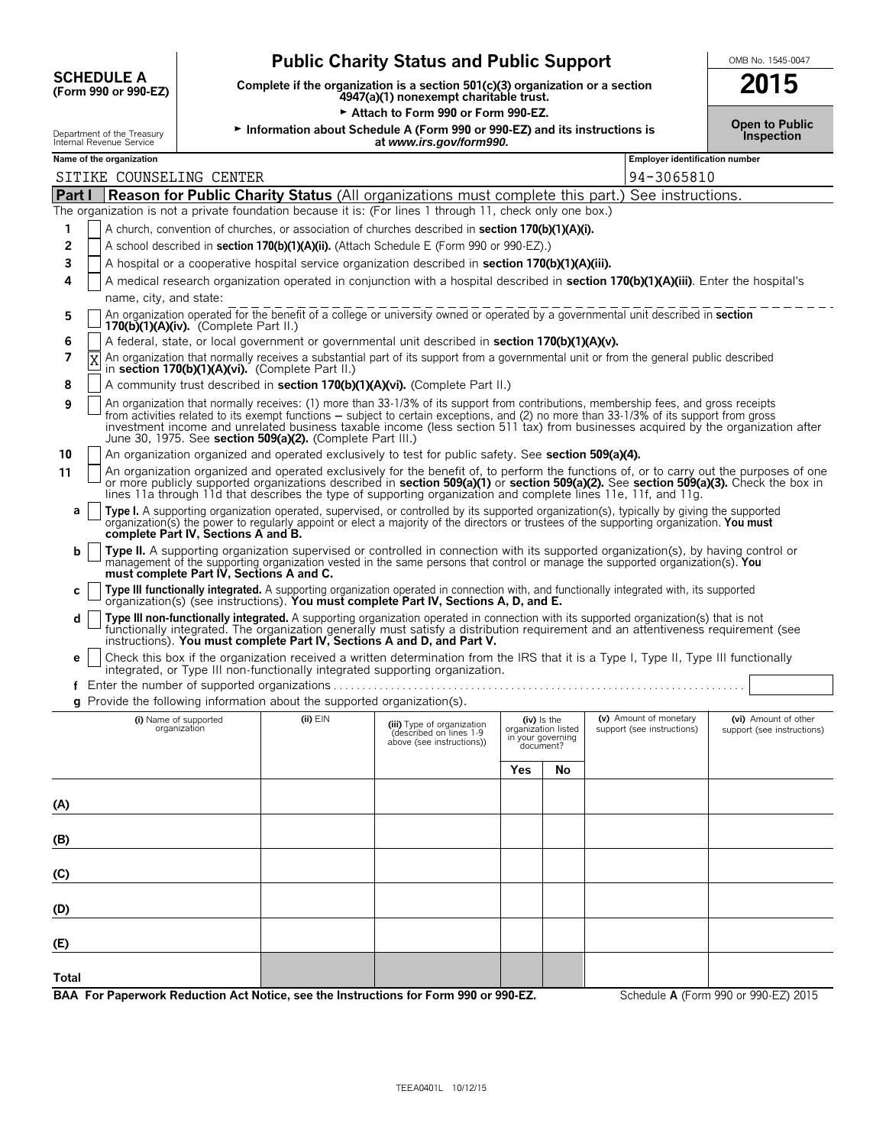| <b>SCHEDULE A</b>    | Comp |
|----------------------|------|
| (Form 990 or 990-EZ) |      |

# **Public Charity Status and Public Support**<br>
lete if the organization is a section 501(c)(3) organization or a section<br> **2015**

**(Form 990 or 990-EZ) Complete if the organization is a section 501(c)(3) organization or a section 2015 4947(a)(1) nonexempt charitable trust.**

Attach to Form 990 or Form 990-EZ.

Department of the Treasury <sup>G</sup>**Information about Schedule A (Form 990 or 990-EZ) and its instructions is Inspection** Internal Revenue Service **at** *www.irs.gov/form990.*

|  | OMB No. 1545-0047 |
|--|-------------------|
|  |                   |

**Open to Public**

| Department of the Treasury<br>Internal Revenue Service                                                    |                                          |                                                            | <b>INTO THE SCIEDING A LEADER OF SPOTE 2</b> and its instructions is<br>at www.irs.gov/form990.                                                                                                                                                                                                                                                                                                                      |     |                                                                      |                                                      | Inspection                                         |
|-----------------------------------------------------------------------------------------------------------|------------------------------------------|------------------------------------------------------------|----------------------------------------------------------------------------------------------------------------------------------------------------------------------------------------------------------------------------------------------------------------------------------------------------------------------------------------------------------------------------------------------------------------------|-----|----------------------------------------------------------------------|------------------------------------------------------|----------------------------------------------------|
| Name of the organization                                                                                  |                                          |                                                            |                                                                                                                                                                                                                                                                                                                                                                                                                      |     |                                                                      | <b>Employer identification number</b>                |                                                    |
| SITIKE COUNSELING CENTER                                                                                  |                                          |                                                            |                                                                                                                                                                                                                                                                                                                                                                                                                      |     |                                                                      | 94-3065810                                           |                                                    |
| Part I                                                                                                    |                                          |                                                            | <b>Reason for Public Charity Status</b> (All organizations must complete this part.) See instructions.                                                                                                                                                                                                                                                                                                               |     |                                                                      |                                                      |                                                    |
| The organization is not a private foundation because it is: (For lines 1 through 11, check only one box.) |                                          |                                                            |                                                                                                                                                                                                                                                                                                                                                                                                                      |     |                                                                      |                                                      |                                                    |
| 1                                                                                                         |                                          |                                                            | A church, convention of churches, or association of churches described in <b>section 170(b)(1)(A)(i).</b>                                                                                                                                                                                                                                                                                                            |     |                                                                      |                                                      |                                                    |
| 2                                                                                                         |                                          |                                                            | A school described in section 170(b)(1)(A)(ii). (Attach Schedule E (Form 990 or 990-EZ).)                                                                                                                                                                                                                                                                                                                            |     |                                                                      |                                                      |                                                    |
| 3                                                                                                         |                                          |                                                            | A hospital or a cooperative hospital service organization described in section 170(b)(1)(A)(iii).                                                                                                                                                                                                                                                                                                                    |     |                                                                      |                                                      |                                                    |
| 4<br>name, city, and state:                                                                               |                                          |                                                            | A medical research organization operated in conjunction with a hospital described in section 170(b)(1)(A)(iii). Enter the hospital's                                                                                                                                                                                                                                                                                 |     |                                                                      |                                                      |                                                    |
| 5                                                                                                         | $170(b)(1)(A)(iv)$ . (Complete Part II.) |                                                            | An organization operated for the benefit of a college or university owned or operated by a governmental unit described in section                                                                                                                                                                                                                                                                                    |     |                                                                      |                                                      |                                                    |
| 6                                                                                                         |                                          |                                                            | A federal, state, or local government or governmental unit described in section 170(b)(1)(A)(v).                                                                                                                                                                                                                                                                                                                     |     |                                                                      |                                                      |                                                    |
| 7                                                                                                         |                                          | in section 170(b)(1)(A)(vi). (Complete Part II.)           | An organization that normally receives a substantial part of its support from a governmental unit or from the general public described                                                                                                                                                                                                                                                                               |     |                                                                      |                                                      |                                                    |
| 8                                                                                                         |                                          |                                                            | A community trust described in section 170(b)(1)(A)(vi). (Complete Part II.)                                                                                                                                                                                                                                                                                                                                         |     |                                                                      |                                                      |                                                    |
| 9                                                                                                         |                                          | June 30, 1975. See section 509(a)(2). (Complete Part III.) | An organization that normally receives: (1) more than 33-1/3% of its support from contributions, membership fees, and gross receipts<br>from activities related to its exempt functions – subject to certain exceptions, and (2) no more than 33-1/3% of its support from gross<br>investment income and unrelated business taxable income (less section 511 tax) from businesses acquired by the organization after |     |                                                                      |                                                      |                                                    |
| 10                                                                                                        |                                          |                                                            | An organization organized and operated exclusively to test for public safety. See section 509(a)(4).                                                                                                                                                                                                                                                                                                                 |     |                                                                      |                                                      |                                                    |
| 11                                                                                                        |                                          |                                                            | An organization organized and operated exclusively for the benefit of, to perform the functions of, or to carry out the purposes of one<br>or more publicly supported organizations described in section 509(a)(1) or section 509(a)(2). See section 509(a)(3). Check the box in<br>lines 11a through 11d that describes the type of supporting organization and complete lines 11e, 11f, and 11g.                   |     |                                                                      |                                                      |                                                    |
| a                                                                                                         | complete Part IV, Sections A and B.      |                                                            | Type I. A supporting organization operated, supervised, or controlled by its supported organization(s), typically by giving the supported<br>organization(s) the power to regularly appoint or elect a majority of the directors or trustees of the supporting organization. You must                                                                                                                                |     |                                                                      |                                                      |                                                    |
| b                                                                                                         | must complete Part IV, Sections A and C. |                                                            | Type II. A supporting organization supervised or controlled in connection with its supported organization(s), by having control or<br>management of the supporting organization vested in the same persons that control or manage the supported organization(s). You                                                                                                                                                 |     |                                                                      |                                                      |                                                    |
| С                                                                                                         |                                          |                                                            | Type III functionally integrated. A supporting organization operated in connection with, and functionally integrated with, its supported organization(s) (see instructions). You must complete Part IV, Sections A, D, and E.                                                                                                                                                                                        |     |                                                                      |                                                      |                                                    |
| d                                                                                                         |                                          |                                                            | Type III non-functionally integrated. A supporting organization operated in connection with its supported organization(s) that is not<br>functionally integrated. The organization generally must satisfy a distribution requirement and an attentiveness requirement (see<br>instructions). You must complete Part IV, Sections A and D, and Part V.                                                                |     |                                                                      |                                                      |                                                    |
| e                                                                                                         |                                          |                                                            | Check this box if the organization received a written determination from the IRS that it is a Type I, Type II, Type III functionally<br>integrated, or Type III non-functionally integrated supporting organization.                                                                                                                                                                                                 |     |                                                                      |                                                      |                                                    |
|                                                                                                           |                                          |                                                            |                                                                                                                                                                                                                                                                                                                                                                                                                      |     |                                                                      |                                                      |                                                    |
| g Provide the following information about the supported organization(s).                                  |                                          |                                                            |                                                                                                                                                                                                                                                                                                                                                                                                                      |     |                                                                      |                                                      |                                                    |
| (i) Name of supported<br>organization                                                                     |                                          | $(ii)$ $EIN$                                               | (iii) Type of organization<br>(described on lines 1-9<br>above (see instructions))                                                                                                                                                                                                                                                                                                                                   |     | (iv) is the<br>organization listed<br>in your governing<br>document? | (v) Amount of monetary<br>support (see instructions) | (vi) Amount of other<br>support (see instructions) |
|                                                                                                           |                                          |                                                            |                                                                                                                                                                                                                                                                                                                                                                                                                      | Yes | No                                                                   |                                                      |                                                    |
| (A)                                                                                                       |                                          |                                                            |                                                                                                                                                                                                                                                                                                                                                                                                                      |     |                                                                      |                                                      |                                                    |
| (B)                                                                                                       |                                          |                                                            |                                                                                                                                                                                                                                                                                                                                                                                                                      |     |                                                                      |                                                      |                                                    |
|                                                                                                           |                                          |                                                            |                                                                                                                                                                                                                                                                                                                                                                                                                      |     |                                                                      |                                                      |                                                    |
| (C)                                                                                                       |                                          |                                                            |                                                                                                                                                                                                                                                                                                                                                                                                                      |     |                                                                      |                                                      |                                                    |
| (D)                                                                                                       |                                          |                                                            |                                                                                                                                                                                                                                                                                                                                                                                                                      |     |                                                                      |                                                      |                                                    |
| (E)                                                                                                       |                                          |                                                            |                                                                                                                                                                                                                                                                                                                                                                                                                      |     |                                                                      |                                                      |                                                    |
| Total                                                                                                     |                                          |                                                            |                                                                                                                                                                                                                                                                                                                                                                                                                      |     |                                                                      |                                                      |                                                    |
| BAA For Paperwork Reduction Act Notice, see the Instructions for Form 990 or 990-EZ.                      |                                          |                                                            |                                                                                                                                                                                                                                                                                                                                                                                                                      |     |                                                                      |                                                      | Schedule A (Form 990 or 990-EZ) 2015               |
|                                                                                                           |                                          |                                                            |                                                                                                                                                                                                                                                                                                                                                                                                                      |     |                                                                      |                                                      |                                                    |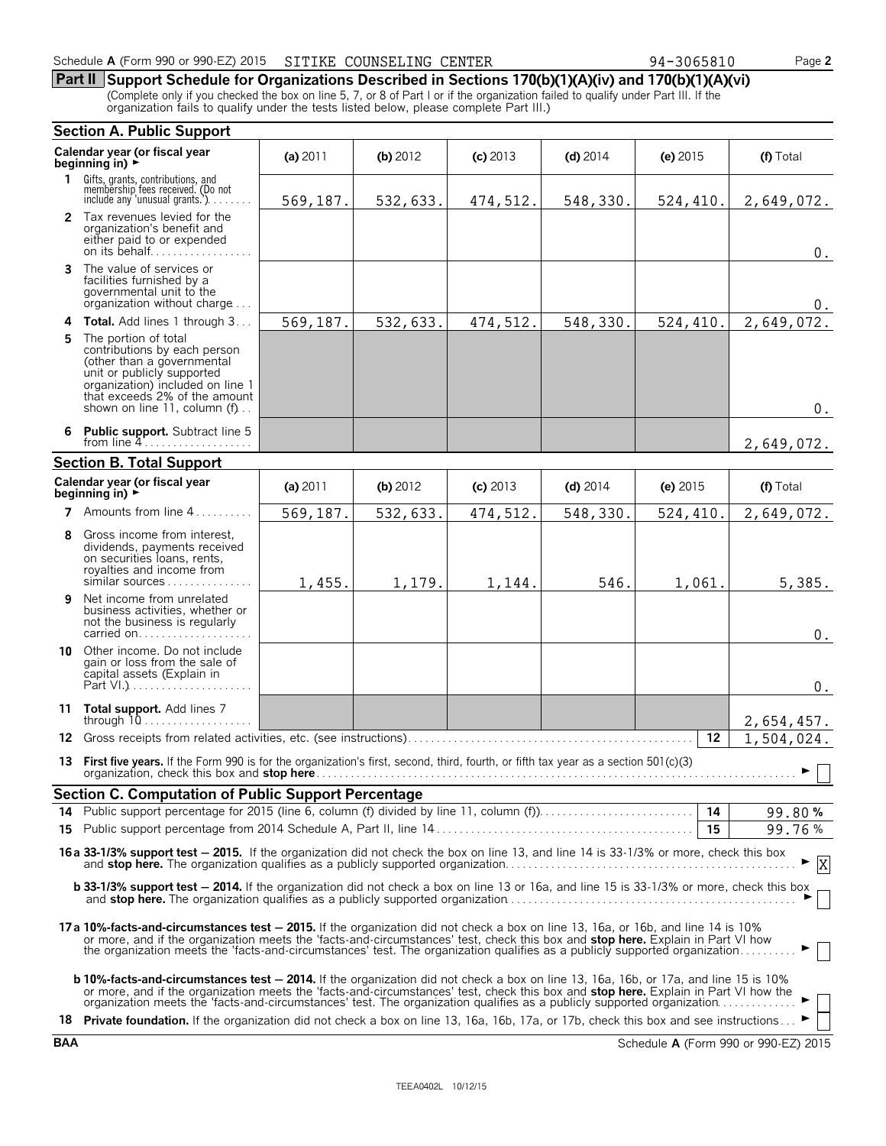**Part II Support Schedule for Organizations Described in Sections 170(b)(1)(A)(iv) and 170(b)(1)(A)(vi)** (Complete only if you checked the box on line 5, 7, or 8 of Part I or if the organization failed to qualify under Part III. If the organization fails to qualify under the tests listed below, please complete Part III.)

|    | <b>Section A. Public Support</b>                                                                                                                                                                                                                                                                                                                                                                  |          |          |            |            |            |            |  |
|----|---------------------------------------------------------------------------------------------------------------------------------------------------------------------------------------------------------------------------------------------------------------------------------------------------------------------------------------------------------------------------------------------------|----------|----------|------------|------------|------------|------------|--|
|    | Calendar year (or fiscal year<br>beginning in) ▶                                                                                                                                                                                                                                                                                                                                                  | (a) 2011 | (b) 2012 | $(c)$ 2013 | $(d)$ 2014 | $(e)$ 2015 | (f) Total  |  |
| 1. | Gifts, grants, contributions, and<br>membership fees received. (Do not<br>include any 'unusual grants.').                                                                                                                                                                                                                                                                                         | 569,187. | 532,633. | 474,512.   | 548,330.   | 524,410.   | 2,649,072. |  |
|    | 2 Tax revenues levied for the<br>organization's benefit and<br>either paid to or expended<br>on its behalf                                                                                                                                                                                                                                                                                        |          |          |            |            |            | $0$ .      |  |
|    | <b>3</b> The value of services or<br>facilities furnished by a<br>governmental unit to the<br>organization without charge                                                                                                                                                                                                                                                                         |          |          |            |            |            | 0.         |  |
|    | 4 Total. Add lines 1 through 3                                                                                                                                                                                                                                                                                                                                                                    | 569,187. | 532,633. | 474,512.   | 548,330.   | 524,410.   | 2,649,072. |  |
| 5  | The portion of total<br>contributions by each person<br>(other than a governmental<br>unit or publicly supported<br>organization) included on line 1<br>that exceeds 2% of the amount<br>shown on line 11, column (f)                                                                                                                                                                             |          |          |            |            |            | $0$ .      |  |
|    | 6 Public support. Subtract line 5<br>from line $4$                                                                                                                                                                                                                                                                                                                                                |          |          |            |            |            | 2,649,072. |  |
|    | <b>Section B. Total Support</b>                                                                                                                                                                                                                                                                                                                                                                   |          |          |            |            |            |            |  |
|    | Calendar year (or fiscal year<br>beginning in) $\rightarrow$                                                                                                                                                                                                                                                                                                                                      | (a) 2011 | (b) 2012 | $(c)$ 2013 | $(d)$ 2014 | (e) $2015$ | (f) Total  |  |
| 7  | Amounts from line 4                                                                                                                                                                                                                                                                                                                                                                               | 569,187. | 532,633. | 474,512.   | 548,330.   | 524,410.   | 2,649,072. |  |
| 8  | Gross income from interest,<br>dividends, payments received<br>on securities loans, rents,<br>royalties and income from<br>similar sources                                                                                                                                                                                                                                                        | 1,455.   | 1,179.   | 1,144.     | 546.       | 1,061.     | 5,385.     |  |
| 9  | Net income from unrelated<br>business activities, whether or<br>not the business is regularly<br>carried on                                                                                                                                                                                                                                                                                       |          |          |            |            |            | $0$ .      |  |
| 10 | Other income. Do not include<br>gain or loss from the sale of<br>capital assets (Explain in                                                                                                                                                                                                                                                                                                       |          |          |            |            |            | $0$ .      |  |
|    | 11 Total support. Add lines 7<br>through $10$                                                                                                                                                                                                                                                                                                                                                     |          |          |            |            |            | 2,654,457. |  |
| 12 |                                                                                                                                                                                                                                                                                                                                                                                                   |          |          |            |            | 12         | 1,504,024. |  |
|    | 13 First five years. If the Form 990 is for the organization's first, second, third, fourth, or fifth tax year as a section 501(c)(3)<br>organization, check this box and stop here                                                                                                                                                                                                               |          |          |            |            |            | ▶ │ │      |  |
|    | Section C. Computation of Public Support Percentage                                                                                                                                                                                                                                                                                                                                               |          |          |            |            |            |            |  |
|    | 14 Public support percentage for 2015 (line 6, column (f) divided by line 11, column (f)).                                                                                                                                                                                                                                                                                                        |          |          |            |            |            | 99.80%     |  |
|    |                                                                                                                                                                                                                                                                                                                                                                                                   |          |          |            |            | 15         | 99.76%     |  |
|    | 16a 33-1/3% support test - 2015. If the organization did not check the box on line 13, and line 14 is 33-1/3% or more, check this box                                                                                                                                                                                                                                                             |          |          |            |            |            | X          |  |
|    | <b>b 33-1/3% support test - 2014.</b> If the organization did not check a box on line 13 or 16a, and line 15 is 33-1/3% or more, check this box                                                                                                                                                                                                                                                   |          |          |            |            |            |            |  |
|    | 17a 10%-facts-and-circumstances test - 2015. If the organization did not check a box on line 13, 16a, or 16b, and line 14 is 10%<br>or more, and if the organization meets the 'facts-and-circumstances' test, check this box and stop here. Explain in Part VI how<br>the organization meets the 'facts-and-circumstances' test. The organization qualifies as a publicly supported organization |          |          |            |            |            |            |  |
|    | <b>b 10%-facts-and-circumstances test – 2014.</b> If the organization did not check a box on line 13, 16a, 16b, or 17a, and line 15 is 10%<br>or more, and if the organization meets the 'facts-and-circumstances' test, check this box and stop here. Explain in Part VI how the organization meets the 'facts-and-circumstances' test. The organization qualifies as a pub                      |          |          |            |            |            |            |  |
|    | 18 Private foundation. If the organization did not check a box on line 13, 16a, 16b, 17a, or 17b, check this box and see instructions                                                                                                                                                                                                                                                             |          |          |            |            |            |            |  |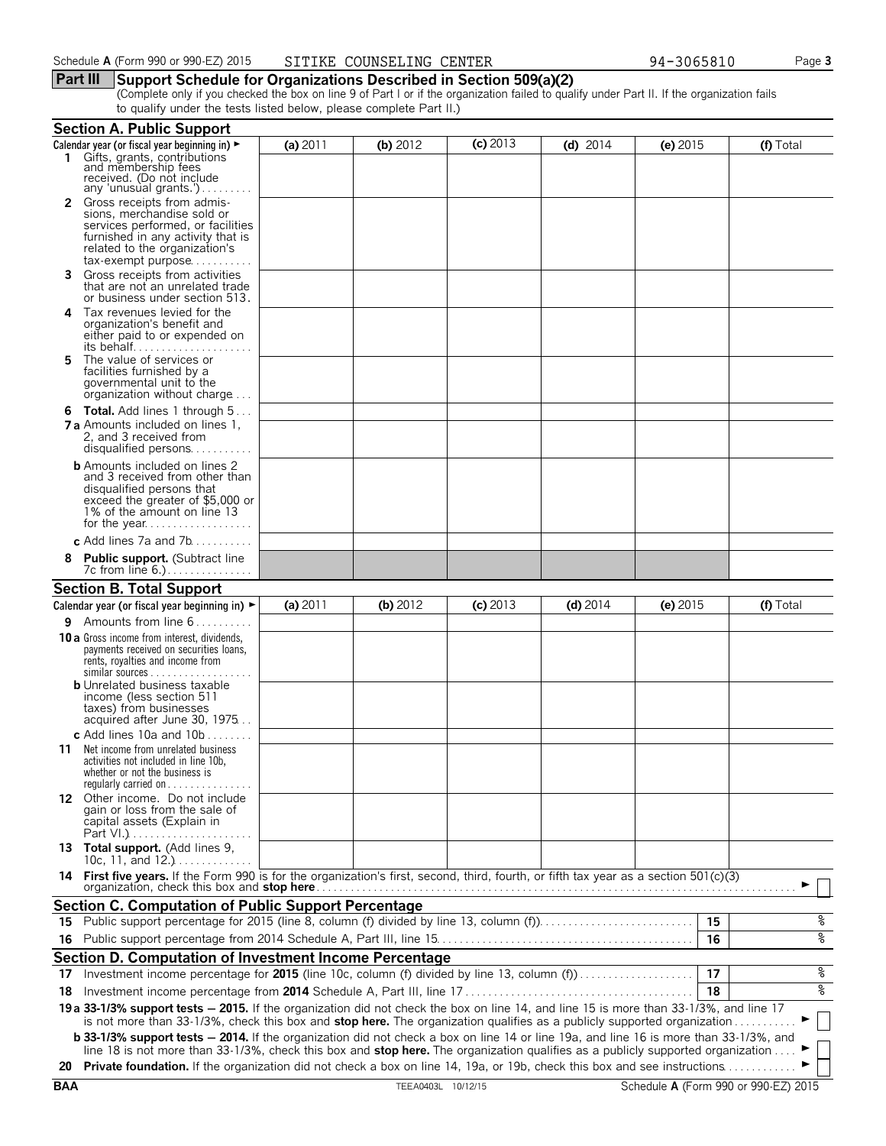#### **Part III Support Schedule for Organizations Described in Section 509(a)(2)**

(Complete only if you checked the box on line 9 of Part I or if the organization failed to qualify under Part II. If the organization fails to qualify under the tests listed below, please complete Part II.)

|     | <b>Section A. Public Support</b>                                                                                                                                                                                                                                                |          |            |            |            |            |                |
|-----|---------------------------------------------------------------------------------------------------------------------------------------------------------------------------------------------------------------------------------------------------------------------------------|----------|------------|------------|------------|------------|----------------|
|     | Calendar year (or fiscal year beginning in) ►                                                                                                                                                                                                                                   | (a) 2011 | (b) $2012$ | $(c)$ 2013 | (d) $2014$ | (e) $2015$ | (f) Total      |
|     | Gifts, grants, contributions<br>and membership fees<br>received. (Do not include                                                                                                                                                                                                |          |            |            |            |            |                |
|     | any 'unusual grants.')                                                                                                                                                                                                                                                          |          |            |            |            |            |                |
| 2   | Gross receipts from admis-                                                                                                                                                                                                                                                      |          |            |            |            |            |                |
|     | sions, merchandise sold or<br>services performed, or facilities                                                                                                                                                                                                                 |          |            |            |            |            |                |
|     | furnished in any activity that is                                                                                                                                                                                                                                               |          |            |            |            |            |                |
|     | related to the organization's                                                                                                                                                                                                                                                   |          |            |            |            |            |                |
| 3.  | tax-exempt purpose<br>Gross receipts from activities                                                                                                                                                                                                                            |          |            |            |            |            |                |
|     | that are not an unrelated trade<br>or business under section 513.                                                                                                                                                                                                               |          |            |            |            |            |                |
| 4   | Tax revenues levied for the                                                                                                                                                                                                                                                     |          |            |            |            |            |                |
|     | organization's benefit and                                                                                                                                                                                                                                                      |          |            |            |            |            |                |
|     | either paid to or expended on<br>its behalf                                                                                                                                                                                                                                     |          |            |            |            |            |                |
| 5   | The value of services or                                                                                                                                                                                                                                                        |          |            |            |            |            |                |
|     | facilities furnished by a                                                                                                                                                                                                                                                       |          |            |            |            |            |                |
|     | governmental unit to the<br>organization without charge                                                                                                                                                                                                                         |          |            |            |            |            |                |
|     | <b>6 Total.</b> Add lines 1 through 5                                                                                                                                                                                                                                           |          |            |            |            |            |                |
|     | <b>7 a</b> Amounts included on lines 1.                                                                                                                                                                                                                                         |          |            |            |            |            |                |
|     | 2, and 3 received from                                                                                                                                                                                                                                                          |          |            |            |            |            |                |
|     | disqualified persons                                                                                                                                                                                                                                                            |          |            |            |            |            |                |
|     | <b>b</b> Amounts included on lines 2                                                                                                                                                                                                                                            |          |            |            |            |            |                |
|     | and 3 received from other than<br>disqualified persons that                                                                                                                                                                                                                     |          |            |            |            |            |                |
|     | exceed the greater of \$5,000 or                                                                                                                                                                                                                                                |          |            |            |            |            |                |
|     | 1% of the amount on line 13                                                                                                                                                                                                                                                     |          |            |            |            |            |                |
|     | c Add lines 7a and 7b                                                                                                                                                                                                                                                           |          |            |            |            |            |                |
| 8   | <b>Public support.</b> (Subtract line                                                                                                                                                                                                                                           |          |            |            |            |            |                |
|     | 7c from line 6.)                                                                                                                                                                                                                                                                |          |            |            |            |            |                |
|     | <b>Section B. Total Support</b>                                                                                                                                                                                                                                                 |          |            |            |            |            |                |
|     | Calendar year (or fiscal year beginning in) $\blacktriangleright$                                                                                                                                                                                                               | (a) 2011 | (b) 2012   | $(c)$ 2013 | $(d)$ 2014 | (e) $2015$ | (f) Total      |
|     | <b>9</b> Amounts from line $6$                                                                                                                                                                                                                                                  |          |            |            |            |            |                |
|     | <b>10 a</b> Gross income from interest, dividends,                                                                                                                                                                                                                              |          |            |            |            |            |                |
|     | payments received on securities loans,                                                                                                                                                                                                                                          |          |            |            |            |            |                |
|     | rents, royalties and income from<br>similar sources                                                                                                                                                                                                                             |          |            |            |            |            |                |
|     | <b>b</b> Unrelated business taxable                                                                                                                                                                                                                                             |          |            |            |            |            |                |
|     | income (less section 511                                                                                                                                                                                                                                                        |          |            |            |            |            |                |
|     | taxes) from businesses<br>acquired after June 30, 1975                                                                                                                                                                                                                          |          |            |            |            |            |                |
|     | c Add lines 10a and 10b $\dots \dots$                                                                                                                                                                                                                                           |          |            |            |            |            |                |
| 11. | Net income from unrelated business                                                                                                                                                                                                                                              |          |            |            |            |            |                |
|     | activities not included in line 10b.                                                                                                                                                                                                                                            |          |            |            |            |            |                |
|     | whether or not the business is<br>regularly carried on $\dots\dots\dots\dots\dots$                                                                                                                                                                                              |          |            |            |            |            |                |
|     | 12 Other income. Do not include                                                                                                                                                                                                                                                 |          |            |            |            |            |                |
|     | gain or loss from the sale of                                                                                                                                                                                                                                                   |          |            |            |            |            |                |
|     | capital assets (Explain in                                                                                                                                                                                                                                                      |          |            |            |            |            |                |
|     | 13 Total support. (Add lines 9,                                                                                                                                                                                                                                                 |          |            |            |            |            |                |
|     | 10c, 11, and $12.$ )                                                                                                                                                                                                                                                            |          |            |            |            |            |                |
| 14. | First five years. If the Form 990 is for the organization's first, second, third, fourth, or fifth tax year as a section 501(c)(3)                                                                                                                                              |          |            |            |            |            |                |
|     |                                                                                                                                                                                                                                                                                 |          |            |            |            |            |                |
|     | <b>Section C. Computation of Public Support Percentage</b>                                                                                                                                                                                                                      |          |            |            |            |            |                |
|     | 15 Public support percentage for 2015 (line 8, column (f) divided by line 13, column (f)                                                                                                                                                                                        |          |            |            |            | 15         | ್ಠಿ            |
| 16  |                                                                                                                                                                                                                                                                                 |          |            |            |            | 16         | ४              |
|     | Section D. Computation of Investment Income Percentage                                                                                                                                                                                                                          |          |            |            |            |            |                |
| 17  | Investment income percentage for 2015 (line 10c, column (f) divided by line 13, column (f)                                                                                                                                                                                      |          |            |            |            | 17         | နွ             |
| 18  |                                                                                                                                                                                                                                                                                 |          |            |            |            | 18         | ४              |
|     | 19 a 33-1/3% support tests - 2015. If the organization did not check the box on line 14, and line 15 is more than 33-1/3%, and line 17                                                                                                                                          |          |            |            |            |            |                |
|     | is not more than 33-1/3%, check this box and stop here. The organization qualifies as a publicly supported organization                                                                                                                                                         |          |            |            |            |            | $\blacksquare$ |
|     | <b>b 33-1/3% support tests - 2014.</b> If the organization did not check a box on line 14 or line 19a, and line 16 is more than 33-1/3%, and<br>line 18 is not more than 33-1/3%, check this box and stop here. The organization qualifies as a publicly supported organization |          |            |            |            |            |                |
|     | 20 Private foundation. If the organization did not check a box on line 14, 19a, or 19b, check this box and see instructions                                                                                                                                                     |          |            |            |            |            |                |
|     |                                                                                                                                                                                                                                                                                 |          |            |            |            |            |                |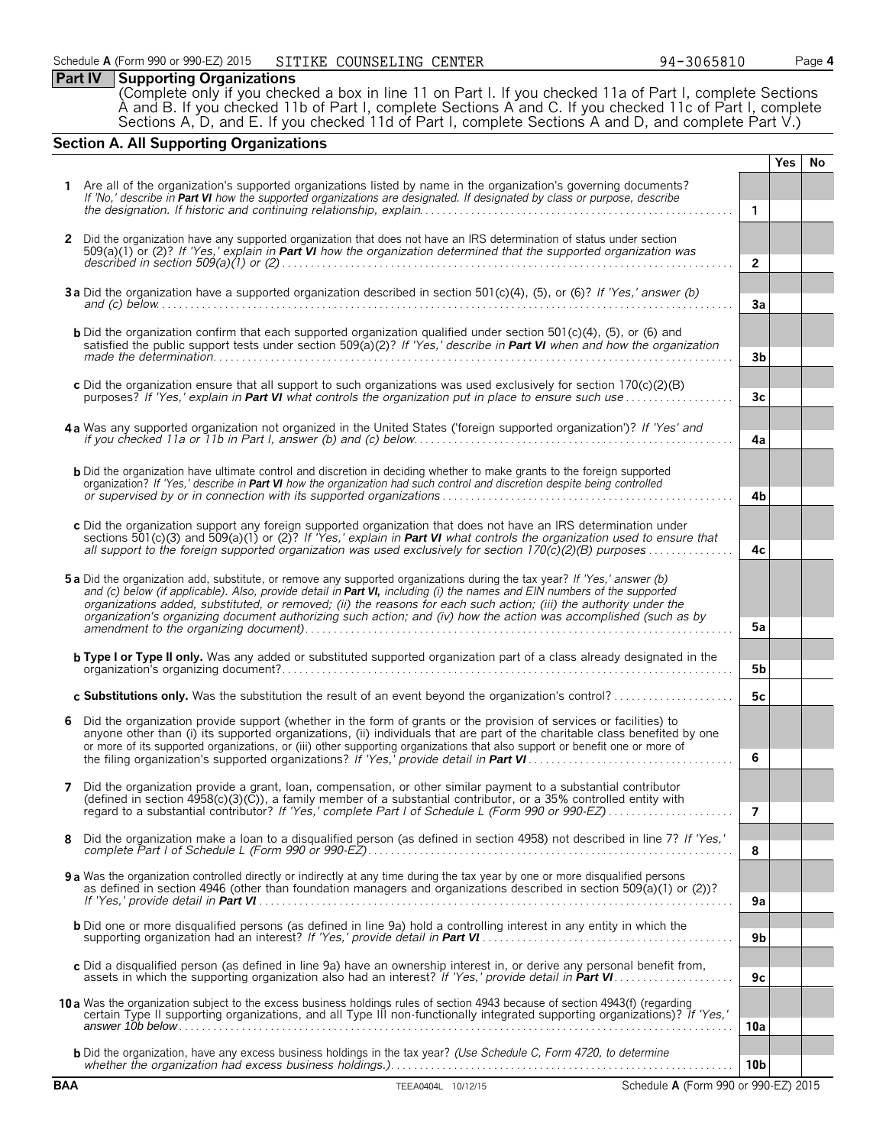# **Part IV Supporting Organizations**

(Complete only if you checked a box in line 11 on Part I. If you checked 11a of Part I, complete Sections A and B. If you checked 11b of Part I, complete Sections A and C. If you checked 11c of Part I, complete Sections A, D, and E. If you checked 11d of Part I, complete Sections A and D, and complete Part V.)

# **Section A. All Supporting Organizations**

|              |                                                                                                                                                                                                                                                                                                                                                                                                                                                                                                |                 | <b>Yes</b> | No. |
|--------------|------------------------------------------------------------------------------------------------------------------------------------------------------------------------------------------------------------------------------------------------------------------------------------------------------------------------------------------------------------------------------------------------------------------------------------------------------------------------------------------------|-----------------|------------|-----|
|              | Are all of the organization's supported organizations listed by name in the organization's governing documents?<br>If 'No,' describe in Part VI how the supported organizations are designated. If designated by class or purpose, describe                                                                                                                                                                                                                                                    |                 |            |     |
|              |                                                                                                                                                                                                                                                                                                                                                                                                                                                                                                | $\mathbf{1}$    |            |     |
| $\mathbf{2}$ | Did the organization have any supported organization that does not have an IRS determination of status under section<br>$509(a)(1)$ or (2)? If 'Yes,' explain in <b>Part VI</b> how the organization determined that the supported organization was                                                                                                                                                                                                                                            | $\overline{2}$  |            |     |
|              | 3a Did the organization have a supported organization described in section 501(c)(4), (5), or (6)? If 'Yes,' answer (b)<br>and (c) below $\ldots$ $\ldots$ $\ldots$ $\ldots$ $\ldots$ $\ldots$ $\ldots$ $\ldots$ $\ldots$ $\ldots$ $\ldots$ $\ldots$ $\ldots$ $\ldots$ $\ldots$                                                                                                                                                                                                                | 3a              |            |     |
|              | <b>b</b> Did the organization confirm that each supported organization qualified under section $501(c)(4)$ , $(5)$ , or $(6)$ and<br>satisfied the public support tests under section 509( $a(2)$ ? If 'Yes,' describe in Part VI when and how the organization                                                                                                                                                                                                                                | 3b              |            |     |
|              | c Did the organization ensure that all support to such organizations was used exclusively for section 170(c)(2)(B)<br>purposes? If 'Yes,' explain in <b>Part VI</b> what controls the organization put in place to ensure such use                                                                                                                                                                                                                                                             | 3 <sub>c</sub>  |            |     |
|              | 4a Was any supported organization not organized in the United States ('foreign supported organization')? If 'Yes' and                                                                                                                                                                                                                                                                                                                                                                          | 4a              |            |     |
|              | <b>b</b> Did the organization have ultimate control and discretion in deciding whether to make grants to the foreign supported<br>organization? If 'Yes,' describe in Part VI how the organization had such control and discretion despite being controlled                                                                                                                                                                                                                                    | 4b              |            |     |
|              | c Did the organization support any foreign supported organization that does not have an IRS determination under<br>sections 501(c)(3) and 509(a)(1) or (2)? If 'Yes,' explain in <b>Part VI</b> what controls the organization used to ensure that<br>all support to the foreign supported organization was used exclusively for section 170(c)(2)(B) purposes                                                                                                                                 | 4c              |            |     |
|              | 5a Did the organization add, substitute, or remove any supported organizations during the tax year? If 'Yes,' answer (b)<br>and (c) below (if applicable). Also, provide detail in Part VI, including (i) the names and EIN numbers of the supported<br>organizations added, substituted, or removed; (ii) the reasons for each such action; (iii) the authority under the<br>organization's organizing document authorizing such action; and (iv) how the action was accomplished (such as by | 5a              |            |     |
|              | <b>b Type I or Type II only.</b> Was any added or substituted supported organization part of a class already designated in the                                                                                                                                                                                                                                                                                                                                                                 |                 |            |     |
|              |                                                                                                                                                                                                                                                                                                                                                                                                                                                                                                | 5b              |            |     |
|              | c Substitutions only. Was the substitution the result of an event beyond the organization's control?                                                                                                                                                                                                                                                                                                                                                                                           | 5c              |            |     |
| 6            | Did the organization provide support (whether in the form of grants or the provision of services or facilities) to<br>anyone other than (i) its supported organizations, (ii) individuals that are part of the charitable class benefited by one<br>or more of its supported organizations, or (iii) other supporting organizations that also support or benefit one or more of                                                                                                                | 6               |            |     |
|              |                                                                                                                                                                                                                                                                                                                                                                                                                                                                                                |                 |            |     |
| 7            | Did the organization provide a grant, loan, compensation, or other similar payment to a substantial contributor<br>(defined in section 4958(c)(3)(C)), a family member of a substantial contributor, or a 35% controlled entity with                                                                                                                                                                                                                                                           | 7               |            |     |
| 8            | Did the organization make a loan to a disqualified person (as defined in section 4958) not described in line 7? If 'Yes,'                                                                                                                                                                                                                                                                                                                                                                      | 8               |            |     |
|              | 9 a Was the organization controlled directly or indirectly at any time during the tax year by one or more disqualified persons<br>as defined in section 4946 (other than foundation managers and organizations described in section 509(a)(1) or (2))?                                                                                                                                                                                                                                         | 9a              |            |     |
|              | <b>b</b> Did one or more disqualified persons (as defined in line 9a) hold a controlling interest in any entity in which the                                                                                                                                                                                                                                                                                                                                                                   | 9 <sub>b</sub>  |            |     |
|              | c Did a disqualified person (as defined in line 9a) have an ownership interest in, or derive any personal benefit from,                                                                                                                                                                                                                                                                                                                                                                        | 9c              |            |     |
|              | 10 a Was the organization subject to the excess business holdings rules of section 4943 because of section 4943(f) (regarding<br>certain Type II supporting organizations, and all Type III non-functionally integrated supporting organizations)? If 'Yes,'                                                                                                                                                                                                                                   | 10a             |            |     |
|              | <b>b</b> Did the organization, have any excess business holdings in the tax year? (Use Schedule C, Form 4720, to determine                                                                                                                                                                                                                                                                                                                                                                     | 10 <sub>b</sub> |            |     |
| <b>BAA</b>   | TEEA0404L 10/12/15<br>Schedule A (Form 990 or 990-EZ) 2015                                                                                                                                                                                                                                                                                                                                                                                                                                     |                 |            |     |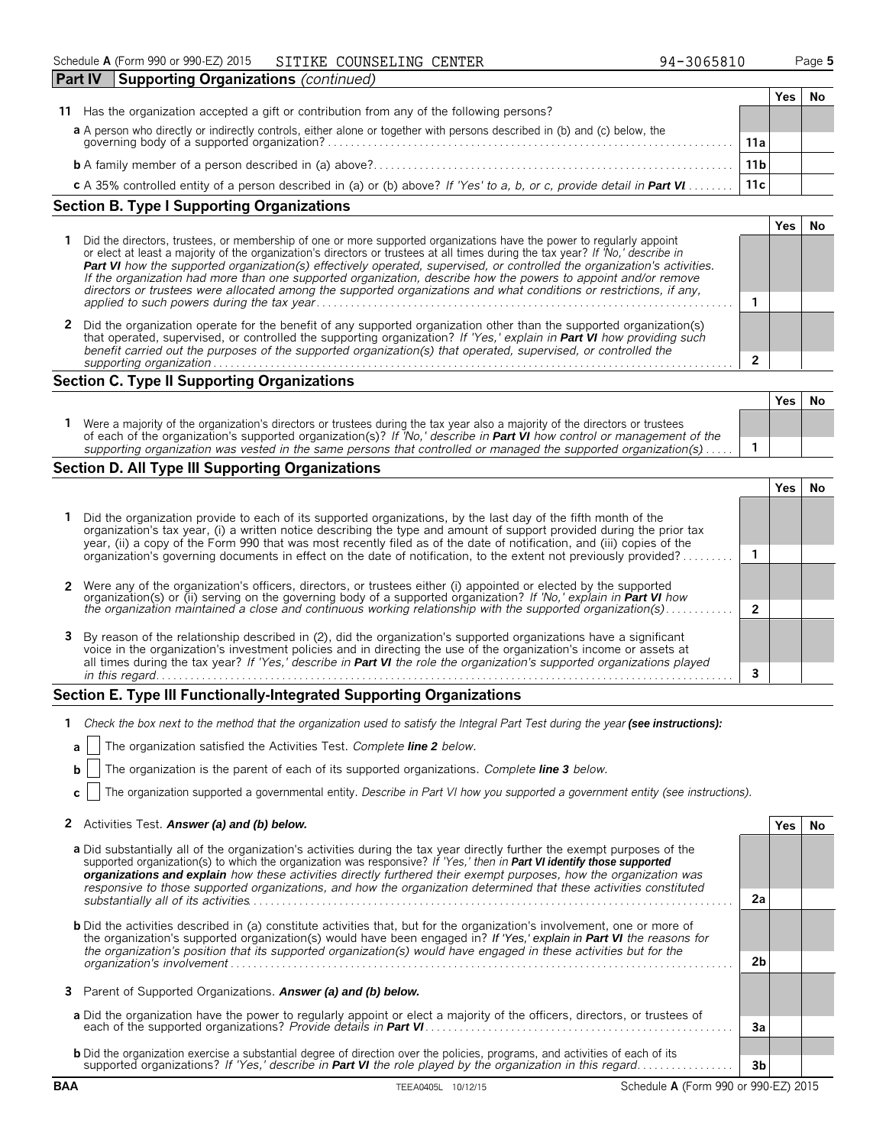| <b>Part IV</b><br><b>Supporting Organizations</b> (continued)                                                          |                 |     |  |
|------------------------------------------------------------------------------------------------------------------------|-----------------|-----|--|
|                                                                                                                        |                 | res |  |
| Has the organization accepted a gift or contribution from any of the following persons?<br>11                          |                 |     |  |
|                                                                                                                        |                 |     |  |
|                                                                                                                        | 11a             |     |  |
|                                                                                                                        | 11 <sub>b</sub> |     |  |
| c A 35% controlled entity of a person described in (a) or (b) above? If 'Yes' to a, b, or c, provide detail in Part VI | 11c             |     |  |

# **Section B. Type I Supporting Organizations**

| Did the directors, trustees, or membership of one or more supported organizations have the power to regularly appoint<br>or elect at least a majority of the organization's directors or trustees at all times during the tax year? If No,' describe in<br>Part VI how the supported organization(s) effectively operated, supervised, or controlled the organization's activities.<br>If the organization had more than one supported organization, describe how the powers to appoint and/or remove<br>directors or trustees were allocated among the supported organizations and what conditions or restrictions, if any, |  |  |  |  |
|------------------------------------------------------------------------------------------------------------------------------------------------------------------------------------------------------------------------------------------------------------------------------------------------------------------------------------------------------------------------------------------------------------------------------------------------------------------------------------------------------------------------------------------------------------------------------------------------------------------------------|--|--|--|--|
|                                                                                                                                                                                                                                                                                                                                                                                                                                                                                                                                                                                                                              |  |  |  |  |
| Did the organization operate for the benefit of any supported organization other than the supported organization(s)<br>that operated, supervised, or controlled the supporting organization? If 'Yes,' explain in Part VI how providing such<br>benefit carried out the purposes of the supported organization(s) that operated, supervised, or controlled the                                                                                                                                                                                                                                                               |  |  |  |  |
| supporting organization                                                                                                                                                                                                                                                                                                                                                                                                                                                                                                                                                                                                      |  |  |  |  |

## **Section C. Type II Supporting Organizations**

|                                                                                                                                                                                                                                                               | Yes | .Nc |
|---------------------------------------------------------------------------------------------------------------------------------------------------------------------------------------------------------------------------------------------------------------|-----|-----|
| Were a majority of the organization's directors or trustees during the tax year also a majority of the directors or trustees<br>of each of the organization's supported organization(s)? If 'No,' describe in <b>Part VI</b> how control or management of the |     |     |
| supporting organization was vested in the same persons that controlled or managed the supported organization(s) $\dots$ .                                                                                                                                     |     |     |

# **Section D. All Type III Supporting Organizations**

| 1 Did the organization provide to each of its supported organizations, by the last day of the fifth month of the<br>organization's tax year, (i) a written notice describing the type and amount of support provided during the prior tax<br>year, (ii) a copy of the Form 990 that was most recently filed as of the date of notification, and (iii) copies of the  |  |  |
|----------------------------------------------------------------------------------------------------------------------------------------------------------------------------------------------------------------------------------------------------------------------------------------------------------------------------------------------------------------------|--|--|
| organization's governing documents in effect on the date of notification, to the extent not previously provided?                                                                                                                                                                                                                                                     |  |  |
|                                                                                                                                                                                                                                                                                                                                                                      |  |  |
| 2 Were any of the organization's officers, directors, or trustees either (i) appointed or elected by the supported<br>organization(s) or (ii) serving on the governing body of a supported organization? If No, explain in <b>Part VI</b> how                                                                                                                        |  |  |
| the organization maintained a close and continuous working relationship with the supported organization(s)                                                                                                                                                                                                                                                           |  |  |
| 3 By reason of the relationship described in (2), did the organization's supported organizations have a significant<br>voice in the organization's investment policies and in directing the use of the organization's income or assets at<br>all times during the tax year? If 'Yes,' describe in Part VI the role the organization's supported organizations played |  |  |
| in this regard.                                                                                                                                                                                                                                                                                                                                                      |  |  |

# **Section E. Type III Functionally-Integrated Supporting Organizations**

| 1 Check the box next to the method that the organization used to satisfy the Integral Part Test during the year (see instructions): |  |  |
|-------------------------------------------------------------------------------------------------------------------------------------|--|--|
|                                                                                                                                     |  |  |

|  | <b>a</b>     The organization satisfied the Activities Test. Complete line 2 below. |  |  |
|--|-------------------------------------------------------------------------------------|--|--|
|  |                                                                                     |  |  |

**b** The organization is the parent of each of its supported organizations. *Complete line 3 below.*

**c** The organization supported a governmental entity. *Describe in Part VI how you supported a government entity (see instructions).*

| 2 Activities Test. Answer (a) and (b) below. | Yes   No |  |
|----------------------------------------------|----------|--|
|----------------------------------------------|----------|--|

| a Did substantially all of the organization's activities during the tax year directly further the exempt purposes of the<br>supported organization(s) to which the organization was responsive? If 'Yes,' then in Part VI identify those supported<br>organizations and explain how these activities directly furthered their exempt purposes, how the organization was<br>responsive to those supported organizations, and how the organization determined that these activities constituted |    |  |  |
|-----------------------------------------------------------------------------------------------------------------------------------------------------------------------------------------------------------------------------------------------------------------------------------------------------------------------------------------------------------------------------------------------------------------------------------------------------------------------------------------------|----|--|--|
|                                                                                                                                                                                                                                                                                                                                                                                                                                                                                               |    |  |  |
| <b>b</b> Did the activities described in (a) constitute activities that, but for the organization's involvement, one or more of<br>the organization's supported organization(s) would have been engaged in? If 'Yes,' explain in Part VI the reasons for<br>the organization's position that its supported organization(s) would have engaged in these activities but for the                                                                                                                 |    |  |  |
|                                                                                                                                                                                                                                                                                                                                                                                                                                                                                               |    |  |  |
| <b>3</b> Parent of Supported Organizations. Answer (a) and (b) below.                                                                                                                                                                                                                                                                                                                                                                                                                         |    |  |  |
| a Did the organization have the power to regularly appoint or elect a majority of the officers, directors, or trustees of                                                                                                                                                                                                                                                                                                                                                                     | 3a |  |  |
|                                                                                                                                                                                                                                                                                                                                                                                                                                                                                               |    |  |  |
| <b>b</b> Did the organization exercise a substantial degree of direction over the policies, programs, and activities of each of its<br>supported organizations? If 'Yes,' describe in Part VI the role played by the organization in this regard                                                                                                                                                                                                                                              |    |  |  |
|                                                                                                                                                                                                                                                                                                                                                                                                                                                                                               | 3b |  |  |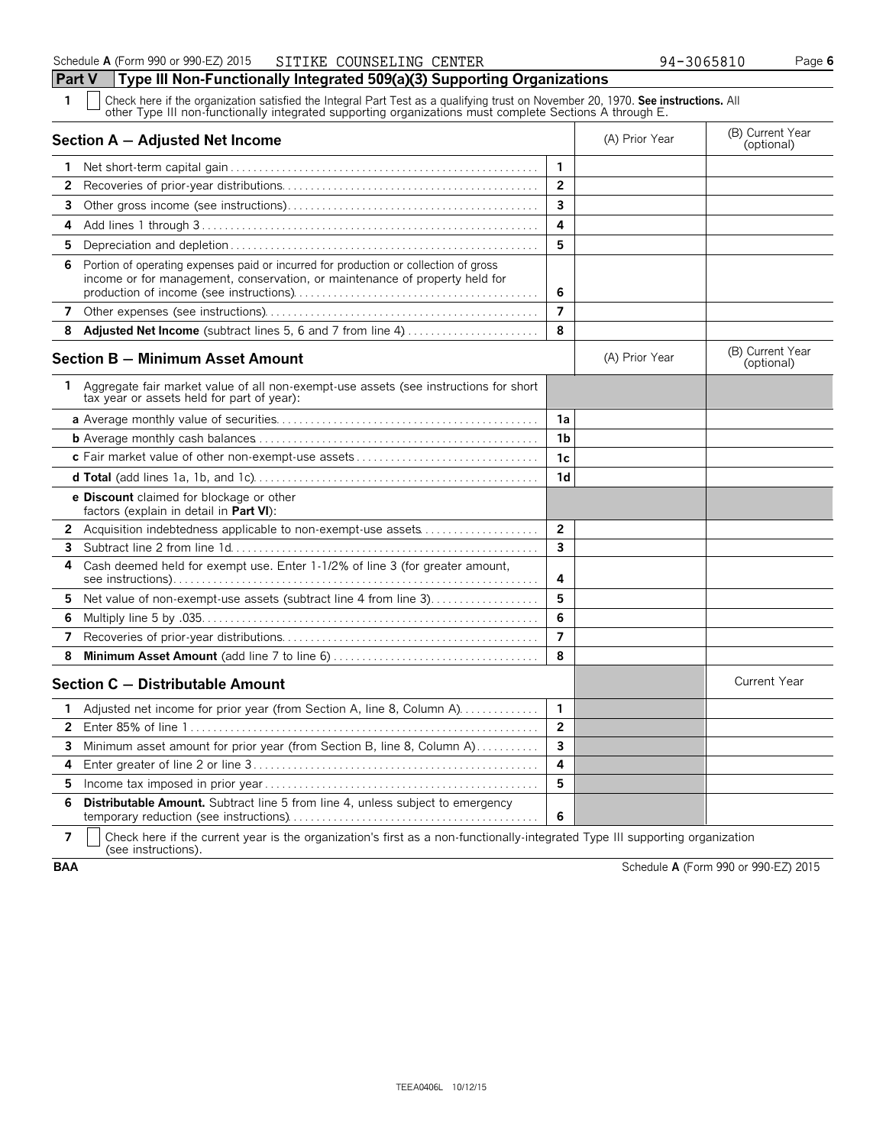**Part V Type III Non-Functionally Integrated 509(a)(3) Supporting Organizations 1** Check here if the organization satisfied the Integral Part Test as a qualifying trust on November 20, 1970. **See instructions.** All other Type III non-functionally integrated supporting organizations must complete Sections A through E. **Section A – Adjusted Net Income** (B) Current Year (B) Current Year (B) Current Year (B) Current Year (Optional) **1** Net short-term capital gain . . . . . . . . . . . . . . . . . . . . . . . . . . . . . . . . . . . . . . . . . . . . . . . . . . . . . . **1 2** Recoveries of prior-year distributions. . . . . . . . . . . . . . . . . . . . . . . . . . . . . . . . . . . . . . . . . . . . . **2 3** Other gross income (see instructions). . . . . . . . . . . . . . . . . . . . . . . . . . . . . . . . . . . . . . . . . . . . **3 4** Add lines 1 through 3 . . . . . . . . . . . . . . . . . . . . . . . . . . . . . . . . . . . . . . . . . . . . . . . . . . . . . . . . . . . **4 5** Depreciation and depletion . . . . . . . . . . . . . . . . . . . . . . . . . . . . . . . . . . . . . . . . . . . . . . . . . . . . . . **5 6** Portion of operating expenses paid or incurred for production or collection of gross income or for management, conservation, or maintenance of property held for production of income (see instructions). . . . . . . . . . . . . . . . . . . . . . . . . . . . . . . . . . . . . . . . . . . **6 7** Other expenses (see instructions). . . . . . . . . . . . . . . . . . . . . . . . . . . . . . . . . . . . . . . . . . . . . . . . **7 8 Adjusted Net Income** (subtract lines 5, 6 and 7 from line 4). . . . . . . . . . . . . . . . . . . . . . . . **8 Section B – Minimum Asset Amount Section B – Minimum Asset Amount** (B) Current Year (B) Current Year (B) Current Year **1** Aggregate fair market value of all non-exempt-use assets (see instructions for short tax year or assets held for part of year): **a** Average monthly value of securities. . . . . . . . . . . . . . . . . . . . . . . . . . . . . . . . . . . . . . . . . . . . . . **1a b** Average monthly cash balances. . . . . . . . . . . . . . . . . . . . . . . . . . . . . . . . . . . . . . . . . . . . . . . . . . **1b c** Fair market value of other non-exempt-use assets . . . . . . . . . . . . . . . . . . . . . . . . . . . . . . . . **c1 d Total** (add lines 1a, 1b, and 1c). . . . . . . . . . . . . . . . . . . . . . . . . . . . . . . . . . . . . . . . . . . . . . . . . . **d1 e Discount** claimed for blockage or other factors (explain in detail in **Part VI**): **2** Acquisition indebtedness applicable to non-exempt-use assets. . . . . . . . . . . . . . . . . . . . . **2 3** Subtract line 2 from line 1d. . . . . . . . . . . . . . . . . . . . . . . . . . . . . . . . . . . . . . . . . . . . . . . . . . . . . . **3 4** Cash deemed held for exempt use. Enter 1-1/2% of line 3 (for greater amount, see instructions). . . . . . . . . . . . . . . . . . . . . . . . . . . . . . . . . . . . . . . . . . . . . . . . . . . . . . . . . . . . . . . . **4 5** Net value of non-exempt-use assets (subtract line 4 from line 3). . . . . . . . . . . . . . . . . . 5 **6** Multiply line 5 by .035. . . . . . . . . . . . . . . . . . . . . . . . . . . . . . . . . . . . . . . . . . . . . . . . . . . . . . . . . . . **6 7** Recoveries of prior-year distributions. . . . . . . . . . . . . . . . . . . . . . . . . . . . . . . . . . . . . . . . . . . . . **7 8 Minimum Asset Amount** (add line 7 to line 6) . . . . . . . . . . . . . . . . . . . . . . . . . . . . . . . . . . . . **8 Section C – Distributable Amount** Current Year **Current Year Amount** Current Year Amount **1** Adjusted net income for prior year (from Section A, line 8, Column A). . . . . . . . . . . . . 1 **2** Enter 85% of line 1 . . . . . . . . . . . . . . . . . . . . . . . . . . . . . . . . . . . . . . . . . . . . . . . . . . . . . . . . . . . . . **2 3** Minimum asset amount for prior year (from Section B, line 8, Column A)............

 Enter greater of line 2 or line 3 . . . . . . . . . . . . . . . . . . . . . . . . . . . . . . . . . . . . . . . . . . . . . . . . . . **4** Income tax imposed in prior year . . . . . . . . . . . . . . . . . . . . . . . . . . . . . . . . . . . . . . . . . . . . . . . . **5 Distributable Amount.** Subtract line 5 from line 4, unless subject to emergency temporary reduction (see instructions). . . . . . . . . . . . . . . . . . . . . . . . . . . . . . . . . . . . . . . . . . . . **6**

**7** | Check here if the current year is the organization's first as a non-functionally-integrated Type III supporting organization (see instructions).

**BAA** Schedule **A** (Form 990 or 990-EZ) 2015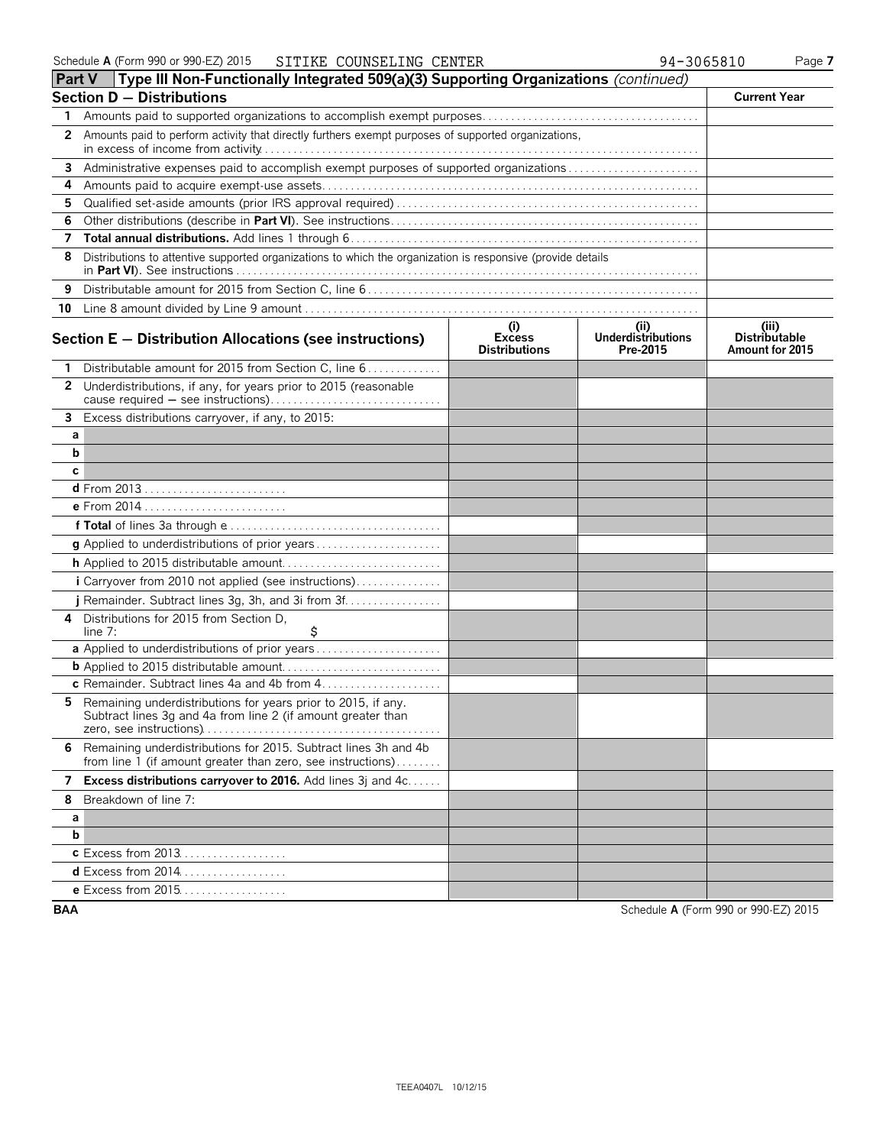| Part V       | Type III Non-Functionally Integrated 509(a)(3) Supporting Organizations (continued)                                              |                                              |                                              |                                                  |
|--------------|----------------------------------------------------------------------------------------------------------------------------------|----------------------------------------------|----------------------------------------------|--------------------------------------------------|
|              | <b>Section D - Distributions</b>                                                                                                 |                                              |                                              | <b>Current Year</b>                              |
| 1            |                                                                                                                                  |                                              |                                              |                                                  |
| $\mathbf{2}$ | Amounts paid to perform activity that directly furthers exempt purposes of supported organizations,                              |                                              |                                              |                                                  |
| 3            |                                                                                                                                  |                                              |                                              |                                                  |
| 4            |                                                                                                                                  |                                              |                                              |                                                  |
| 5.           |                                                                                                                                  |                                              |                                              |                                                  |
| 6            |                                                                                                                                  |                                              |                                              |                                                  |
| 7            |                                                                                                                                  |                                              |                                              |                                                  |
| 8            | Distributions to attentive supported organizations to which the organization is responsive (provide details                      |                                              |                                              |                                                  |
| 9            |                                                                                                                                  |                                              |                                              |                                                  |
|              |                                                                                                                                  |                                              |                                              |                                                  |
|              | Section E - Distribution Allocations (see instructions)                                                                          | (i)<br><b>Excess</b><br><b>Distributions</b> | (i)<br><b>Underdistributions</b><br>Pre-2015 | (iii)<br><b>Distributable</b><br>Amount for 2015 |
| 1            | Distributable amount for 2015 from Section C, line 6                                                                             |                                              |                                              |                                                  |
| $\mathbf{2}$ | Underdistributions, if any, for years prior to 2015 (reasonable                                                                  |                                              |                                              |                                                  |
|              | 3 Excess distributions carryover, if any, to 2015:                                                                               |                                              |                                              |                                                  |
| а            |                                                                                                                                  |                                              |                                              |                                                  |
| b            |                                                                                                                                  |                                              |                                              |                                                  |
| с            |                                                                                                                                  |                                              |                                              |                                                  |
|              | <b>d</b> From 2013                                                                                                               |                                              |                                              |                                                  |
|              | e From 2014                                                                                                                      |                                              |                                              |                                                  |
|              |                                                                                                                                  |                                              |                                              |                                                  |
|              |                                                                                                                                  |                                              |                                              |                                                  |
|              |                                                                                                                                  |                                              |                                              |                                                  |
|              | i Carryover from 2010 not applied (see instructions)                                                                             |                                              |                                              |                                                  |
|              |                                                                                                                                  |                                              |                                              |                                                  |
| 4            | Distributions for 2015 from Section D,                                                                                           |                                              |                                              |                                                  |
|              | \$<br>line 7:                                                                                                                    |                                              |                                              |                                                  |
|              | a Applied to underdistributions of prior years                                                                                   |                                              |                                              |                                                  |
|              |                                                                                                                                  |                                              |                                              |                                                  |
|              |                                                                                                                                  |                                              |                                              |                                                  |
|              | 5 Remaining underdistributions for years prior to 2015, if any.<br>Subtract lines 3g and 4a from line 2 (if amount greater than  |                                              |                                              |                                                  |
|              | 6 Remaining underdistributions for 2015. Subtract lines 3h and 4b<br>from line 1 (if amount greater than zero, see instructions) |                                              |                                              |                                                  |
| 7            | <b>Excess distributions carryover to 2016.</b> Add lines 3j and 4c                                                               |                                              |                                              |                                                  |
| 8            | Breakdown of line 7:                                                                                                             |                                              |                                              |                                                  |
| а            |                                                                                                                                  |                                              |                                              |                                                  |
| b            |                                                                                                                                  |                                              |                                              |                                                  |
|              | <b>c</b> Excess from 2013                                                                                                        |                                              |                                              |                                                  |
|              | d Excess from 2014                                                                                                               |                                              |                                              |                                                  |
|              | e Excess from 2015                                                                                                               |                                              |                                              |                                                  |

**BAA** Schedule **A** (Form 990 or 990-EZ) 2015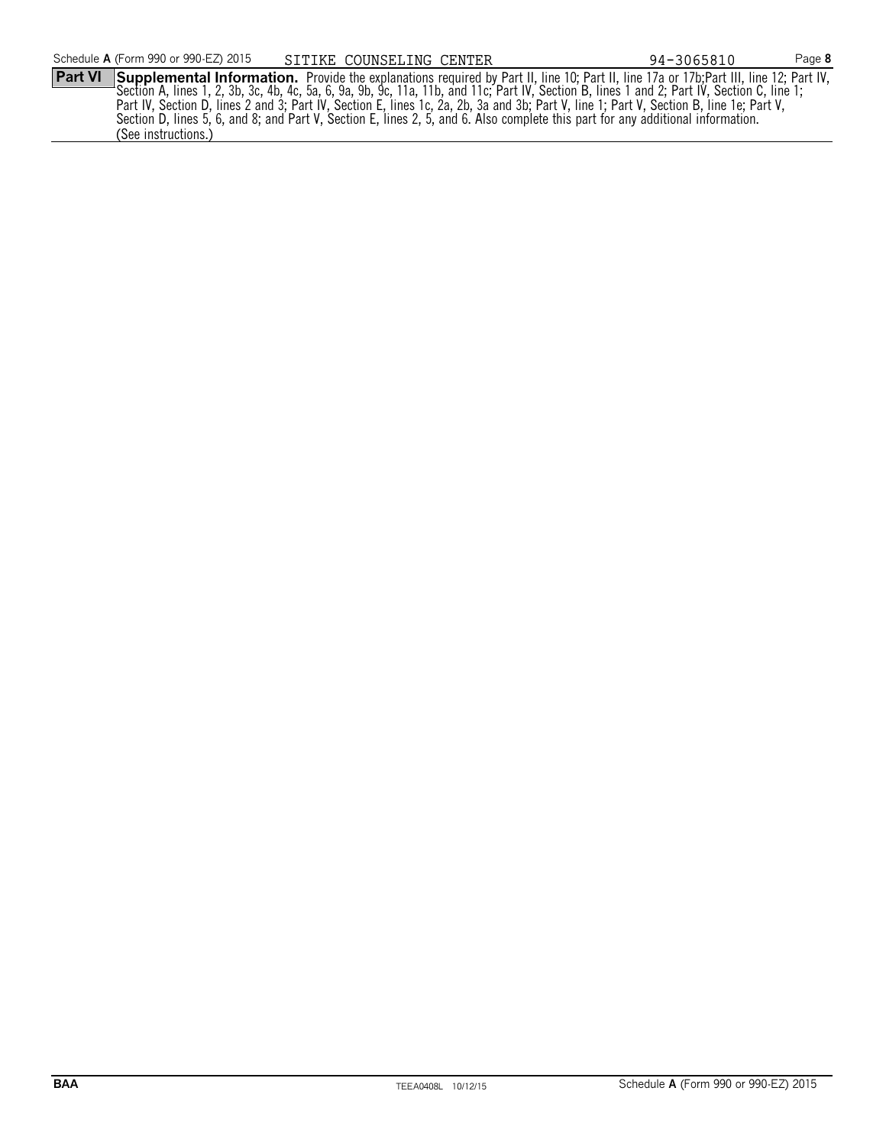**Part VI** Supplemental Information. Provide the explanations required by Part II, line 10; Part II, line 17a or 17b; Part III, line 12; Part IV, Section A, lines 1, 2, 3b, 3c, 4b, 4c, 5a, 6, 9a, 9b, 9c, 11a, 11b, and 11c; Part IV, Section B, lines 1 and 2; Part IV, Section C, line 1; SITIKE COUNSELING CENTER 94-3065810

Part IV, Section D, lines 2 and 3; Part IV, Section E, lines 1c, 2a, 2b, 3a and 3b; Part V, line 1; Part V, Section B, line 1e; Part V, Section D, lines 5, 6, and 8; and Part V, Section E, lines 2, 5, and 6. Also complete this part for any additional information. (See instructions.)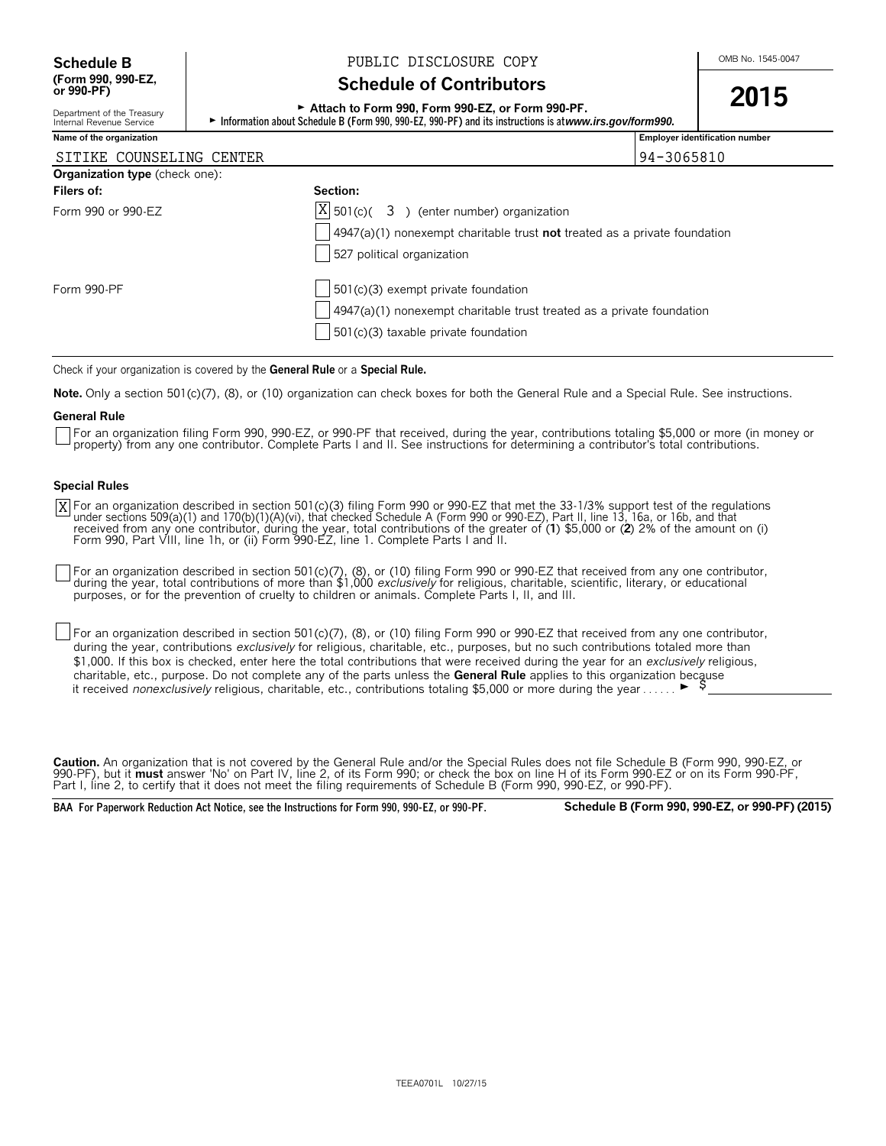Department of the Treasury<br>Internal Revenue Service

# **Schedule B**  $\bigcup_{\text{OMB No. 1545-0047}}$  PUBLIC DISCLOSURE COPY

# **Schedule of Contributors**

# ► **Attach to Form 990, Form 990-EZ, or Form 990-PF.** 2015

► Information about Schedule B (Form 990, 990-EZ, 990-PF) and its instructions is at *www.irs.gov/form990.* 

| Name of the organization       |                                                                                          | <b>Employer identification number</b> |
|--------------------------------|------------------------------------------------------------------------------------------|---------------------------------------|
| SITIKE COUNSELING CENTER       |                                                                                          | 94-3065810                            |
| Organization type (check one): |                                                                                          |                                       |
| Filers of:                     | Section:                                                                                 |                                       |
| Form 990 or 990-EZ             | $ X $ 501(c)( 3) (enter number) organization                                             |                                       |
|                                | $\vert$ 4947(a)(1) nonexempt charitable trust <b>not</b> treated as a private foundation |                                       |
|                                | 527 political organization                                                               |                                       |
| Form 990-PF                    | $501(c)(3)$ exempt private foundation                                                    |                                       |
|                                | $\vert$ 4947(a)(1) nonexempt charitable trust treated as a private foundation            |                                       |
|                                | $501(c)(3)$ taxable private foundation                                                   |                                       |
|                                |                                                                                          |                                       |

Check if your organization is covered by the **General Rule** or a **Special Rule.**

**Note.** Only a section 501(c)(7), (8), or (10) organization can check boxes for both the General Rule and a Special Rule. See instructions.

#### **General Rule**

For an organization filing Form 990, 990-EZ, or 990-PF that received, during the year, contributions totaling \$5,000 or more (in money or property) from any one contributor. Complete Parts I and II. See instructions for determining a contributor's total contributions.

#### **Special Rules**

For an organization described in section 501(c)(3) filing Form 990 or 990-EZ that met the 33-1/3% support test of the regulations<br>under sections 509(a)(1) and 170(b)(1)(A)(vi), that checked Schedule A (Form 990 or 990-EZ), Form 990, Part VIII, line 1h, or (ii) Form 990-EZ, line 1. Complete Parts I and II. X

For an organization described in section 501(c)(7), (8), or (10) filing Form 990 or 990-EZ that received from any one contributor, during the year, total contributions of more than \$1,000 *exclusively* for religious, charitable, scientific, literary, or educational purposes, or for the prevention of cruelty to children or animals. Complete Parts I, II, and III.

For an organization described in section 501(c)(7), (8), or (10) filing Form 990 or 990-EZ that received from any one contributor, during the year, contributions *exclusively* for religious, charitable, etc., purposes, but no such contributions totaled more than \$1,000. If this box is checked, enter here the total contributions that were received during the year for an *exclusively* religious, charitable, etc., purpose. Do not complete any of the parts unless the **General Rule** applies to this organization because it received *nonexclusively* religious, charitable, etc., contributions totaling \$5,000 or more during the year . . . . .  $\blacktriangleright$ 

**Caution.** An organization that is not covered by the General Rule and/or the Special Rules does not file Schedule B (Form 990, 990-EZ, or 990-PF), but it **must** answer 'No' on Part IV, line 2, of its Form 990; or check the box on line H of its Form 990-EZ or on its Form 990-PF, Part I, line 2, to certify that it does not meet the filing requirements of Schedule B (Form 990, 990-EZ, or 990-PF).

**BAA For Paperwork Reduction Act Notice, see the Instructions for Form 990, 990-EZ, or 990-PF. Schedule B (Form 990, 990-EZ, or 990-PF) (2015)**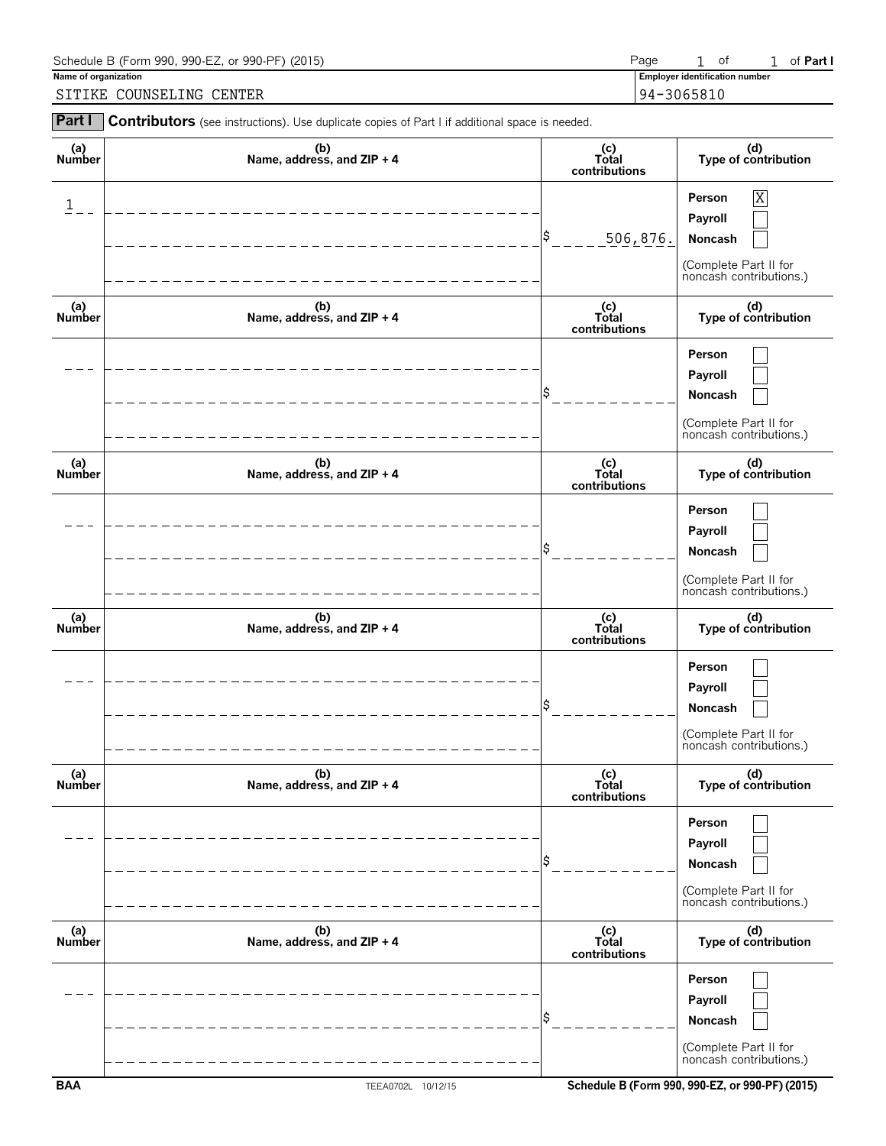| Schedule B (Form 990, 990-EZ, or 990-PF) (2015) | Page       |                                       | 0t |  | of Part I |  |  |
|-------------------------------------------------|------------|---------------------------------------|----|--|-----------|--|--|
| Name of organization                            |            | <b>Employer identification number</b> |    |  |           |  |  |
| COUNSELING CENTER<br><b>SITIKE</b>              | 94-3065810 |                                       |    |  |           |  |  |

| Part I               | Contributors (see instructions). Use duplicate copies of Part I if additional space is needed. |                                 |                                                                                                           |
|----------------------|------------------------------------------------------------------------------------------------|---------------------------------|-----------------------------------------------------------------------------------------------------------|
| (a)<br>Number        | (b)<br>Name, address, and ZIP + 4                                                              | (c)<br>Total<br>contributions   | (d)<br>Type of contribution                                                                               |
| $\mathbf{1}$         |                                                                                                | \$<br>506, 876.                 | $\overline{\text{X}}$<br>Person<br>Payroll<br>Noncash<br>(Complete Part II for<br>noncash contributions.) |
| (a)<br>Number        | (b)<br>Name, address, and ZIP + 4                                                              | (c)<br>Total<br>contributions   | (d)<br>Type of contribution                                                                               |
|                      |                                                                                                |                                 | Person<br>Payroll<br>Noncash<br>(Complete Part II for<br>noncash contributions.)                          |
| (a)<br><b>Number</b> | (b)<br>Name, address, and ZIP + 4                                                              | (c)<br>Total<br>contributions   | (d)<br>Type of contribution                                                                               |
|                      |                                                                                                |                                 | Person<br>Payroll<br>Noncash<br>(Complete Part II for<br>noncash contributions.)                          |
| (a)<br>Number        | (b)<br>Name, address, and ZIP + 4                                                              | $(c)$<br>Total<br>contributions | (d)<br>Type of contribution                                                                               |
|                      |                                                                                                |                                 | Person<br>Payroll<br>Noncash<br>(Complete Part II for<br>noncash contributions.)                          |
| (a)<br>Number        | (b)<br>Name, address, and ZIP + 4                                                              | (c)<br>Total<br>contributions   | (d)<br>Type of contribution                                                                               |
|                      |                                                                                                |                                 | Person<br>Payroll<br>Noncash<br>(Complete Part II for<br>noncash contributions.)                          |
| (a)<br>Number        | (b)<br>Name, address, and ZIP + 4                                                              | (c)<br>Total<br>contributions   | (d)<br>Type of contribution                                                                               |
|                      |                                                                                                |                                 | Person<br>Payroll<br>Noncash<br>(Complete Part II for<br>noncash contributions.)                          |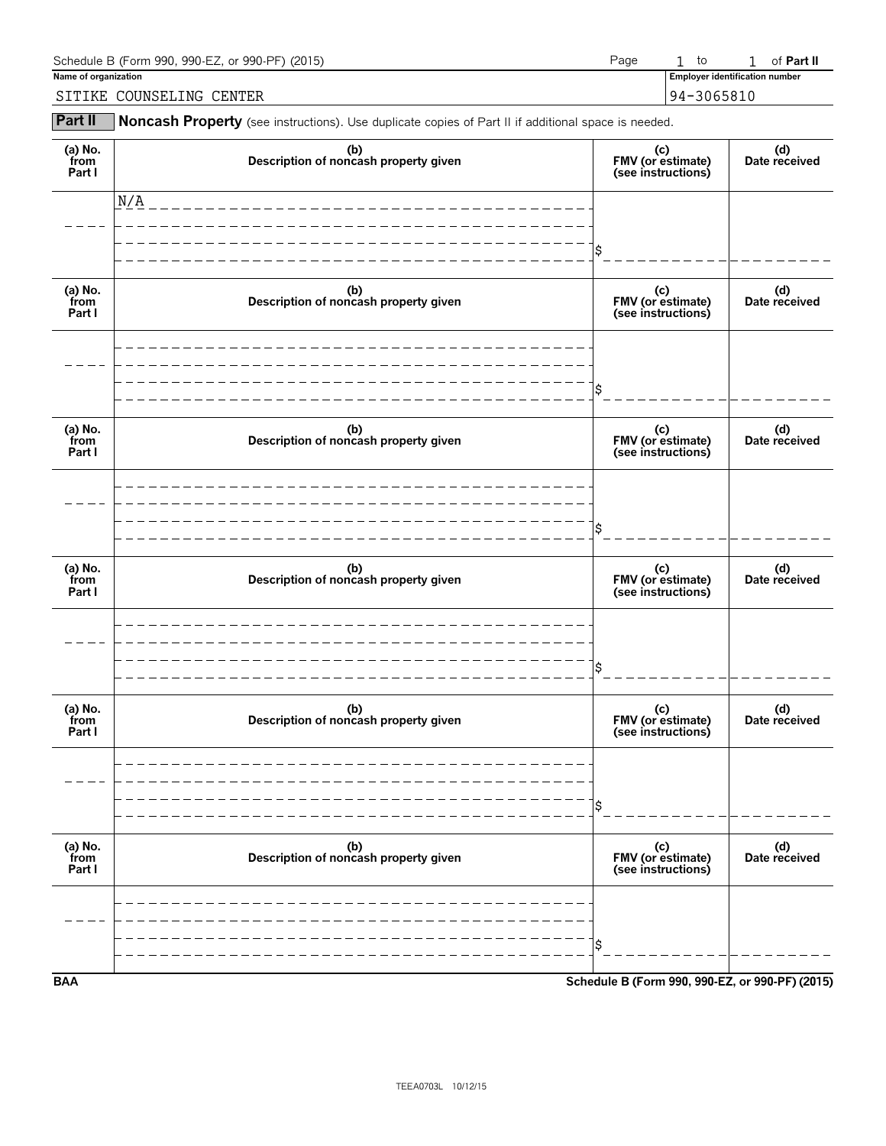| Schedule B (Form 990, 990-EZ, or 990-PF) (2015) | Page |  | to                                    |  | of <b>Part II</b> |
|-------------------------------------------------|------|--|---------------------------------------|--|-------------------|
| Name of organization                            |      |  | <b>Employer identification number</b> |  |                   |
| SITIKE COUNSELING CENTER                        |      |  | 94-3065810                            |  |                   |

**Part II** Noncash Property (see instructions). Use duplicate copies of Part II if additional space is needed.

| (a) No.<br>from<br>Part I | (b)<br>Description of noncash property given | (c)<br>FMV (or estimate)<br>(see instructions)  | (d)<br>Date received |
|---------------------------|----------------------------------------------|-------------------------------------------------|----------------------|
|                           | N/A                                          |                                                 |                      |
|                           |                                              | \$                                              |                      |
| (a) No.<br>from<br>Part I | (b)<br>Description of noncash property given | (c)<br>FMV (or estimate)<br>(see instructions)  | (d)<br>Date received |
|                           |                                              |                                                 |                      |
|                           |                                              | \$                                              |                      |
| (a) No.<br>from<br>Part I | (b)<br>Description of noncash property given | (c)<br>FMV (or estimate)<br>(see instructions)  | (d)<br>Date received |
|                           |                                              |                                                 |                      |
|                           |                                              | Ś                                               |                      |
| (a) No.<br>from<br>Part I | (b)<br>Description of noncash property given | (c)<br>FMV (or estimate)<br>(see instructions)  | (d)<br>Date received |
|                           |                                              |                                                 |                      |
|                           |                                              | Ś                                               |                      |
| (a) No.<br>from<br>Part I | (b)<br>Description of noncash property given | (c)<br>FMV (or estimate)<br>(see instructions)  | (d)<br>Date received |
|                           |                                              |                                                 |                      |
|                           |                                              | \$                                              |                      |
| (a) No.<br>from<br>Part I | (b)<br>Description of noncash property given | (c)<br>FMV (or estimate)<br>(see instructions)  | (d)<br>Date received |
|                           |                                              |                                                 |                      |
|                           |                                              | \$                                              |                      |
| <b>BAA</b>                |                                              | Schedule B (Form 990, 990-EZ, or 990-PF) (2015) |                      |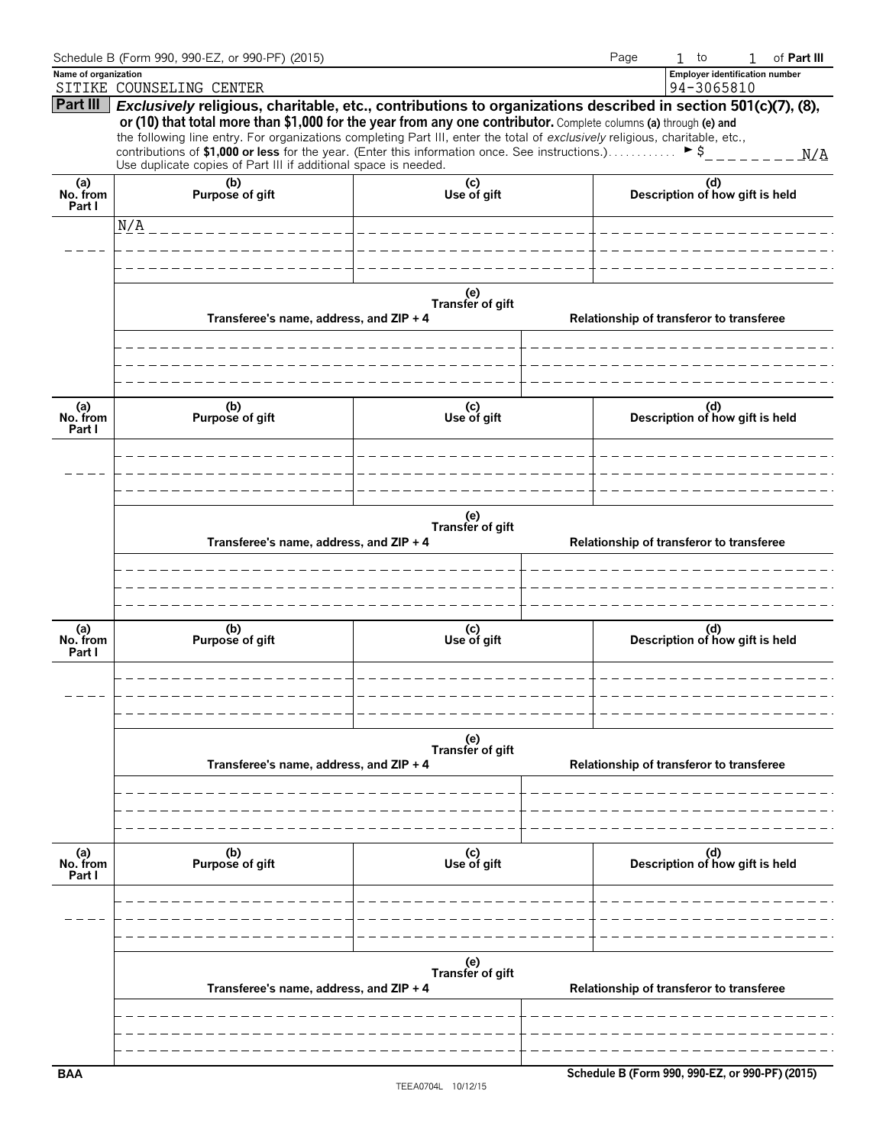|                           | Schedule B (Form 990, 990-EZ, or 990-PF) (2015)                                                                                                                                                                                                                                                                                                                                                                                                                                                                                                            |                         | Page  | $1$ to<br>of Part III<br>$\mathbf{1}$               |  |  |  |
|---------------------------|------------------------------------------------------------------------------------------------------------------------------------------------------------------------------------------------------------------------------------------------------------------------------------------------------------------------------------------------------------------------------------------------------------------------------------------------------------------------------------------------------------------------------------------------------------|-------------------------|-------|-----------------------------------------------------|--|--|--|
| Name of organization      | SITIKE COUNSELING CENTER                                                                                                                                                                                                                                                                                                                                                                                                                                                                                                                                   |                         |       | <b>Employer identification number</b><br>94-3065810 |  |  |  |
| Part III                  | Exclusively religious, charitable, etc., contributions to organizations described in section 501(c)(7), (8),<br>or (10) that total more than \$1,000 for the year from any one contributor. Complete columns (a) through (e) and<br>the following line entry. For organizations completing Part III, enter the total of exclusively religious, charitable, etc.,<br>contributions of \$1,000 or less for the year. (Enter this information once. See instructions.) $\triangleright$ \$<br>Use duplicate copies of Part III if additional space is needed. |                         |       |                                                     |  |  |  |
| (a)<br>No. from<br>Part I | (b)<br>Purpose of gift                                                                                                                                                                                                                                                                                                                                                                                                                                                                                                                                     | (c)<br>Use of gift      |       | (d)<br>Description of how gift is held              |  |  |  |
|                           | N/A                                                                                                                                                                                                                                                                                                                                                                                                                                                                                                                                                        | _____________________   |       |                                                     |  |  |  |
|                           |                                                                                                                                                                                                                                                                                                                                                                                                                                                                                                                                                            |                         |       |                                                     |  |  |  |
|                           |                                                                                                                                                                                                                                                                                                                                                                                                                                                                                                                                                            |                         |       |                                                     |  |  |  |
|                           | Transferee's name, address, and ZIP + 4                                                                                                                                                                                                                                                                                                                                                                                                                                                                                                                    | (e)<br>Transfer of gift |       | Relationship of transferor to transferee            |  |  |  |
|                           |                                                                                                                                                                                                                                                                                                                                                                                                                                                                                                                                                            |                         |       |                                                     |  |  |  |
| (a)<br>No. from<br>Part I | (b)<br>Purpose of gift                                                                                                                                                                                                                                                                                                                                                                                                                                                                                                                                     | (c)<br>Use of gift      |       | (d)<br>Description of how gift is held              |  |  |  |
|                           | Transferee's name, address, and ZIP + 4                                                                                                                                                                                                                                                                                                                                                                                                                                                                                                                    | (e)<br>Transfer of gift | _____ | Relationship of transferor to transferee            |  |  |  |
| (a)<br>No. from<br>Part I | (b)<br>Purpose of gift                                                                                                                                                                                                                                                                                                                                                                                                                                                                                                                                     | (c)<br>Use of gift      |       | (d)<br>Description of how gift is held              |  |  |  |
|                           |                                                                                                                                                                                                                                                                                                                                                                                                                                                                                                                                                            |                         |       |                                                     |  |  |  |
|                           | Transferee's name, address, and ZIP + 4                                                                                                                                                                                                                                                                                                                                                                                                                                                                                                                    | (e)<br>Transfer of gift |       | Relationship of transferor to transferee            |  |  |  |
| (a)<br>No. from<br>Part I | (b)<br>Purpose of gift                                                                                                                                                                                                                                                                                                                                                                                                                                                                                                                                     | (c)<br>Use of gift      |       | (d)<br>Description of how gift is held              |  |  |  |
|                           |                                                                                                                                                                                                                                                                                                                                                                                                                                                                                                                                                            |                         |       |                                                     |  |  |  |
|                           | Transferee's name, address, and ZIP + 4                                                                                                                                                                                                                                                                                                                                                                                                                                                                                                                    | (e)<br>Transfer of gift |       | Relationship of transferor to transferee            |  |  |  |
|                           |                                                                                                                                                                                                                                                                                                                                                                                                                                                                                                                                                            |                         |       |                                                     |  |  |  |
| <b>BAA</b>                |                                                                                                                                                                                                                                                                                                                                                                                                                                                                                                                                                            |                         |       | Schedule B (Form 990, 990-EZ, or 990-PF) (2015)     |  |  |  |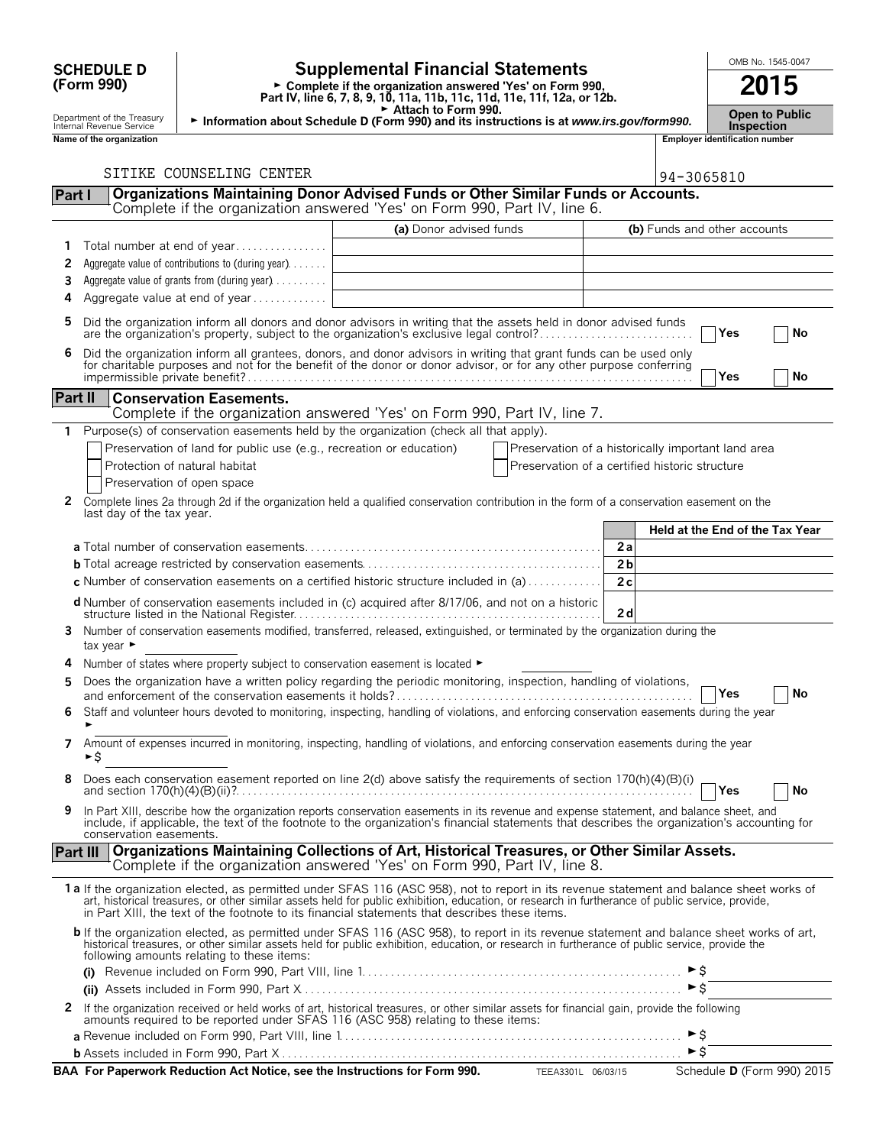# **(Form 990)**

# **SCHEDULE D**  $\begin{bmatrix} 0 \end{bmatrix}$  **Supplemental Financial Statements**  $\begin{bmatrix} 0 \end{bmatrix}$   $\begin{bmatrix} 0 \end{bmatrix}$   $\begin{bmatrix} 0 \end{bmatrix}$

**Part IV, line 6, 7, 8, 9, 10, 11a, 11b, 11c, 11d, 11e, 11f, 12a, or 12b.**<br>
Part IV, line 6, 7, 8, 9, 10, 11a, 11b, 11c, 11d, 11e, 11f, 12a, or 12b.

G **Attach to Form 990.** Department of the Treasury **Open to Public** <sup>G</sup> **Information about Schedule D (Form 990) and its instructions is at** *www.irs.gov/form990.* Internal Revenue Service **Inspection**

|              | Name of the organization                                                                                                                                                                                                                                                                                                                                                                       |                         |                                                    |                |                     | <b>Employer identification number</b> |                            |
|--------------|------------------------------------------------------------------------------------------------------------------------------------------------------------------------------------------------------------------------------------------------------------------------------------------------------------------------------------------------------------------------------------------------|-------------------------|----------------------------------------------------|----------------|---------------------|---------------------------------------|----------------------------|
|              | SITIKE COUNSELING CENTER                                                                                                                                                                                                                                                                                                                                                                       |                         |                                                    |                |                     |                                       |                            |
| Part I       | Organizations Maintaining Donor Advised Funds or Other Similar Funds or Accounts.<br>Complete if the organization answered 'Yes' on Form 990, Part IV, line 6.                                                                                                                                                                                                                                 |                         |                                                    |                | 94-3065810          |                                       |                            |
|              |                                                                                                                                                                                                                                                                                                                                                                                                | (a) Donor advised funds |                                                    |                |                     | (b) Funds and other accounts          |                            |
| 1            | Total number at end of year                                                                                                                                                                                                                                                                                                                                                                    |                         |                                                    |                |                     |                                       |                            |
| 2            | Aggregate value of contributions to (during year).                                                                                                                                                                                                                                                                                                                                             |                         |                                                    |                |                     |                                       |                            |
| 3            | Aggregate value of grants from (during year)                                                                                                                                                                                                                                                                                                                                                   |                         |                                                    |                |                     |                                       |                            |
| 4            | Aggregate value at end of year                                                                                                                                                                                                                                                                                                                                                                 |                         |                                                    |                |                     |                                       |                            |
|              |                                                                                                                                                                                                                                                                                                                                                                                                |                         |                                                    |                |                     |                                       |                            |
| 5            | Did the organization inform all donors and donor advisors in writing that the assets held in donor advised funds<br>are the organization's property, subject to the organization's exclusive legal control?                                                                                                                                                                                    |                         |                                                    |                |                     | Yes                                   | No                         |
| 6            | Did the organization inform all grantees, donors, and donor advisors in writing that grant funds can be used only for charitable purposes and not for the benefit of the donor or donor advisor, or for any other purpose conf                                                                                                                                                                 |                         |                                                    |                |                     | Yes                                   | No                         |
| Part II      | <b>Conservation Easements.</b>                                                                                                                                                                                                                                                                                                                                                                 |                         |                                                    |                |                     |                                       |                            |
|              | Complete if the organization answered 'Yes' on Form 990, Part IV, line 7.                                                                                                                                                                                                                                                                                                                      |                         |                                                    |                |                     |                                       |                            |
|              | Purpose(s) of conservation easements held by the organization (check all that apply).                                                                                                                                                                                                                                                                                                          |                         |                                                    |                |                     |                                       |                            |
|              | Preservation of land for public use (e.g., recreation or education)                                                                                                                                                                                                                                                                                                                            |                         | Preservation of a historically important land area |                |                     |                                       |                            |
|              | Protection of natural habitat                                                                                                                                                                                                                                                                                                                                                                  |                         | Preservation of a certified historic structure     |                |                     |                                       |                            |
|              | Preservation of open space                                                                                                                                                                                                                                                                                                                                                                     |                         |                                                    |                |                     |                                       |                            |
| $\mathbf{2}$ | Complete lines 2a through 2d if the organization held a qualified conservation contribution in the form of a conservation easement on the                                                                                                                                                                                                                                                      |                         |                                                    |                |                     |                                       |                            |
|              | last day of the tax year.                                                                                                                                                                                                                                                                                                                                                                      |                         |                                                    |                |                     |                                       |                            |
|              |                                                                                                                                                                                                                                                                                                                                                                                                |                         |                                                    |                |                     | Held at the End of the Tax Year       |                            |
|              |                                                                                                                                                                                                                                                                                                                                                                                                |                         |                                                    | 2a             |                     |                                       |                            |
|              |                                                                                                                                                                                                                                                                                                                                                                                                |                         |                                                    | 2 <sub>b</sub> |                     |                                       |                            |
|              | c Number of conservation easements on a certified historic structure included in (a)                                                                                                                                                                                                                                                                                                           |                         |                                                    | 2c             |                     |                                       |                            |
|              | d Number of conservation easements included in (c) acquired after 8/17/06, and not on a historic                                                                                                                                                                                                                                                                                               |                         |                                                    |                |                     |                                       |                            |
|              |                                                                                                                                                                                                                                                                                                                                                                                                |                         |                                                    | 2d             |                     |                                       |                            |
|              | 3 Number of conservation easements modified, transferred, released, extinguished, or terminated by the organization during the<br>tax year $\blacktriangleright$                                                                                                                                                                                                                               |                         |                                                    |                |                     |                                       |                            |
| 4            | Number of states where property subject to conservation easement is located $\blacktriangleright$                                                                                                                                                                                                                                                                                              |                         |                                                    |                |                     |                                       |                            |
| 5            | Does the organization have a written policy regarding the periodic monitoring, inspection, handling of violations,                                                                                                                                                                                                                                                                             |                         |                                                    |                |                     |                                       |                            |
|              |                                                                                                                                                                                                                                                                                                                                                                                                |                         |                                                    |                |                     | Yes                                   | No                         |
| 6            | Staff and volunteer hours devoted to monitoring, inspecting, handling of violations, and enforcing conservation easements during the year                                                                                                                                                                                                                                                      |                         |                                                    |                |                     |                                       |                            |
|              |                                                                                                                                                                                                                                                                                                                                                                                                |                         |                                                    |                |                     |                                       |                            |
| 7            | Amount of expenses incurred in monitoring, inspecting, handling of violations, and enforcing conservation easements during the year<br>►S                                                                                                                                                                                                                                                      |                         |                                                    |                |                     |                                       |                            |
| 8            | Does each conservation easement reported on line 2(d) above satisfy the requirements of section 170(h)(4)(B)(i)                                                                                                                                                                                                                                                                                |                         |                                                    |                |                     | Yes                                   | No                         |
| 9            | In Part XIII, describe how the organization reports conservation easements in its revenue and expense statement, and balance sheet, and<br>include, if applicable, the text of the footnote to the organization's financial statements that describes the organization's accounting for<br>conservation easements.                                                                             |                         |                                                    |                |                     |                                       |                            |
| Part III     | Organizations Maintaining Collections of Art, Historical Treasures, or Other Similar Assets.<br>Complete if the organization answered 'Yes' on Form 990, Part IV, line 8.                                                                                                                                                                                                                      |                         |                                                    |                |                     |                                       |                            |
|              | 1a If the organization elected, as permitted under SFAS 116 (ASC 958), not to report in its revenue statement and balance sheet works of<br>art, historical treasures, or other similar assets held for public exhibition, education, or research in furtherance of public service, provide,<br>in Part XIII, the text of the footnote to its financial statements that describes these items. |                         |                                                    |                |                     |                                       |                            |
|              | b If the organization elected, as permitted under SFAS 116 (ASC 958), to report in its revenue statement and balance sheet works of art,<br>historical treasures, or other similar assets held for public exhibition, education, or research in furtherance of public service, provide the<br>following amounts relating to these items:                                                       |                         |                                                    |                |                     |                                       |                            |
|              |                                                                                                                                                                                                                                                                                                                                                                                                |                         |                                                    |                |                     |                                       |                            |
|              |                                                                                                                                                                                                                                                                                                                                                                                                |                         |                                                    |                | $\triangleright$ \$ |                                       |                            |
| 2            | If the organization received or held works of art, historical treasures, or other similar assets for financial gain, provide the following<br>amounts required to be reported under SFAS 116 (ASC 958) relating to these items:                                                                                                                                                                |                         |                                                    |                |                     |                                       |                            |
|              |                                                                                                                                                                                                                                                                                                                                                                                                |                         |                                                    |                |                     |                                       |                            |
|              |                                                                                                                                                                                                                                                                                                                                                                                                |                         |                                                    |                | $\triangleright$ \$ |                                       |                            |
|              | BAA For Paperwork Reduction Act Notice, see the Instructions for Form 990. TEEA3301L 06/03/15                                                                                                                                                                                                                                                                                                  |                         |                                                    |                |                     |                                       | Schedule D (Form 990) 2015 |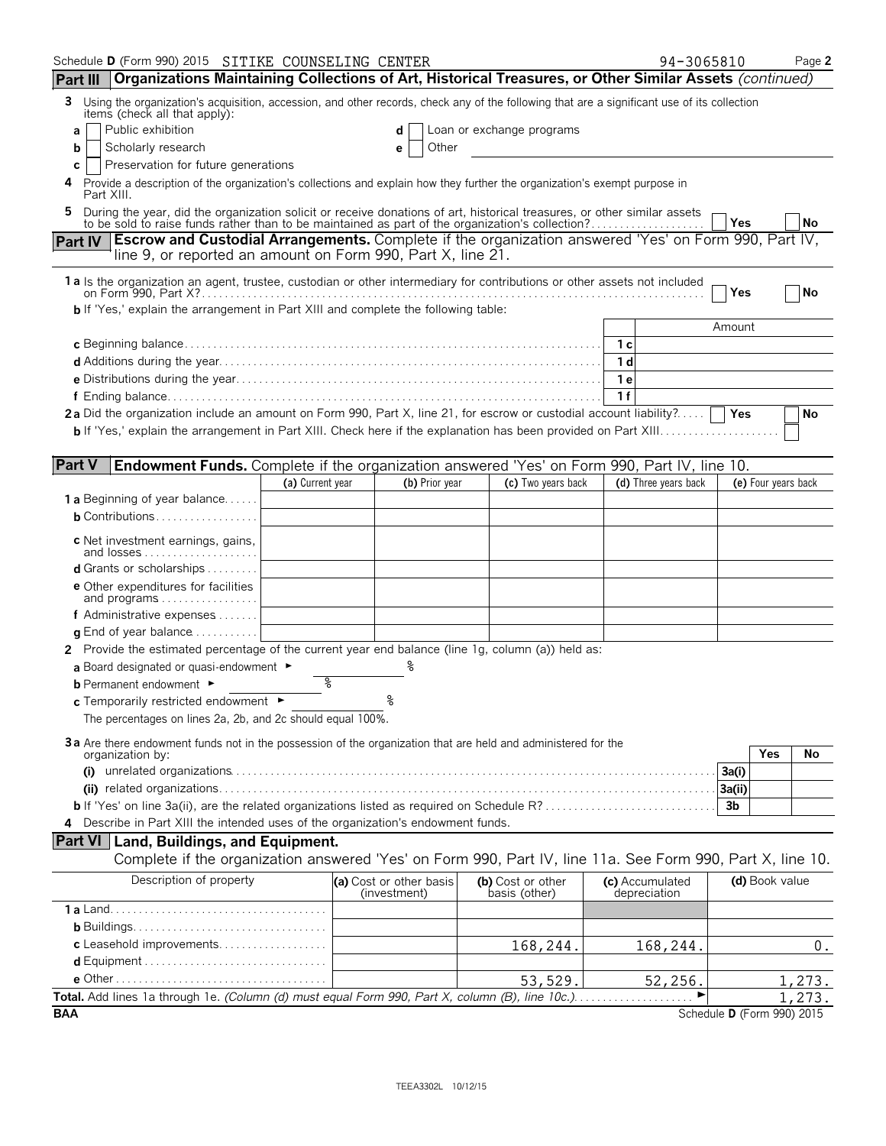| Schedule D (Form 990) 2015 SITIKE COUNSELING CENTER                                                                                                                                                                       |                                |                                         |                                    | 94-3065810                      | Page 2                     |  |  |
|---------------------------------------------------------------------------------------------------------------------------------------------------------------------------------------------------------------------------|--------------------------------|-----------------------------------------|------------------------------------|---------------------------------|----------------------------|--|--|
| Organizations Maintaining Collections of Art, Historical Treasures, or Other Similar Assets (continued)<br><b>Part III</b>                                                                                                |                                |                                         |                                    |                                 |                            |  |  |
| Using the organization's acquisition, accession, and other records, check any of the following that are a significant use of its collection<br>3<br>items (check all that apply):                                         |                                |                                         |                                    |                                 |                            |  |  |
| Public exhibition<br>a                                                                                                                                                                                                    | Loan or exchange programs<br>d |                                         |                                    |                                 |                            |  |  |
| Scholarly research<br>b                                                                                                                                                                                                   |                                | Other<br>е                              |                                    |                                 |                            |  |  |
| Preservation for future generations<br>С                                                                                                                                                                                  |                                |                                         |                                    |                                 |                            |  |  |
| Provide a description of the organization's collections and explain how they further the organization's exempt purpose in<br>4<br>Part XIII.                                                                              |                                |                                         |                                    |                                 |                            |  |  |
| During the year, did the organization solicit or receive donations of art, historical treasures, or other similar assets to be sold to raise funds rather than to be maintained as part of the organization's collection? |                                |                                         |                                    |                                 | No<br>Yes                  |  |  |
| Part IV Escrow and Custodial Arrangements. Complete if the organization answered 'Yes' on Form 990, Part IV,                                                                                                              |                                |                                         |                                    |                                 |                            |  |  |
| line 9, or reported an amount on Form 990, Part X, line 21.                                                                                                                                                               |                                |                                         |                                    |                                 |                            |  |  |
| 1a Is the organization an agent, trustee, custodian or other intermediary for contributions or other assets not included                                                                                                  |                                |                                         |                                    |                                 |                            |  |  |
|                                                                                                                                                                                                                           |                                |                                         |                                    |                                 | Yes<br>No                  |  |  |
| <b>b</b> If 'Yes,' explain the arrangement in Part XIII and complete the following table:                                                                                                                                 |                                |                                         |                                    |                                 |                            |  |  |
|                                                                                                                                                                                                                           |                                |                                         |                                    |                                 | Amount                     |  |  |
|                                                                                                                                                                                                                           |                                |                                         |                                    | 1 с<br>1 d                      |                            |  |  |
|                                                                                                                                                                                                                           |                                |                                         |                                    | 1е                              |                            |  |  |
|                                                                                                                                                                                                                           |                                |                                         |                                    | 1f                              |                            |  |  |
| 2a Did the organization include an amount on Form 990, Part X, line 21, for escrow or custodial account liability?                                                                                                        |                                |                                         |                                    |                                 | Yes<br>No                  |  |  |
|                                                                                                                                                                                                                           |                                |                                         |                                    |                                 |                            |  |  |
|                                                                                                                                                                                                                           |                                |                                         |                                    |                                 |                            |  |  |
| <b>Part V</b><br><b>Endowment Funds.</b> Complete if the organization answered 'Yes' on Form 990, Part IV, line 10.                                                                                                       |                                |                                         |                                    |                                 |                            |  |  |
|                                                                                                                                                                                                                           | (a) Current year               | (b) Prior year                          | (c) Two years back                 | (d) Three years back            | (e) Four years back        |  |  |
| <b>1 a</b> Beginning of year balance                                                                                                                                                                                      |                                |                                         |                                    |                                 |                            |  |  |
| <b>b</b> Contributions                                                                                                                                                                                                    |                                |                                         |                                    |                                 |                            |  |  |
| c Net investment earnings, gains,                                                                                                                                                                                         |                                |                                         |                                    |                                 |                            |  |  |
| and losses<br><b>d</b> Grants or scholarships $\ldots$                                                                                                                                                                    |                                |                                         |                                    |                                 |                            |  |  |
|                                                                                                                                                                                                                           |                                |                                         |                                    |                                 |                            |  |  |
| <b>e</b> Other expenditures for facilities<br>and programs                                                                                                                                                                |                                |                                         |                                    |                                 |                            |  |  |
| f Administrative expenses                                                                                                                                                                                                 |                                |                                         |                                    |                                 |                            |  |  |
| <b>q</b> End of year balance $\ldots \ldots \ldots$                                                                                                                                                                       |                                |                                         |                                    |                                 |                            |  |  |
| 2 Provide the estimated percentage of the current year end balance (line 1g, column (a)) held as:                                                                                                                         |                                |                                         |                                    |                                 |                            |  |  |
| a Board designated or quasi-endowment $\blacktriangleright$                                                                                                                                                               |                                |                                         |                                    |                                 |                            |  |  |
| <b>b</b> Permanent endowment ►                                                                                                                                                                                            | နွ                             |                                         |                                    |                                 |                            |  |  |
| $c$ Temporarily restricted endowment $\blacktriangleright$                                                                                                                                                                |                                | ٥                                       |                                    |                                 |                            |  |  |
| The percentages on lines 2a, 2b, and 2c should equal 100%.                                                                                                                                                                |                                |                                         |                                    |                                 |                            |  |  |
| 3a Are there endowment funds not in the possession of the organization that are held and administered for the                                                                                                             |                                |                                         |                                    |                                 |                            |  |  |
| organization by:                                                                                                                                                                                                          |                                |                                         |                                    |                                 | <b>Yes</b><br>No           |  |  |
|                                                                                                                                                                                                                           |                                |                                         |                                    |                                 | 3a(i)                      |  |  |
|                                                                                                                                                                                                                           |                                |                                         |                                    |                                 | 3a(ii)                     |  |  |
|                                                                                                                                                                                                                           |                                |                                         |                                    |                                 | 3 <sub>b</sub>             |  |  |
| 4 Describe in Part XIII the intended uses of the organization's endowment funds.                                                                                                                                          |                                |                                         |                                    |                                 |                            |  |  |
| Part VI   Land, Buildings, and Equipment.                                                                                                                                                                                 |                                |                                         |                                    |                                 |                            |  |  |
| Complete if the organization answered 'Yes' on Form 990, Part IV, line 11a. See Form 990, Part X, line 10.                                                                                                                |                                |                                         |                                    |                                 |                            |  |  |
| Description of property                                                                                                                                                                                                   |                                | (a) Cost or other basis<br>(investment) | (b) Cost or other<br>basis (other) | (c) Accumulated<br>depreciation | (d) Book value             |  |  |
|                                                                                                                                                                                                                           |                                |                                         |                                    |                                 |                            |  |  |
|                                                                                                                                                                                                                           |                                |                                         |                                    |                                 |                            |  |  |
| c Leasehold improvements                                                                                                                                                                                                  |                                |                                         | 168,244.                           | 168,244.                        | $\boldsymbol{0}$ .         |  |  |
|                                                                                                                                                                                                                           |                                |                                         |                                    |                                 |                            |  |  |
|                                                                                                                                                                                                                           |                                |                                         | 53,529.                            | 52,256.                         | 1,273.                     |  |  |
|                                                                                                                                                                                                                           |                                |                                         |                                    |                                 | 273.<br>1.                 |  |  |
| <b>BAA</b>                                                                                                                                                                                                                |                                |                                         |                                    |                                 | Schedule D (Form 990) 2015 |  |  |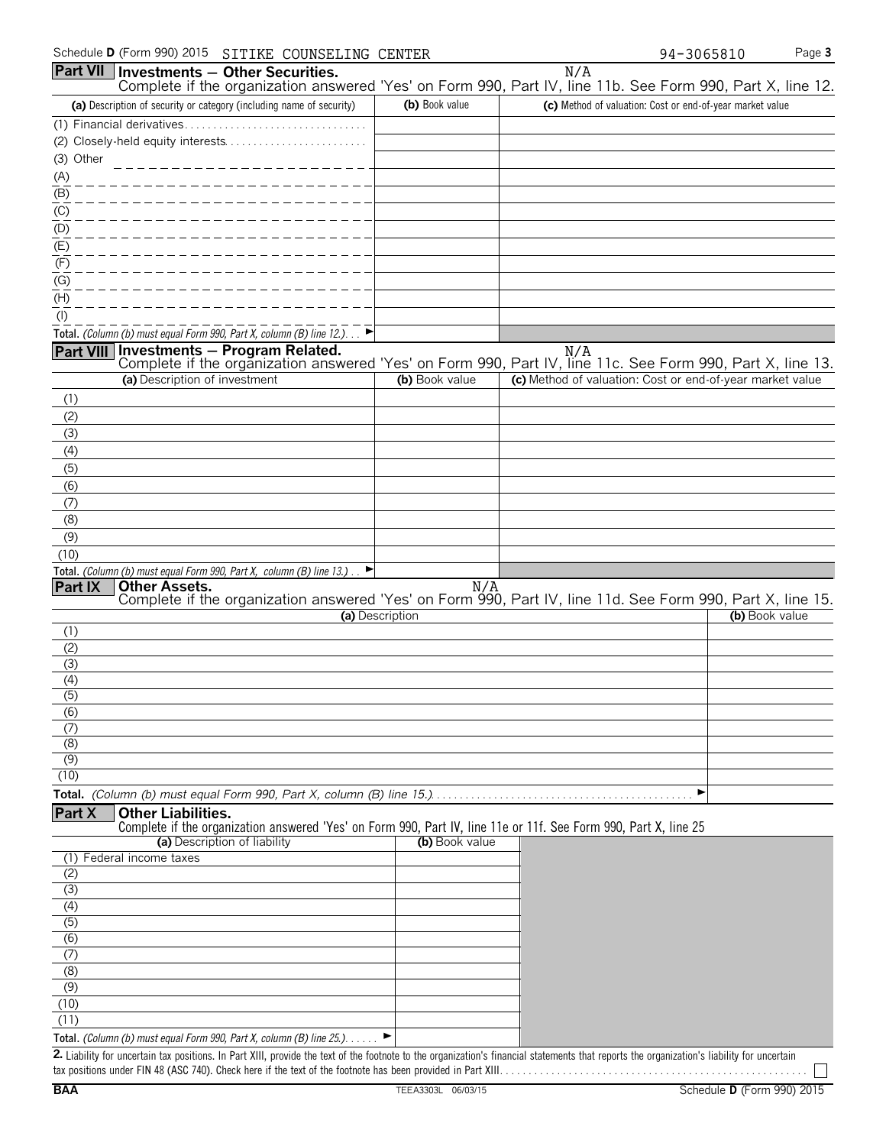|                         | Schedule <b>D</b> (Form 990) 2015<br>SITIKE COUNSELING CENTER                                                                                    |                 | 94-3065810                                                | Page 3         |
|-------------------------|--------------------------------------------------------------------------------------------------------------------------------------------------|-----------------|-----------------------------------------------------------|----------------|
| <b>Part VII</b>         | $ $ Investments $-$ Other Securities.                                                                                                            |                 | N/A                                                       |                |
|                         | Complete if the organization answered 'Yes' on Form 990, Part IV, line 11b. See Form 990, Part X, line 12.                                       |                 |                                                           |                |
|                         | (a) Description of security or category (including name of security)                                                                             | (b) Book value  | (c) Method of valuation: Cost or end-of-year market value |                |
|                         |                                                                                                                                                  |                 |                                                           |                |
|                         |                                                                                                                                                  |                 |                                                           |                |
| (3) Other               |                                                                                                                                                  |                 |                                                           |                |
| (A)<br>(B)              |                                                                                                                                                  |                 |                                                           |                |
| (C)                     |                                                                                                                                                  |                 |                                                           |                |
| (D)                     |                                                                                                                                                  |                 |                                                           |                |
| (E)                     |                                                                                                                                                  |                 |                                                           |                |
| (F)                     |                                                                                                                                                  |                 |                                                           |                |
| (G)                     |                                                                                                                                                  |                 |                                                           |                |
| (H)                     |                                                                                                                                                  |                 |                                                           |                |
| $($ l $)$               |                                                                                                                                                  |                 |                                                           |                |
|                         | Total. (Column (b) must equal Form 990, Part X, column (B) line 12.)                                                                             |                 |                                                           |                |
|                         | Part VIII Investments - Program Related.                                                                                                         |                 | N/A                                                       |                |
|                         | Complete if the organization answered 'Yes' on Form 990, Part IV, line 11c. See Form 990, Part X, line 13.<br>(a) Description of investment      | (b) Book value  | (c) Method of valuation: Cost or end-of-year market value |                |
|                         |                                                                                                                                                  |                 |                                                           |                |
| (1)<br>(2)              |                                                                                                                                                  |                 |                                                           |                |
| (3)                     |                                                                                                                                                  |                 |                                                           |                |
| (4)                     |                                                                                                                                                  |                 |                                                           |                |
| (5)                     |                                                                                                                                                  |                 |                                                           |                |
| (6)                     |                                                                                                                                                  |                 |                                                           |                |
| (7)                     |                                                                                                                                                  |                 |                                                           |                |
| (8)                     |                                                                                                                                                  |                 |                                                           |                |
| (9)                     |                                                                                                                                                  |                 |                                                           |                |
| (10)                    |                                                                                                                                                  |                 |                                                           |                |
|                         | Total. (Column (b) must equal Form 990, Part X, column (B) line 13.).                                                                            |                 |                                                           |                |
| Part IX                 | <b>Other Assets.</b><br>Complete if the organization answered 'Yes' on Form 990, Part IV, line 11d. See Form 990, Part X, line 15.               | N/A             |                                                           |                |
|                         |                                                                                                                                                  | (a) Description |                                                           | (b) Book value |
| (1)                     |                                                                                                                                                  |                 |                                                           |                |
| (2)                     |                                                                                                                                                  |                 |                                                           |                |
| (3)                     |                                                                                                                                                  |                 |                                                           |                |
| (4)                     |                                                                                                                                                  |                 |                                                           |                |
| $\overline{(5)}$<br>(6) |                                                                                                                                                  |                 |                                                           |                |
| (7)                     |                                                                                                                                                  |                 |                                                           |                |
| (8)                     |                                                                                                                                                  |                 |                                                           |                |
| (9)                     |                                                                                                                                                  |                 |                                                           |                |
| (10)                    |                                                                                                                                                  |                 |                                                           |                |
|                         |                                                                                                                                                  |                 | ▶                                                         |                |
| Part X                  | <b>Other Liabilities.</b>                                                                                                                        |                 |                                                           |                |
|                         | Complete if the organization answered 'Yes' on Form 990, Part IV, line 11e or 11f. See Form 990, Part X, line 25<br>(a) Description of liability | (b) Book value  |                                                           |                |
|                         | (1) Federal income taxes                                                                                                                         |                 |                                                           |                |
| (2)                     |                                                                                                                                                  |                 |                                                           |                |
| $\overline{3)}$         |                                                                                                                                                  |                 |                                                           |                |
| $\overline{(4)}$        |                                                                                                                                                  |                 |                                                           |                |
| $\overline{(5)}$        |                                                                                                                                                  |                 |                                                           |                |
| $\overline{(6)}$        |                                                                                                                                                  |                 |                                                           |                |
| (7)<br>(8)              |                                                                                                                                                  |                 |                                                           |                |
| (9)                     |                                                                                                                                                  |                 |                                                           |                |
| (10)                    |                                                                                                                                                  |                 |                                                           |                |
| (11)                    |                                                                                                                                                  |                 |                                                           |                |

**Total.** *(Column (b) must equal Form 990, Part X, column (B) line 25.)*. . . . . . G

**2.** Liability for uncertain tax positions. In Part XIII, provide the text of the footnote to the organization's financial statements that reports the organization's liability for uncertain tax positions under FIN 48 (ASC 740). Check here if the text of the footnote has been provided in Part XIII. . . . . . . . . . . . . . . . . . . . . . . . . . . . . . . . . . . . . . . . . . . . . . . . . . . . . .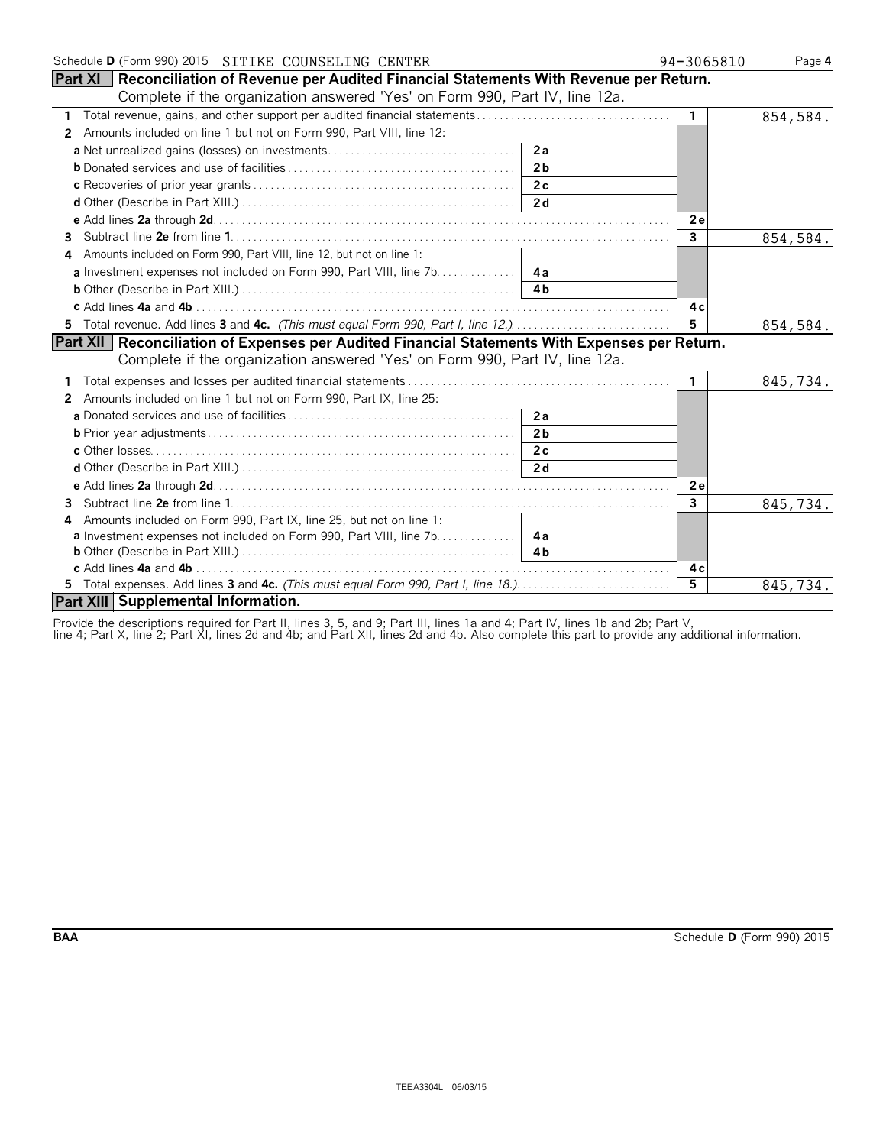| Schedule D (Form 990) 2015 SITIKE COUNSELING CENTER                                                  | 94-3065810   | Page 4   |
|------------------------------------------------------------------------------------------------------|--------------|----------|
| <b>Part XI</b>   Reconciliation of Revenue per Audited Financial Statements With Revenue per Return. |              |          |
| Complete if the organization answered 'Yes' on Form 990, Part IV, line 12a.                          |              |          |
| 1 Total revenue, gains, and other support per audited financial statements                           | $\mathbf{1}$ | 854,584. |
| Amounts included on line 1 but not on Form 990, Part VIII, line 12:<br>$\mathbf{2}$                  |              |          |
| 2al                                                                                                  |              |          |
| 2 <sub>b</sub>                                                                                       |              |          |
|                                                                                                      |              |          |
|                                                                                                      |              |          |
|                                                                                                      | 2e           |          |
| 3                                                                                                    | $\mathbf{3}$ | 854,584. |
| Amounts included on Form 990, Part VIII, line 12, but not on line 1:                                 |              |          |
| a Investment expenses not included on Form 990, Part VIII, line 7b. 4a                               |              |          |
| 4 <sub>h</sub>                                                                                       |              |          |
|                                                                                                      | 4с           |          |
| 5 Total revenue. Add lines 3 and 4c. (This must equal Form 990, Part I, line 12.)                    | 5            | 854,584. |
| Part XII   Reconciliation of Expenses per Audited Financial Statements With Expenses per Return.     |              |          |
| Complete if the organization answered 'Yes' on Form 990, Part IV, line 12a.                          |              |          |
|                                                                                                      | $\mathbf{1}$ | 845,734. |
| Amounts included on line 1 but not on Form 990, Part IX, line 25:<br>2                               |              |          |
| 2a                                                                                                   |              |          |
| 2 <sub>b</sub>                                                                                       |              |          |
| 2c                                                                                                   |              |          |
| 2d                                                                                                   |              |          |
|                                                                                                      | 2e           |          |
| 3                                                                                                    | 3            | 845,734. |
| Amounts included on Form 990, Part IX, line 25, but not on line 1:<br>Δ                              |              |          |
| <b>a</b> Investment expenses not included on Form 990, Part VIII, line 7b. 4a                        |              |          |
| $\overline{4h}$                                                                                      |              |          |
|                                                                                                      | 4с           |          |
|                                                                                                      | 5            | 845,734. |
| Part XIII Supplemental Information.                                                                  |              |          |

Provide the descriptions required for Part II, lines 3, 5, and 9; Part III, lines 1a and 4; Part IV, lines 1b and 2b; Part V,

line 4; Part X, line 2; Part XI, lines 2d and 4b; and Part XII, lines 2d and 4b. Also complete this part to provide any additional information.